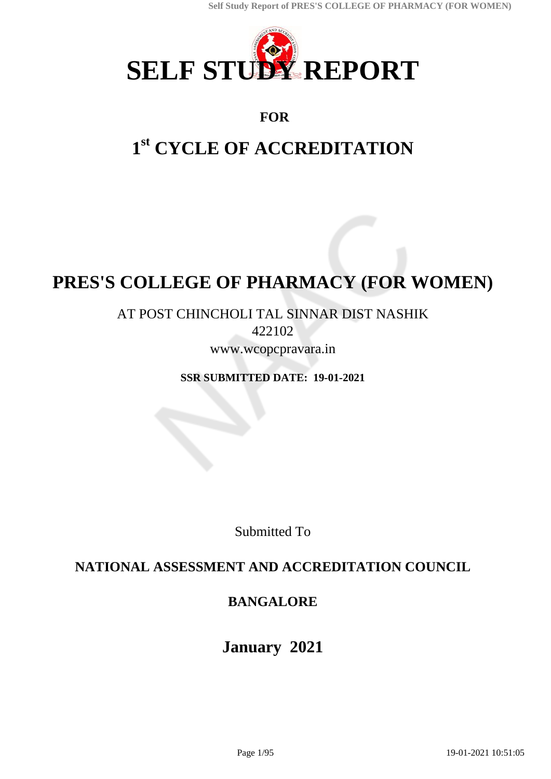

# **FOR**

# **1 st CYCLE OF ACCREDITATION**

# **PRES'S COLLEGE OF PHARMACY (FOR WOMEN)**

# AT POST CHINCHOLI TAL SINNAR DIST NASHIK 422102 www.wcopcpravara.in

**SSR SUBMITTED DATE: 19-01-2021**

Submitted To

## **NATIONAL ASSESSMENT AND ACCREDITATION COUNCIL**

## **BANGALORE**

**January 2021**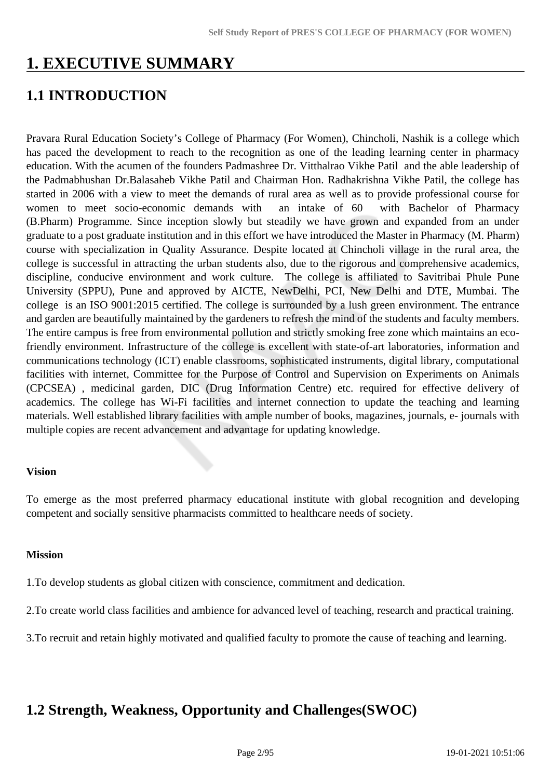# **1. EXECUTIVE SUMMARY**

# **1.1 INTRODUCTION**

Pravara Rural Education Society's College of Pharmacy (For Women), Chincholi, Nashik is a college which has paced the development to reach to the recognition as one of the leading learning center in pharmacy education. With the acumen of the founders Padmashree Dr. Vitthalrao Vikhe Patil and the able leadership of the Padmabhushan Dr.Balasaheb Vikhe Patil and Chairman Hon. Radhakrishna Vikhe Patil, the college has started in 2006 with a view to meet the demands of rural area as well as to provide professional course for women to meet socio-economic demands with an intake of 60 with Bachelor of Pharmacy (B.Pharm) Programme. Since inception slowly but steadily we have grown and expanded from an under graduate to a post graduate institution and in this effort we have introduced the Master in Pharmacy (M. Pharm) course with specialization in Quality Assurance. Despite located at Chincholi village in the rural area, the college is successful in attracting the urban students also, due to the rigorous and comprehensive academics, discipline, conducive environment and work culture. The college is affiliated to Savitribai Phule Pune University (SPPU), Pune and approved by AICTE, NewDelhi, PCI, New Delhi and DTE, Mumbai. The college is an ISO 9001:2015 certified. The college is surrounded by a lush green environment. The entrance and garden are beautifully maintained by the gardeners to refresh the mind of the students and faculty members. The entire campus is free from environmental pollution and strictly smoking free zone which maintains an ecofriendly environment. Infrastructure of the college is excellent with state-of-art laboratories, information and communications technology (ICT) enable classrooms, sophisticated instruments, digital library, computational facilities with internet, Committee for the Purpose of Control and Supervision on Experiments on Animals (CPCSEA) , medicinal garden, DIC (Drug Information Centre) etc. required for effective delivery of academics. The college has Wi-Fi facilities and internet connection to update the teaching and learning materials. Well established library facilities with ample number of books, magazines, journals, e- journals with multiple copies are recent advancement and advantage for updating knowledge.

### **Vision**

To emerge as the most preferred pharmacy educational institute with global recognition and developing competent and socially sensitive pharmacists committed to healthcare needs of society.

#### **Mission**

1.To develop students as global citizen with conscience, commitment and dedication.

2.To create world class facilities and ambience for advanced level of teaching, research and practical training.

3.To recruit and retain highly motivated and qualified faculty to promote the cause of teaching and learning.

## **1.2 Strength, Weakness, Opportunity and Challenges(SWOC)**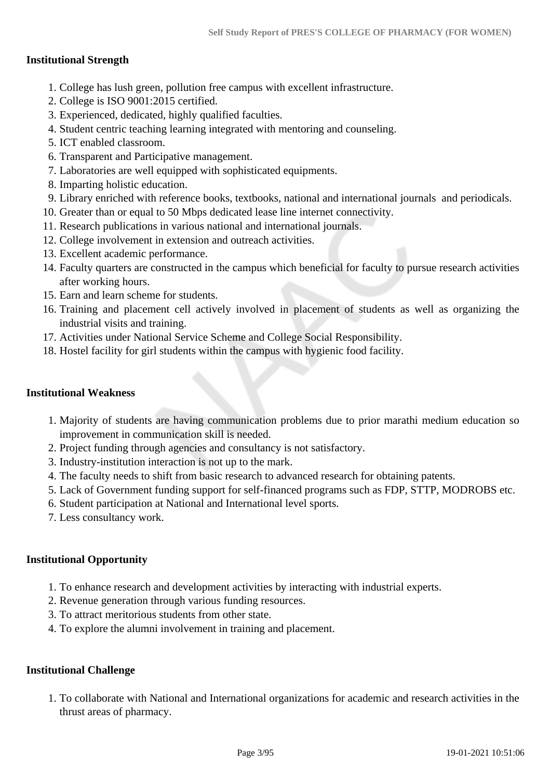#### **Institutional Strength**

- 1. College has lush green, pollution free campus with excellent infrastructure.
- 2. College is ISO 9001:2015 certified.
- 3. Experienced, dedicated, highly qualified faculties.
- 4. Student centric teaching learning integrated with mentoring and counseling.
- 5. ICT enabled classroom.
- 6. Transparent and Participative management.
- 7. Laboratories are well equipped with sophisticated equipments.
- 8. Imparting holistic education.
- 9. Library enriched with reference books, textbooks, national and international journals and periodicals.
- 10. Greater than or equal to 50 Mbps dedicated lease line internet connectivity.
- 11. Research publications in various national and international journals.
- 12. College involvement in extension and outreach activities.
- 13. Excellent academic performance.
- 14. Faculty quarters are constructed in the campus which beneficial for faculty to pursue research activities after working hours.
- 15. Earn and learn scheme for students.
- 16. Training and placement cell actively involved in placement of students as well as organizing the industrial visits and training.
- 17. Activities under National Service Scheme and College Social Responsibility.
- 18. Hostel facility for girl students within the campus with hygienic food facility.

#### **Institutional Weakness**

- 1. Majority of students are having communication problems due to prior marathi medium education so improvement in communication skill is needed.
- 2. Project funding through agencies and consultancy is not satisfactory.
- 3. Industry-institution interaction is not up to the mark.
- 4. The faculty needs to shift from basic research to advanced research for obtaining patents.
- 5. Lack of Government funding support for self-financed programs such as FDP, STTP, MODROBS etc.
- 6. Student participation at National and International level sports.
- 7. Less consultancy work.

### **Institutional Opportunity**

- 1. To enhance research and development activities by interacting with industrial experts.
- 2. Revenue generation through various funding resources.
- 3. To attract meritorious students from other state.
- 4. To explore the alumni involvement in training and placement.

#### **Institutional Challenge**

1. To collaborate with National and International organizations for academic and research activities in the thrust areas of pharmacy.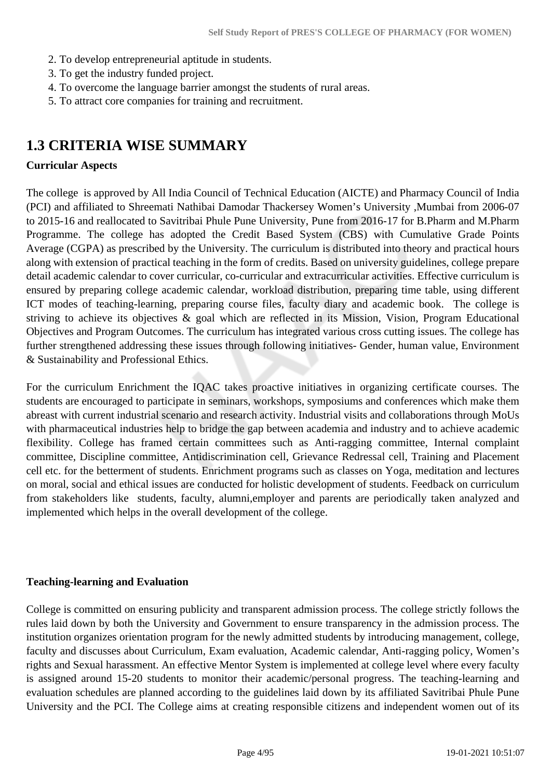- 2. To develop entrepreneurial aptitude in students.
- 3. To get the industry funded project.
- 4. To overcome the language barrier amongst the students of rural areas.
- 5. To attract core companies for training and recruitment.

# **1.3 CRITERIA WISE SUMMARY**

### **Curricular Aspects**

The college is approved by All India Council of Technical Education (AICTE) and Pharmacy Council of India (PCI) and affiliated to Shreemati Nathibai Damodar Thackersey Women's University ,Mumbai from 2006-07 to 2015-16 and reallocated to Savitribai Phule Pune University, Pune from 2016-17 for B.Pharm and M.Pharm Programme. The college has adopted the Credit Based System (CBS) with Cumulative Grade Points Average (CGPA) as prescribed by the University. The curriculum is distributed into theory and practical hours along with extension of practical teaching in the form of credits. Based on university guidelines, college prepare detail academic calendar to cover curricular, co-curricular and extracurricular activities. Effective curriculum is ensured by preparing college academic calendar, workload distribution, preparing time table, using different ICT modes of teaching-learning, preparing course files, faculty diary and academic book. The college is striving to achieve its objectives & goal which are reflected in its Mission, Vision, Program Educational Objectives and Program Outcomes. The curriculum has integrated various cross cutting issues. The college has further strengthened addressing these issues through following initiatives- Gender, human value, Environment & Sustainability and Professional Ethics.

For the curriculum Enrichment the IQAC takes proactive initiatives in organizing certificate courses. The students are encouraged to participate in seminars, workshops, symposiums and conferences which make them abreast with current industrial scenario and research activity. Industrial visits and collaborations through MoUs with pharmaceutical industries help to bridge the gap between academia and industry and to achieve academic flexibility. College has framed certain committees such as Anti-ragging committee, Internal complaint committee, Discipline committee, Antidiscrimination cell, Grievance Redressal cell, Training and Placement cell etc. for the betterment of students. Enrichment programs such as classes on Yoga, meditation and lectures on moral, social and ethical issues are conducted for holistic development of students. Feedback on curriculum from stakeholders like students, faculty, alumni,employer and parents are periodically taken analyzed and implemented which helps in the overall development of the college.

#### **Teaching-learning and Evaluation**

College is committed on ensuring publicity and transparent admission process. The college strictly follows the rules laid down by both the University and Government to ensure transparency in the admission process. The institution organizes orientation program for the newly admitted students by introducing management, college, faculty and discusses about Curriculum, Exam evaluation, Academic calendar, Anti-ragging policy, Women's rights and Sexual harassment. An effective Mentor System is implemented at college level where every faculty is assigned around 15-20 students to monitor their academic/personal progress. The teaching-learning and evaluation schedules are planned according to the guidelines laid down by its affiliated Savitribai Phule Pune University and the PCI. The College aims at creating responsible citizens and independent women out of its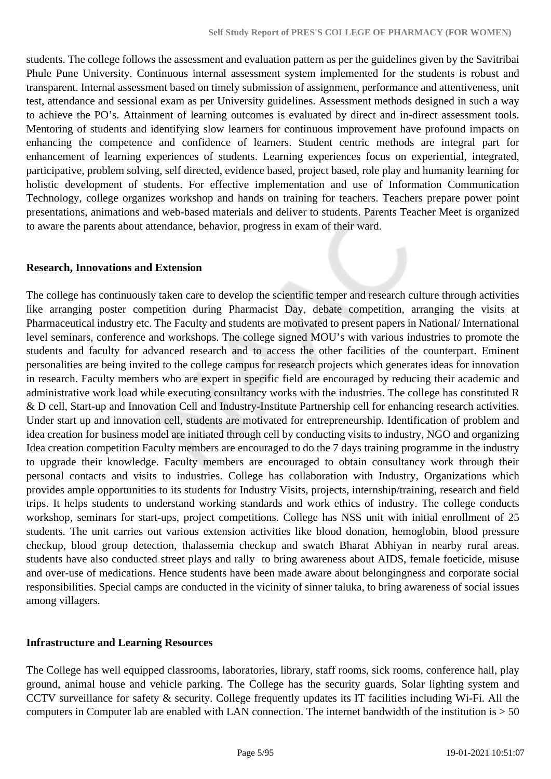students. The college follows the assessment and evaluation pattern as per the guidelines given by the Savitribai Phule Pune University. Continuous internal assessment system implemented for the students is robust and transparent. Internal assessment based on timely submission of assignment, performance and attentiveness, unit test, attendance and sessional exam as per University guidelines. Assessment methods designed in such a way to achieve the PO's. Attainment of learning outcomes is evaluated by direct and in-direct assessment tools. Mentoring of students and identifying slow learners for continuous improvement have profound impacts on enhancing the competence and confidence of learners. Student centric methods are integral part for enhancement of learning experiences of students. Learning experiences focus on experiential, integrated, participative, problem solving, self directed, evidence based, project based, role play and humanity learning for holistic development of students. For effective implementation and use of Information Communication Technology, college organizes workshop and hands on training for teachers. Teachers prepare power point presentations, animations and web-based materials and deliver to students. Parents Teacher Meet is organized to aware the parents about attendance, behavior, progress in exam of their ward.

#### **Research, Innovations and Extension**

The college has continuously taken care to develop the scientific temper and research culture through activities like arranging poster competition during Pharmacist Day, debate competition, arranging the visits at Pharmaceutical industry etc. The Faculty and students are motivated to present papers in National/ International level seminars, conference and workshops. The college signed MOU's with various industries to promote the students and faculty for advanced research and to access the other facilities of the counterpart. Eminent personalities are being invited to the college campus for research projects which generates ideas for innovation in research. Faculty members who are expert in specific field are encouraged by reducing their academic and administrative work load while executing consultancy works with the industries. The college has constituted R & D cell, Start-up and Innovation Cell and Industry-Institute Partnership cell for enhancing research activities. Under start up and innovation cell, students are motivated for entrepreneurship. Identification of problem and idea creation for business model are initiated through cell by conducting visits to industry, NGO and organizing Idea creation competition Faculty members are encouraged to do the 7 days training programme in the industry to upgrade their knowledge. Faculty members are encouraged to obtain consultancy work through their personal contacts and visits to industries. College has collaboration with Industry, Organizations which provides ample opportunities to its students for Industry Visits, projects, internship/training, research and field trips. It helps students to understand working standards and work ethics of industry. The college conducts workshop, seminars for start-ups, project competitions. College has NSS unit with initial enrollment of 25 students. The unit carries out various extension activities like blood donation, hemoglobin, blood pressure checkup, blood group detection, thalassemia checkup and swatch Bharat Abhiyan in nearby rural areas. students have also conducted street plays and rally to bring awareness about AIDS, female foeticide, misuse and over-use of medications. Hence students have been made aware about belongingness and corporate social responsibilities. Special camps are conducted in the vicinity of sinner taluka, to bring awareness of social issues among villagers.

#### **Infrastructure and Learning Resources**

The College has well equipped classrooms, laboratories, library, staff rooms, sick rooms, conference hall, play ground, animal house and vehicle parking. The College has the security guards, Solar lighting system and CCTV surveillance for safety & security. College frequently updates its IT facilities including Wi-Fi. All the computers in Computer lab are enabled with LAN connection. The internet bandwidth of the institution is  $> 50$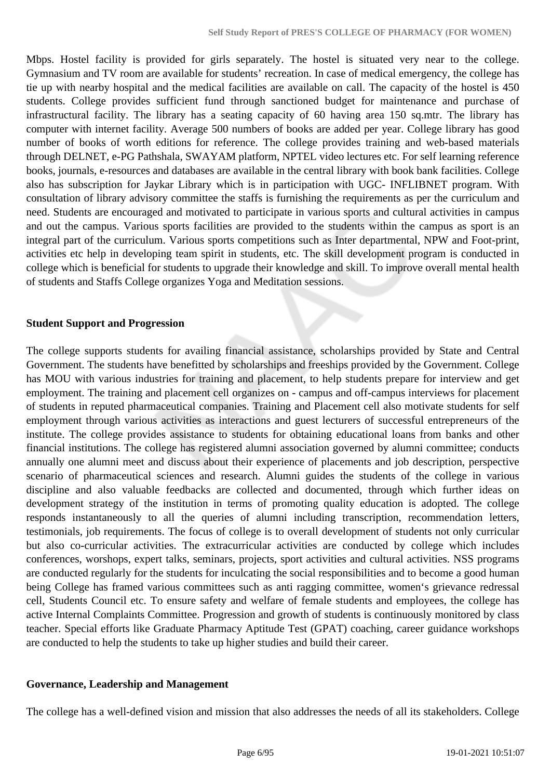Mbps. Hostel facility is provided for girls separately. The hostel is situated very near to the college. Gymnasium and TV room are available for students' recreation. In case of medical emergency, the college has tie up with nearby hospital and the medical facilities are available on call. The capacity of the hostel is 450 students. College provides sufficient fund through sanctioned budget for maintenance and purchase of infrastructural facility. The library has a seating capacity of 60 having area 150 sq.mtr. The library has computer with internet facility. Average 500 numbers of books are added per year. College library has good number of books of worth editions for reference. The college provides training and web-based materials through DELNET, e-PG Pathshala, SWAYAM platform, NPTEL video lectures etc. For self learning reference books, journals, e-resources and databases are available in the central library with book bank facilities. College also has subscription for Jaykar Library which is in participation with UGC- INFLIBNET program. With consultation of library advisory committee the staffs is furnishing the requirements as per the curriculum and need. Students are encouraged and motivated to participate in various sports and cultural activities in campus and out the campus. Various sports facilities are provided to the students within the campus as sport is an integral part of the curriculum. Various sports competitions such as Inter departmental, NPW and Foot-print, activities etc help in developing team spirit in students, etc. The skill development program is conducted in college which is beneficial for students to upgrade their knowledge and skill. To improve overall mental health of students and Staffs College organizes Yoga and Meditation sessions.

#### **Student Support and Progression**

The college supports students for availing financial assistance, scholarships provided by State and Central Government. The students have benefitted by scholarships and freeships provided by the Government. College has MOU with various industries for training and placement, to help students prepare for interview and get employment. The training and placement cell organizes on - campus and off-campus interviews for placement of students in reputed pharmaceutical companies. Training and Placement cell also motivate students for self employment through various activities as interactions and guest lecturers of successful entrepreneurs of the institute. The college provides assistance to students for obtaining educational loans from banks and other financial institutions. The college has registered alumni association governed by alumni committee; conducts annually one alumni meet and discuss about their experience of placements and job description, perspective scenario of pharmaceutical sciences and research. Alumni guides the students of the college in various discipline and also valuable feedbacks are collected and documented, through which further ideas on development strategy of the institution in terms of promoting quality education is adopted. The college responds instantaneously to all the queries of alumni including transcription, recommendation letters, testimonials, job requirements. The focus of college is to overall development of students not only curricular but also co-curricular activities. The extracurricular activities are conducted by college which includes conferences, worshops, expert talks, seminars, projects, sport activities and cultural activities. NSS programs are conducted regularly for the students for inculcating the social responsibilities and to become a good human being College has framed various committees such as anti ragging committee, women's grievance redressal cell, Students Council etc. To ensure safety and welfare of female students and employees, the college has active Internal Complaints Committee. Progression and growth of students is continuously monitored by class teacher. Special efforts like Graduate Pharmacy Aptitude Test (GPAT) coaching, career guidance workshops are conducted to help the students to take up higher studies and build their career.

#### **Governance, Leadership and Management**

The college has a well-defined vision and mission that also addresses the needs of all its stakeholders. College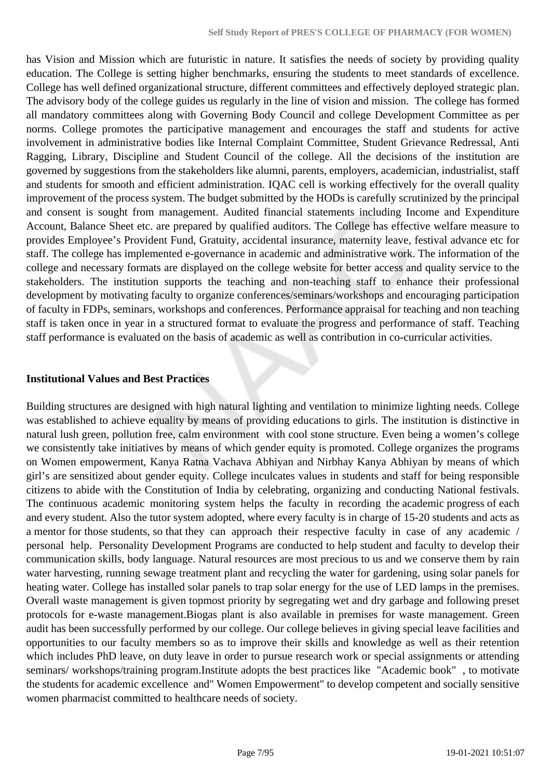has Vision and Mission which are futuristic in nature. It satisfies the needs of society by providing quality education. The College is setting higher benchmarks, ensuring the students to meet standards of excellence. College has well defined organizational structure, different committees and effectively deployed strategic plan. The advisory body of the college guides us regularly in the line of vision and mission. The college has formed all mandatory committees along with Governing Body Council and college Development Committee as per norms. College promotes the participative management and encourages the staff and students for active involvement in administrative bodies like Internal Complaint Committee, Student Grievance Redressal, Anti Ragging, Library, Discipline and Student Council of the college. All the decisions of the institution are governed by suggestions from the stakeholders like alumni, parents, employers, academician, industrialist, staff and students for smooth and efficient administration. IQAC cell is working effectively for the overall quality improvement of the process system. The budget submitted by the HODs is carefully scrutinized by the principal and consent is sought from management. Audited financial statements including Income and Expenditure Account, Balance Sheet etc. are prepared by qualified auditors. The College has effective welfare measure to provides Employee's Provident Fund, Gratuity, accidental insurance, maternity leave, festival advance etc for staff. The college has implemented e-governance in academic and administrative work. The information of the college and necessary formats are displayed on the college website for better access and quality service to the stakeholders. The institution supports the teaching and non-teaching staff to enhance their professional development by motivating faculty to organize conferences/seminars/workshops and encouraging participation of faculty in FDPs, seminars, workshops and conferences. Performance appraisal for teaching and non teaching staff is taken once in year in a structured format to evaluate the progress and performance of staff. Teaching staff performance is evaluated on the basis of academic as well as contribution in co-curricular activities.

#### **Institutional Values and Best Practices**

Building structures are designed with high natural lighting and ventilation to minimize lighting needs. College was established to achieve equality by means of providing educations to girls. The institution is distinctive in natural lush green, pollution free, calm environment with cool stone structure. Even being a women's college we consistently take initiatives by means of which gender equity is promoted. College organizes the programs on Women empowerment, Kanya Ratna Vachava Abhiyan and Nirbhay Kanya Abhiyan by means of which girl's are sensitized about gender equity. College inculcates values in students and staff for being responsible citizens to abide with the Constitution of India by celebrating, organizing and conducting National festivals. The continuous academic monitoring system helps the faculty in recording the academic progress of each and every student. Also the tutor system adopted, where every faculty is in charge of 15-20 students and acts as a mentor for those students, so that they can approach their respective faculty in case of any academic / personal help. Personality Development Programs are conducted to help student and faculty to develop their communication skills, body language. Natural resources are most precious to us and we conserve them by rain water harvesting, running sewage treatment plant and recycling the water for gardening, using solar panels for heating water. College has installed solar panels to trap solar energy for the use of LED lamps in the premises. Overall waste management is given topmost priority by segregating wet and dry garbage and following preset protocols for e-waste management.Biogas plant is also available in premises for waste management. Green audit has been successfully performed by our college. Our college believes in giving special leave facilities and opportunities to our faculty members so as to improve their skills and knowledge as well as their retention which includes PhD leave, on duty leave in order to pursue research work or special assignments or attending seminars/ workshops/training program.Institute adopts the best practices like "Academic book" , to motivate the students for academic excellence and" Women Empowerment" to develop competent and socially sensitive women pharmacist committed to healthcare needs of society.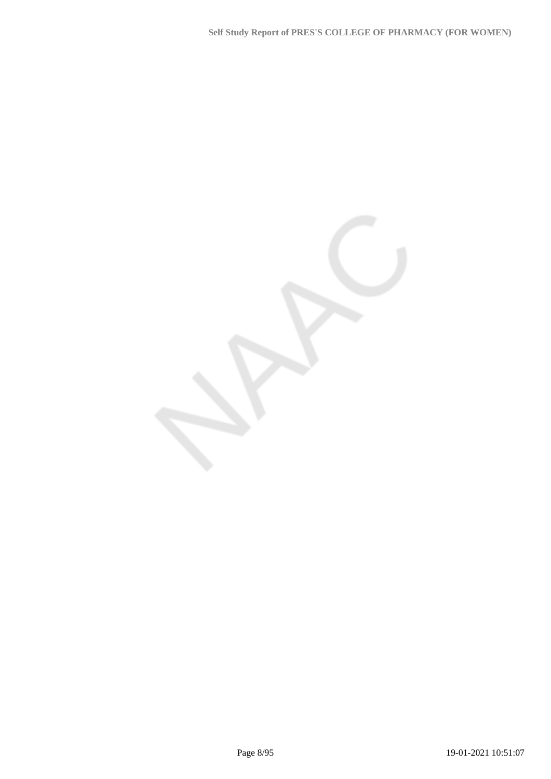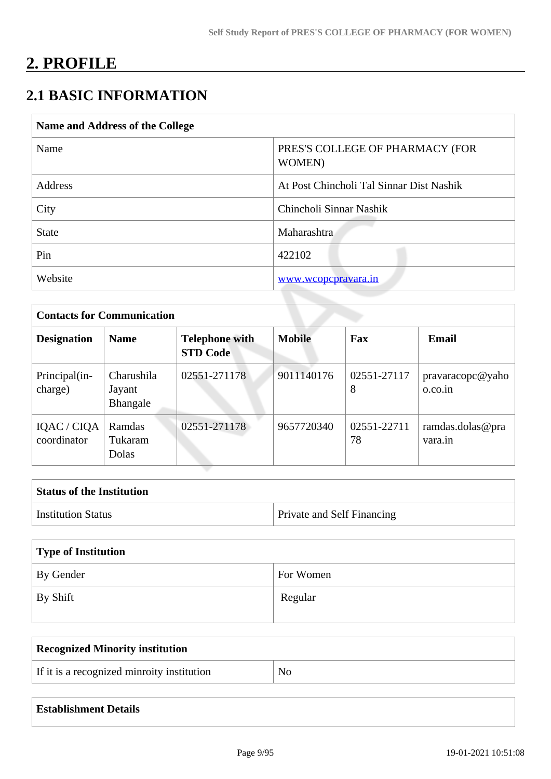# **2. PROFILE**

# **2.1 BASIC INFORMATION**

| Name and Address of the College |                                                   |
|---------------------------------|---------------------------------------------------|
| Name                            | PRES'S COLLEGE OF PHARMACY (FOR<br><b>WOMEN</b> ) |
| Address                         | At Post Chincholi Tal Sinnar Dist Nashik          |
| City                            | Chincholi Sinnar Nashik                           |
| <b>State</b>                    | Maharashtra                                       |
| Pin                             | 422102                                            |
| Website                         | www.wcopcpravara.in                               |

| <b>Contacts for Communication</b> |                                  |                                          |               |                   |                             |  |  |  |
|-----------------------------------|----------------------------------|------------------------------------------|---------------|-------------------|-----------------------------|--|--|--|
| <b>Designation</b><br><b>Name</b> |                                  | <b>Telephone with</b><br><b>STD Code</b> | <b>Mobile</b> | Fax               | Email                       |  |  |  |
| Principal(in-<br>charge)          | Charushila<br>Jayant<br>Bhangale | 02551-271178                             | 9011140176    | 02551-27117<br>8  | pravaracopc@yaho<br>o.co.in |  |  |  |
| IQAC / CIQA<br>coordinator        | Ramdas<br>Tukaram<br>Dolas       | 02551-271178                             | 9657720340    | 02551-22711<br>78 | ramdas.dolas@pra<br>vara.in |  |  |  |

| <b>Status of the Institution</b> |                                   |
|----------------------------------|-----------------------------------|
| Institution Status               | <b>Private and Self Financing</b> |

| Type of Institution   |           |  |  |  |  |
|-----------------------|-----------|--|--|--|--|
| By Gender             | For Women |  |  |  |  |
| $\mathsf{I}$ By Shift | Regular   |  |  |  |  |

| Recognized Minority institution            |                |
|--------------------------------------------|----------------|
| If it is a recognized minroity institution | N <sub>0</sub> |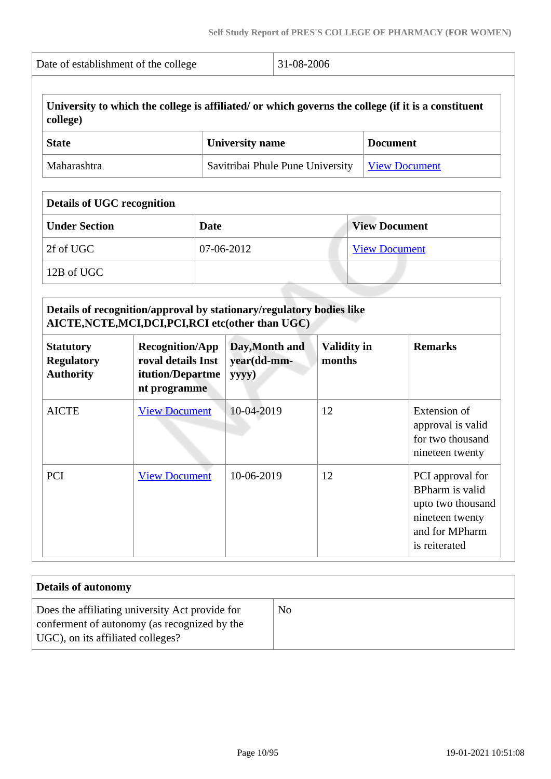|                                                           | Date of establishment of the college                                                                                                    |                        | 31-08-2006           |                              |                      |                                                                                                     |  |  |
|-----------------------------------------------------------|-----------------------------------------------------------------------------------------------------------------------------------------|------------------------|----------------------|------------------------------|----------------------|-----------------------------------------------------------------------------------------------------|--|--|
| college)                                                  |                                                                                                                                         |                        |                      |                              |                      | University to which the college is affiliated/ or which governs the college (if it is a constituent |  |  |
| <b>State</b>                                              |                                                                                                                                         | <b>University name</b> | <b>Document</b>      |                              |                      |                                                                                                     |  |  |
| Maharashtra                                               | Savitribai Phule Pune University                                                                                                        |                        |                      |                              | <b>View Document</b> |                                                                                                     |  |  |
| <b>Details of UGC recognition</b>                         |                                                                                                                                         |                        |                      |                              |                      |                                                                                                     |  |  |
| <b>Under Section</b>                                      |                                                                                                                                         | Date                   |                      |                              | <b>View Document</b> |                                                                                                     |  |  |
| 2f of UGC                                                 | 07-06-2012                                                                                                                              |                        | <b>View Document</b> |                              |                      |                                                                                                     |  |  |
| 12B of UGC                                                |                                                                                                                                         |                        |                      |                              |                      |                                                                                                     |  |  |
| <b>Statutory</b><br><b>Regulatory</b><br><b>Authority</b> | AICTE, NCTE, MCI, DCI, PCI, RCI etc(other than UGC)<br><b>Recognition/App</b><br>roval details Inst<br>itution/Departme<br>nt programme | year(dd-mm-<br>yyyy)   | Day, Month and       | <b>Validity in</b><br>months |                      | <b>Remarks</b>                                                                                      |  |  |
|                                                           |                                                                                                                                         |                        |                      |                              |                      |                                                                                                     |  |  |
| <b>AICTE</b>                                              | <b>View Document</b>                                                                                                                    | 10-04-2019             |                      | 12                           |                      | Extension of<br>approval is valid<br>for two thousand<br>nineteen twenty                            |  |  |

| Details of autonomy                                                                                                                  |                |
|--------------------------------------------------------------------------------------------------------------------------------------|----------------|
| Does the affiliating university Act provide for<br>conferment of autonomy (as recognized by the<br>UGC), on its affiliated colleges? | N <sub>o</sub> |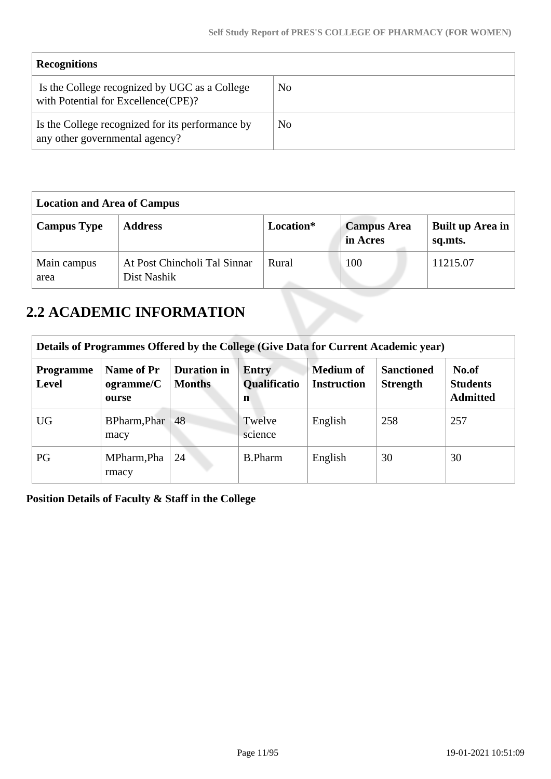| <b>Recognitions</b>                                                                   |                |  |  |  |  |  |  |
|---------------------------------------------------------------------------------------|----------------|--|--|--|--|--|--|
| Is the College recognized by UGC as a College<br>with Potential for Excellence (CPE)? | N <sub>0</sub> |  |  |  |  |  |  |
| Is the College recognized for its performance by<br>any other governmental agency?    | N <sub>0</sub> |  |  |  |  |  |  |

| <b>Location and Area of Campus</b> |                                             |           |                                |                             |  |  |  |  |  |
|------------------------------------|---------------------------------------------|-----------|--------------------------------|-----------------------------|--|--|--|--|--|
| <b>Campus Type</b>                 | <b>Address</b>                              | Location* | <b>Campus Area</b><br>in Acres | Built up Area in<br>sq.mts. |  |  |  |  |  |
| Main campus<br>area                | At Post Chincholi Tal Sinnar<br>Dist Nashik | Rural     | 100                            | 11215.07                    |  |  |  |  |  |

# **2.2 ACADEMIC INFORMATION**

| Details of Programmes Offered by the College (Give Data for Current Academic year) |                                  |                                     |                                                    |                                        |                                      |                                             |  |  |  |
|------------------------------------------------------------------------------------|----------------------------------|-------------------------------------|----------------------------------------------------|----------------------------------------|--------------------------------------|---------------------------------------------|--|--|--|
| <b>Programme</b><br>Level                                                          | Name of Pr<br>ogramme/C<br>ourse | <b>Duration</b> in<br><b>Months</b> | <b>Entry</b><br><b>Qualificatio</b><br>$\mathbf n$ | <b>Medium of</b><br><b>Instruction</b> | <b>Sanctioned</b><br><b>Strength</b> | No.of<br><b>Students</b><br><b>Admitted</b> |  |  |  |
| <b>UG</b>                                                                          | BPharm, Phar<br>macy             | 48                                  | Twelve<br>science                                  | English                                | 258                                  | 257                                         |  |  |  |
| PG                                                                                 | MPharm, Pha<br>rmacy             | 24                                  | <b>B.Pharm</b>                                     | English                                | 30                                   | 30                                          |  |  |  |

**Position Details of Faculty & Staff in the College**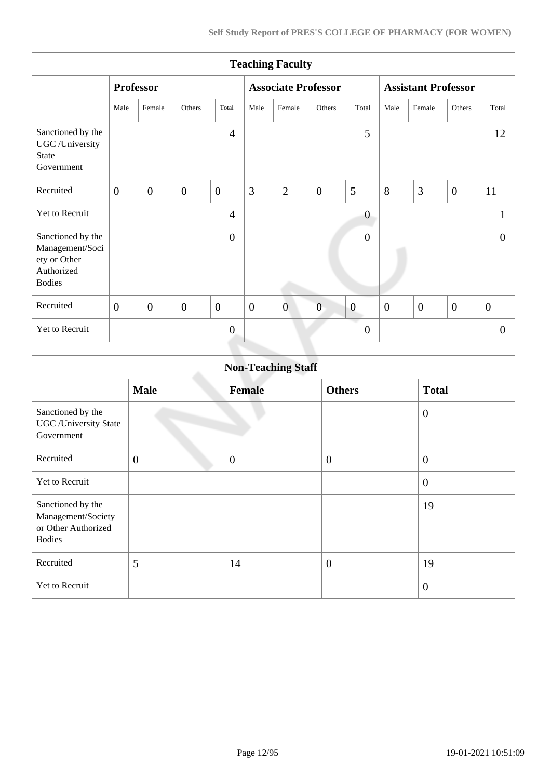| <b>Teaching Faculty</b>                                                             |                  |                |                |                |                  |                            |                |                  |                            |                |                |                |
|-------------------------------------------------------------------------------------|------------------|----------------|----------------|----------------|------------------|----------------------------|----------------|------------------|----------------------------|----------------|----------------|----------------|
|                                                                                     | <b>Professor</b> |                |                |                |                  | <b>Associate Professor</b> |                |                  | <b>Assistant Professor</b> |                |                |                |
|                                                                                     | Male             | Female         | Others         | Total          | Male             | Female                     | Others         | Total            | Male                       | Female         | Others         | Total          |
| Sanctioned by the<br>UGC /University<br><b>State</b><br>Government                  |                  |                |                | $\overline{4}$ |                  |                            |                | 5                |                            |                |                | 12             |
| Recruited                                                                           | $\overline{0}$   | $\overline{0}$ | $\mathbf{0}$   | $\overline{0}$ | 3                | $\overline{2}$             | $\overline{0}$ | 5                | 8                          | 3              | $\overline{0}$ | 11             |
| Yet to Recruit                                                                      |                  |                |                | $\overline{4}$ |                  |                            |                | $\boldsymbol{0}$ |                            |                |                | 1              |
| Sanctioned by the<br>Management/Soci<br>ety or Other<br>Authorized<br><b>Bodies</b> |                  |                |                | $\overline{0}$ |                  |                            |                | $\overline{0}$   |                            |                |                | $\theta$       |
| Recruited                                                                           | $\overline{0}$   | $\overline{0}$ | $\overline{0}$ | $\overline{0}$ | $\boldsymbol{0}$ | $\overline{0}$             | $\overline{0}$ | $\boldsymbol{0}$ | $\theta$                   | $\overline{0}$ | $\overline{0}$ | $\overline{0}$ |
| Yet to Recruit                                                                      |                  |                |                | $\overline{0}$ |                  |                            |                | $\theta$         |                            |                |                | $\Omega$       |
|                                                                                     |                  |                |                |                |                  |                            |                |                  |                            |                |                |                |

| <b>Non-Teaching Staff</b>                                                       |                |                |                  |                  |  |  |  |  |
|---------------------------------------------------------------------------------|----------------|----------------|------------------|------------------|--|--|--|--|
|                                                                                 | <b>Male</b>    | <b>Female</b>  | <b>Others</b>    | <b>Total</b>     |  |  |  |  |
| Sanctioned by the<br><b>UGC</b> / University State<br>Government                |                |                |                  | $\overline{0}$   |  |  |  |  |
| Recruited                                                                       | $\overline{0}$ | $\overline{0}$ | $\boldsymbol{0}$ | $\mathbf{0}$     |  |  |  |  |
| <b>Yet to Recruit</b>                                                           |                |                |                  | $\boldsymbol{0}$ |  |  |  |  |
| Sanctioned by the<br>Management/Society<br>or Other Authorized<br><b>Bodies</b> |                |                |                  | 19               |  |  |  |  |
| Recruited                                                                       | 5              | 14             | $\boldsymbol{0}$ | 19               |  |  |  |  |
| Yet to Recruit                                                                  |                |                |                  | $\overline{0}$   |  |  |  |  |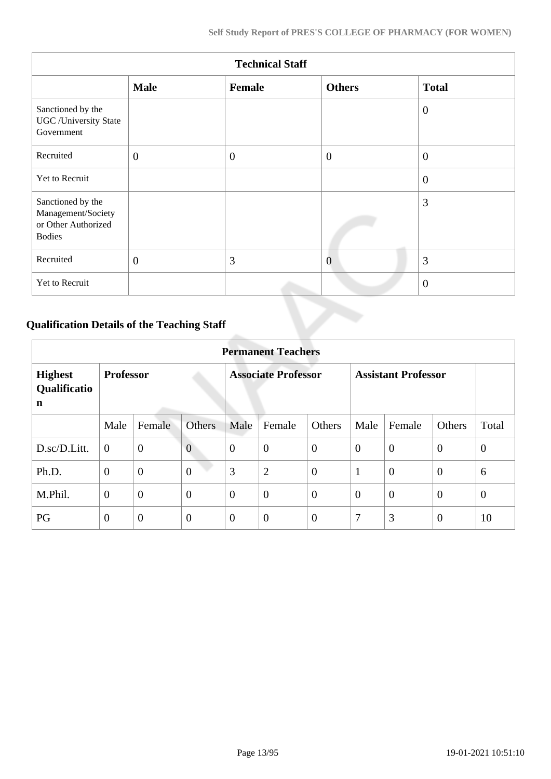| <b>Technical Staff</b>                                                          |              |          |                |                |  |  |  |  |
|---------------------------------------------------------------------------------|--------------|----------|----------------|----------------|--|--|--|--|
|                                                                                 | <b>Male</b>  | Female   | <b>Others</b>  | <b>Total</b>   |  |  |  |  |
| Sanctioned by the<br><b>UGC</b> / University State<br>Government                |              |          |                | $\overline{0}$ |  |  |  |  |
| Recruited                                                                       | $\mathbf{0}$ | $\theta$ | $\overline{0}$ | $\theta$       |  |  |  |  |
| Yet to Recruit                                                                  |              |          |                | $\overline{0}$ |  |  |  |  |
| Sanctioned by the<br>Management/Society<br>or Other Authorized<br><b>Bodies</b> |              |          |                | 3              |  |  |  |  |
| Recruited                                                                       | $\mathbf{0}$ | 3        | $\overline{0}$ | 3              |  |  |  |  |
| Yet to Recruit                                                                  |              |          |                | $\overline{0}$ |  |  |  |  |

## **Qualification Details of the Teaching Staff**

|                                     | <b>Permanent Teachers</b> |                |                            |                |                            |                |                |          |                |          |
|-------------------------------------|---------------------------|----------------|----------------------------|----------------|----------------------------|----------------|----------------|----------|----------------|----------|
| <b>Highest</b><br>Qualificatio<br>n | <b>Professor</b>          |                | <b>Associate Professor</b> |                | <b>Assistant Professor</b> |                |                |          |                |          |
|                                     | Male                      | Female         | <b>Others</b>              | Male           | Female                     | Others         | Male           | Female   | Others         | Total    |
| D.sc/D.Litt.                        | $\overline{0}$            | $\mathbf{0}$   | $\overline{0}$             | $\theta$       | $\overline{0}$             | $\overline{0}$ | $\overline{0}$ | $\theta$ | $\overline{0}$ | $\theta$ |
| Ph.D.                               | $\overline{0}$            | $\overline{0}$ | $\overline{0}$             | 3              | $\overline{2}$             | $\overline{0}$ | 1              | $\theta$ | $\overline{0}$ | 6        |
| M.Phil.                             | $\overline{0}$            | $\mathbf{0}$   | $\overline{0}$             | $\overline{0}$ | $\overline{0}$             | $\overline{0}$ | $\overline{0}$ | $\theta$ | $\overline{0}$ | $\theta$ |
| PG                                  | $\theta$                  | $\overline{0}$ | $\overline{0}$             | $\overline{0}$ | $\overline{0}$             | $\overline{0}$ | 7              | 3        | $\overline{0}$ | 10       |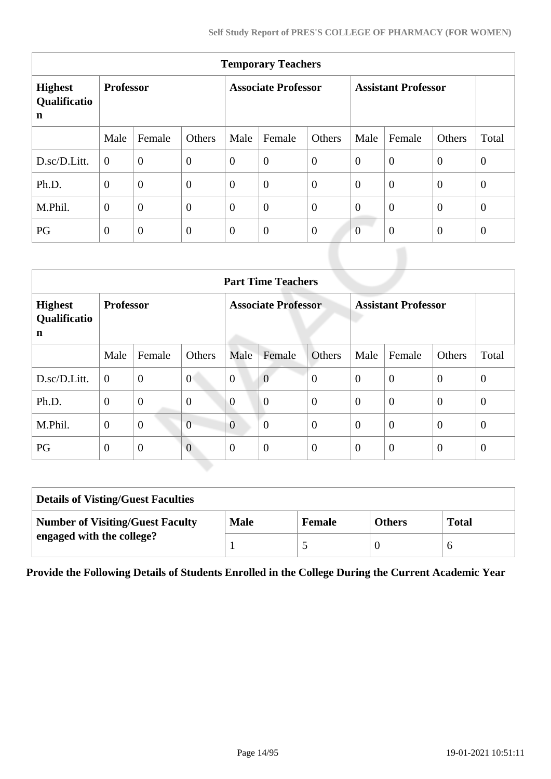| <b>Temporary Teachers</b>           |                  |                  |                            |                |                  |                            |                |                |                |                |
|-------------------------------------|------------------|------------------|----------------------------|----------------|------------------|----------------------------|----------------|----------------|----------------|----------------|
| <b>Highest</b><br>Qualificatio<br>n | <b>Professor</b> |                  | <b>Associate Professor</b> |                |                  | <b>Assistant Professor</b> |                |                |                |                |
|                                     | Male             | Female           | Others                     | Male           | Female           | Others                     | Male           | Female         | Others         | Total          |
| D.sc/D.Litt.                        | $\theta$         | $\overline{0}$   | $\boldsymbol{0}$           | $\overline{0}$ | $\overline{0}$   | $\overline{0}$             | $\overline{0}$ | $\overline{0}$ | $\overline{0}$ | $\overline{0}$ |
| Ph.D.                               | $\overline{0}$   | $\theta$         | $\overline{0}$             | $\overline{0}$ | $\overline{0}$   | $\overline{0}$             | $\overline{0}$ | $\overline{0}$ | $\theta$       | $\overline{0}$ |
| M.Phil.                             | $\overline{0}$   | $\overline{0}$   | $\overline{0}$             | $\overline{0}$ | $\overline{0}$   | $\overline{0}$             | $\overline{0}$ | $\overline{0}$ | $\theta$       | $\overline{0}$ |
| PG                                  | $\overline{0}$   | $\boldsymbol{0}$ | $\mathbf{0}$               | $\overline{0}$ | $\boldsymbol{0}$ | $\overline{0}$             | $\overline{0}$ | $\overline{0}$ | $\overline{0}$ | $\theta$       |

| <b>Part Time Teachers</b>                               |                |                |                |                                                          |                  |                  |                |                |                |                |
|---------------------------------------------------------|----------------|----------------|----------------|----------------------------------------------------------|------------------|------------------|----------------|----------------|----------------|----------------|
| <b>Professor</b><br><b>Highest</b><br>Qualificatio<br>n |                |                |                | <b>Associate Professor</b><br><b>Assistant Professor</b> |                  |                  |                |                |                |                |
|                                                         | Male           | Female         | Others         | Male                                                     | Female           | Others           | Male           | Female         | Others         | Total          |
| D.sc/D.Litt.                                            | $\theta$       | $\overline{0}$ | $\overline{0}$ | $\overline{0}$                                           | $\overline{0}$   | $\overline{0}$   | $\theta$       | $\overline{0}$ | $\overline{0}$ | $\overline{0}$ |
| Ph.D.                                                   | $\overline{0}$ | $\mathbf{0}$   | $\overline{0}$ | $\overline{0}$                                           | $\overline{0}$   | $\overline{0}$   | $\overline{0}$ | $\overline{0}$ | $\overline{0}$ | $\theta$       |
| M.Phil.                                                 | $\mathbf{0}$   | $\overline{0}$ | $\overline{0}$ | $\overline{0}$                                           | $\boldsymbol{0}$ | $\boldsymbol{0}$ | $\theta$       | $\overline{0}$ | $\overline{0}$ | $\theta$       |
| PG                                                      | $\mathbf{0}$   | $\overline{0}$ | $\overline{0}$ | $\overline{0}$                                           | $\overline{0}$   | $\boldsymbol{0}$ | $\overline{0}$ | $\overline{0}$ | $\mathbf{0}$   | $\theta$       |

| <b>Details of Visting/Guest Faculties</b> |             |               |               |              |  |  |  |
|-------------------------------------------|-------------|---------------|---------------|--------------|--|--|--|
| <b>Number of Visiting/Guest Faculty</b>   | <b>Male</b> | <b>Female</b> | <b>Others</b> | <b>Total</b> |  |  |  |
| engaged with the college?                 |             |               |               |              |  |  |  |

**Provide the Following Details of Students Enrolled in the College During the Current Academic Year**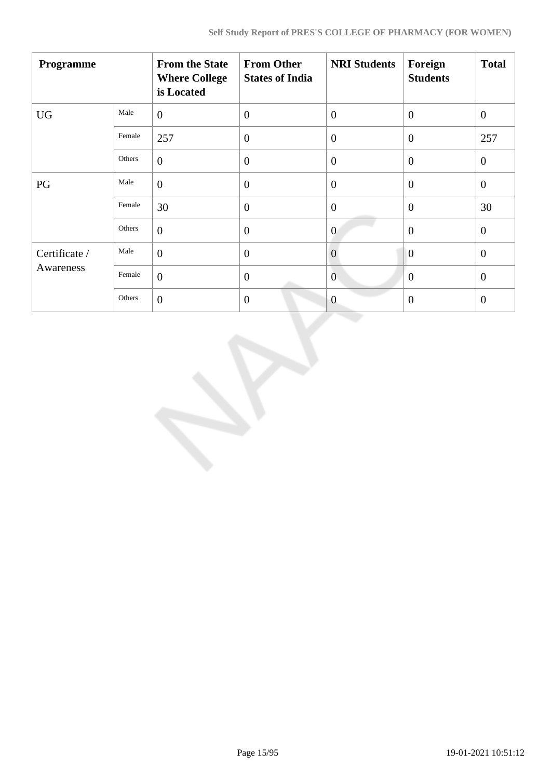| Programme                  |        | <b>From the State</b><br><b>Where College</b><br>is Located | <b>From Other</b><br><b>States of India</b> | <b>NRI Students</b> | Foreign<br><b>Students</b> | <b>Total</b>   |
|----------------------------|--------|-------------------------------------------------------------|---------------------------------------------|---------------------|----------------------------|----------------|
| <b>UG</b>                  | Male   | $\overline{0}$                                              | $\overline{0}$                              | $\theta$            | $\overline{0}$             | $\overline{0}$ |
|                            | Female | 257                                                         | $\overline{0}$                              | $\overline{0}$      | $\theta$                   | 257            |
|                            | Others | $\overline{0}$                                              | $\theta$                                    | $\overline{0}$      | $\theta$                   | $\mathbf{0}$   |
| PG                         | Male   | $\overline{0}$                                              | $\overline{0}$                              | $\overline{0}$      | $\overline{0}$             | $\overline{0}$ |
|                            | Female | 30                                                          | $\overline{0}$                              | $\overline{0}$      | $\theta$                   | 30             |
|                            | Others | $\overline{0}$                                              | $\boldsymbol{0}$                            | $\overline{0}$      | $\overline{0}$             | $\overline{0}$ |
| Certificate /<br>Awareness | Male   | $\overline{0}$                                              | $\overline{0}$                              | $\overline{0}$      | $\overline{0}$             | $\overline{0}$ |
|                            | Female | $\overline{0}$                                              | $\mathbf{0}$                                | $\mathbf{0}$        | $\theta$                   | $\overline{0}$ |
|                            | Others | $\overline{0}$                                              | $\mathbf{0}$                                | $\overline{0}$      | $\mathbf{0}$               | $\overline{0}$ |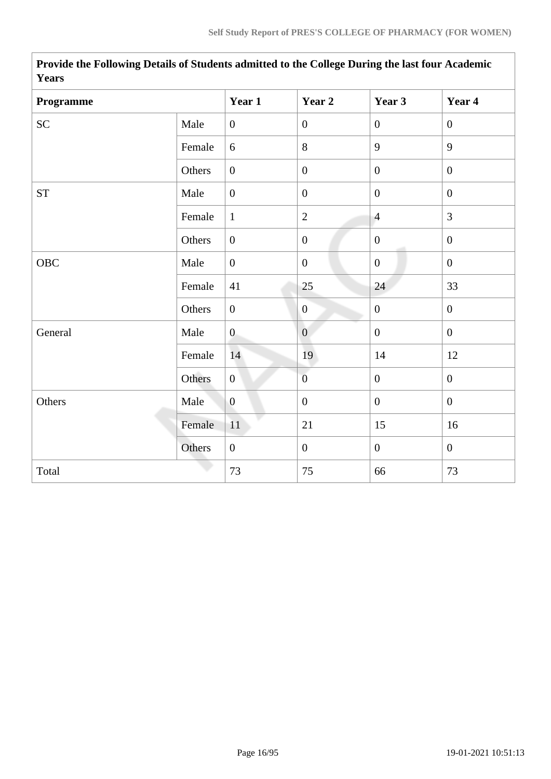| <b>Y</b> ears      |        |                  |                  |                  |                  |  |  |  |
|--------------------|--------|------------------|------------------|------------------|------------------|--|--|--|
| Programme          |        | Year 1           | Year 2           | Year 3           | Year 4           |  |  |  |
| <b>SC</b>          | Male   | $\overline{0}$   | $\boldsymbol{0}$ | $\overline{0}$   | $\boldsymbol{0}$ |  |  |  |
|                    | Female | 6                | 8                | 9                | 9                |  |  |  |
|                    | Others | $\boldsymbol{0}$ | $\boldsymbol{0}$ | $\mathbf{0}$     | $\boldsymbol{0}$ |  |  |  |
| ${\cal S}{\cal T}$ | Male   | $\boldsymbol{0}$ | $\boldsymbol{0}$ | $\overline{0}$   | $\overline{0}$   |  |  |  |
|                    | Female | $\mathbf{1}$     | $\sqrt{2}$       | $\overline{4}$   | $\overline{3}$   |  |  |  |
|                    | Others | $\overline{0}$   | $\boldsymbol{0}$ | $\overline{0}$   | $\mathbf{0}$     |  |  |  |
| OBC                | Male   | $\overline{0}$   | $\mathbf{0}$     | $\mathbf{0}$     | $\mathbf{0}$     |  |  |  |
|                    | Female | 41               | 25               | 24               | 33               |  |  |  |
|                    | Others | $\overline{0}$   | $\boldsymbol{0}$ | $\boldsymbol{0}$ | $\boldsymbol{0}$ |  |  |  |
| General            | Male   | $\boldsymbol{0}$ | $\boldsymbol{0}$ | $\overline{0}$   | $\overline{0}$   |  |  |  |
|                    | Female | 14               | 19               | 14               | 12               |  |  |  |
|                    | Others | $\overline{0}$   | $\overline{0}$   | $\overline{0}$   | $\overline{0}$   |  |  |  |
| Others             | Male   | $\overline{0}$   | $\mathbf{0}$     | $\mathbf{0}$     | $\mathbf{0}$     |  |  |  |
|                    | Female | $11\,$           | 21               | 15               | 16               |  |  |  |
|                    | Others | $\overline{0}$   | $\boldsymbol{0}$ | $\boldsymbol{0}$ | $\mathbf{0}$     |  |  |  |
| Total              |        | 73               | 75               | 66               | 73               |  |  |  |

**Provide the Following Details of Students admitted to the College During the last four Academic Years**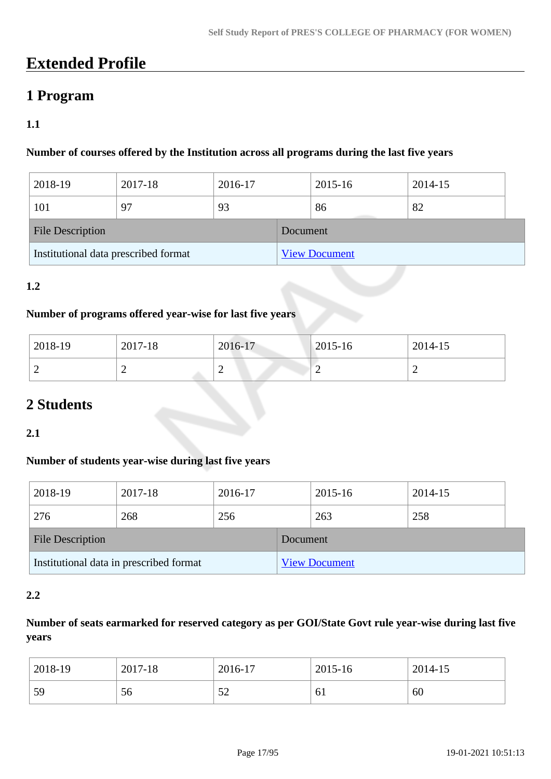# **Extended Profile**

# **1 Program**

### **1.1**

### **Number of courses offered by the Institution across all programs during the last five years**

| 2018-19                              | 2017-18 | 2016-17 |          | 2015-16              | 2014-15 |  |
|--------------------------------------|---------|---------|----------|----------------------|---------|--|
| 101                                  | 97      | 93      |          | 86                   | 82      |  |
| <b>File Description</b>              |         |         | Document |                      |         |  |
| Institutional data prescribed format |         |         |          | <b>View Document</b> |         |  |

### **1.2**

### **Number of programs offered year-wise for last five years**

| 2018-19 | 2017-18 | 2016-17 | $2015 - 16$ | 2014-15 |
|---------|---------|---------|-------------|---------|
| ∼       | _       | ┕       | ∽           | -       |

# **2 Students**

**2.1**

### **Number of students year-wise during last five years**

| 2018-19                                 | 2017-18 | 2016-17 |          | 2015-16              | 2014-15 |  |
|-----------------------------------------|---------|---------|----------|----------------------|---------|--|
| 276                                     | 268     | 256     |          | 263                  | 258     |  |
| <b>File Description</b>                 |         |         | Document |                      |         |  |
| Institutional data in prescribed format |         |         |          | <b>View Document</b> |         |  |

### **2.2**

### **Number of seats earmarked for reserved category as per GOI/State Govt rule year-wise during last five years**

| 2018-19 | 2017-18 | 2016-17 | 2015-16 | 2014-15 |
|---------|---------|---------|---------|---------|
| 59      | 56      | 52      | 01      | 60      |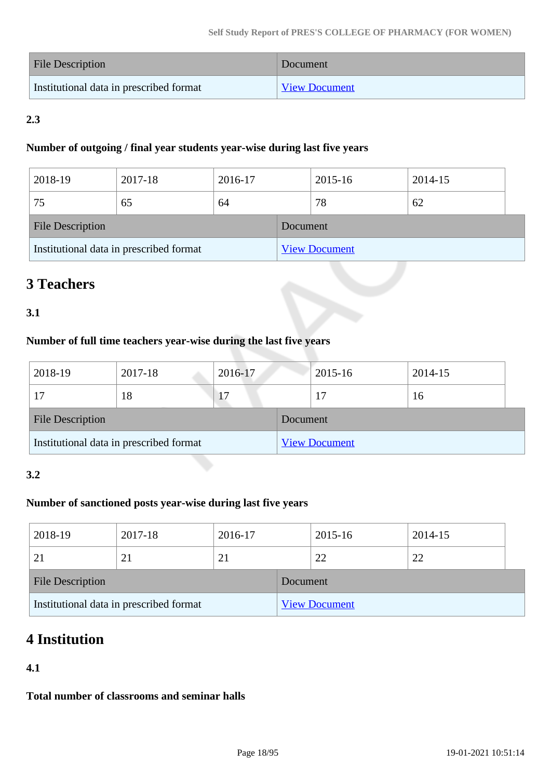| <b>File Description</b>                 | Document             |
|-----------------------------------------|----------------------|
| Institutional data in prescribed format | <b>View Document</b> |

### **2.3**

### **Number of outgoing / final year students year-wise during last five years**

| 2018-19                                 | 2017-18 | 2016-17 |          | 2015-16              | 2014-15 |  |
|-----------------------------------------|---------|---------|----------|----------------------|---------|--|
| 75                                      | 65      | 64      |          | 78                   | 62      |  |
| <b>File Description</b>                 |         |         | Document |                      |         |  |
| Institutional data in prescribed format |         |         |          | <b>View Document</b> |         |  |

# **3 Teachers**

### **3.1**

### **Number of full time teachers year-wise during the last five years**

| 2018-19                                 | 2017-18 | 2016-17 |                      | 2015-16 | 2014-15 |  |
|-----------------------------------------|---------|---------|----------------------|---------|---------|--|
| 17                                      | 18      |         |                      | 17      | 16      |  |
| <b>File Description</b>                 |         |         | Document             |         |         |  |
| Institutional data in prescribed format |         |         | <b>View Document</b> |         |         |  |

### **3.2**

### **Number of sanctioned posts year-wise during last five years**

| 2018-19                                 | 2017-18 | 2016-17  |                      | 2015-16 | 2014-15 |  |
|-----------------------------------------|---------|----------|----------------------|---------|---------|--|
|                                         | 21      | 21       |                      | 22      | 22      |  |
| <b>File Description</b>                 |         | Document |                      |         |         |  |
| Institutional data in prescribed format |         |          | <b>View Document</b> |         |         |  |

# **4 Institution**

### **4.1**

**Total number of classrooms and seminar halls**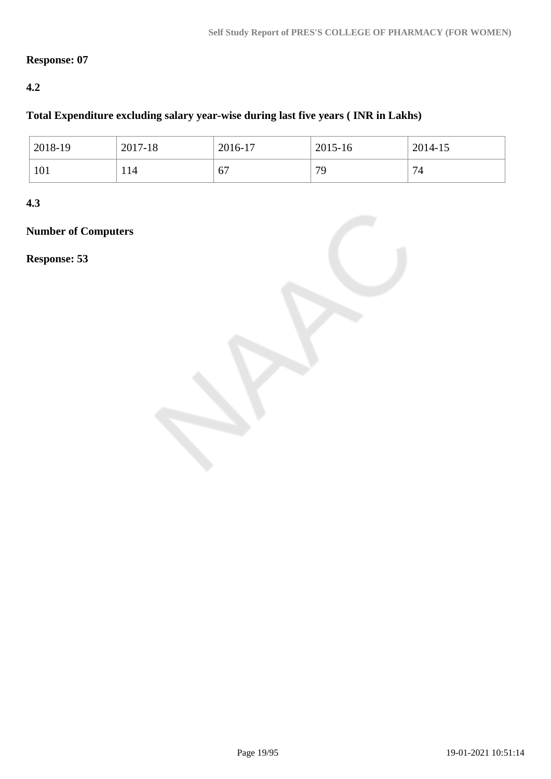### **Response: 07**

### **4.2**

### **Total Expenditure excluding salary year-wise during last five years ( INR in Lakhs)**

| 2018-19 | 2017-18 | 2016-17 | 2015-16 | 2014-15 |
|---------|---------|---------|---------|---------|
| 101     | 114     | 67      | 79      | −<br>74 |

**4.3**

### **Number of Computers**

**Response: 53**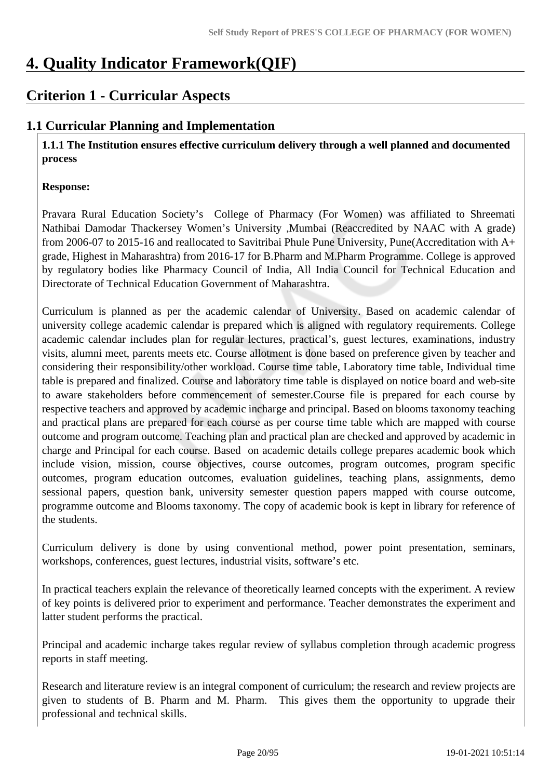# **4. Quality Indicator Framework(QIF)**

# **Criterion 1 - Curricular Aspects**

### **1.1 Curricular Planning and Implementation**

 **1.1.1 The Institution ensures effective curriculum delivery through a well planned and documented process**

### **Response:**

Pravara Rural Education Society's College of Pharmacy (For Women) was affiliated to Shreemati Nathibai Damodar Thackersey Women's University ,Mumbai (Reaccredited by NAAC with A grade) from 2006-07 to 2015-16 and reallocated to Savitribai Phule Pune University, Pune(Accreditation with A+ grade, Highest in Maharashtra) from 2016-17 for B.Pharm and M.Pharm Programme. College is approved by regulatory bodies like Pharmacy Council of India, All India Council for Technical Education and Directorate of Technical Education Government of Maharashtra.

Curriculum is planned as per the academic calendar of University. Based on academic calendar of university college academic calendar is prepared which is aligned with regulatory requirements. College academic calendar includes plan for regular lectures, practical's, guest lectures, examinations, industry visits, alumni meet, parents meets etc. Course allotment is done based on preference given by teacher and considering their responsibility/other workload. Course time table, Laboratory time table, Individual time table is prepared and finalized. Course and laboratory time table is displayed on notice board and web-site to aware stakeholders before commencement of semester.Course file is prepared for each course by respective teachers and approved by academic incharge and principal. Based on blooms taxonomy teaching and practical plans are prepared for each course as per course time table which are mapped with course outcome and program outcome. Teaching plan and practical plan are checked and approved by academic in charge and Principal for each course. Based on academic details college prepares academic book which include vision, mission, course objectives, course outcomes, program outcomes, program specific outcomes, program education outcomes, evaluation guidelines, teaching plans, assignments, demo sessional papers, question bank, university semester question papers mapped with course outcome, programme outcome and Blooms taxonomy. The copy of academic book is kept in library for reference of the students.

Curriculum delivery is done by using conventional method, power point presentation, seminars, workshops, conferences, guest lectures, industrial visits, software's etc.

In practical teachers explain the relevance of theoretically learned concepts with the experiment. A review of key points is delivered prior to experiment and performance. Teacher demonstrates the experiment and latter student performs the practical.

Principal and academic incharge takes regular review of syllabus completion through academic progress reports in staff meeting.

Research and literature review is an integral component of curriculum; the research and review projects are given to students of B. Pharm and M. Pharm. This gives them the opportunity to upgrade their professional and technical skills.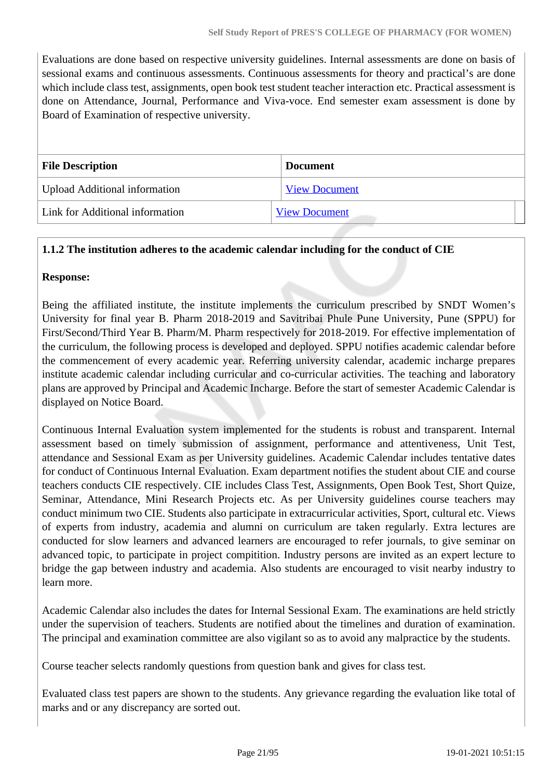Evaluations are done based on respective university guidelines. Internal assessments are done on basis of sessional exams and continuous assessments. Continuous assessments for theory and practical's are done which include class test, assignments, open book test student teacher interaction etc. Practical assessment is done on Attendance, Journal, Performance and Viva-voce. End semester exam assessment is done by Board of Examination of respective university.

| <b>File Description</b>              | <b>Document</b>      |
|--------------------------------------|----------------------|
| <b>Upload Additional information</b> | <b>View Document</b> |
| Link for Additional information      | <b>View Document</b> |

#### **1.1.2 The institution adheres to the academic calendar including for the conduct of CIE**

#### **Response:**

Being the affiliated institute, the institute implements the curriculum prescribed by SNDT Women's University for final year B. Pharm 2018-2019 and Savitribai Phule Pune University, Pune (SPPU) for First/Second/Third Year B. Pharm/M. Pharm respectively for 2018-2019. For effective implementation of the curriculum, the following process is developed and deployed. SPPU notifies academic calendar before the commencement of every academic year. Referring university calendar, academic incharge prepares institute academic calendar including curricular and co-curricular activities. The teaching and laboratory plans are approved by Principal and Academic Incharge. Before the start of semester Academic Calendar is displayed on Notice Board.

Continuous Internal Evaluation system implemented for the students is robust and transparent. Internal assessment based on timely submission of assignment, performance and attentiveness, Unit Test, attendance and Sessional Exam as per University guidelines. Academic Calendar includes tentative dates for conduct of Continuous Internal Evaluation. Exam department notifies the student about CIE and course teachers conducts CIE respectively. CIE includes Class Test, Assignments, Open Book Test, Short Quize, Seminar, Attendance, Mini Research Projects etc. As per University guidelines course teachers may conduct minimum two CIE. Students also participate in extracurricular activities, Sport, cultural etc. Views of experts from industry, academia and alumni on curriculum are taken regularly. Extra lectures are conducted for slow learners and advanced learners are encouraged to refer journals, to give seminar on advanced topic, to participate in project compitition. Industry persons are invited as an expert lecture to bridge the gap between industry and academia. Also students are encouraged to visit nearby industry to learn more.

Academic Calendar also includes the dates for Internal Sessional Exam. The examinations are held strictly under the supervision of teachers. Students are notified about the timelines and duration of examination. The principal and examination committee are also vigilant so as to avoid any malpractice by the students.

Course teacher selects randomly questions from question bank and gives for class test.

Evaluated class test papers are shown to the students. Any grievance regarding the evaluation like total of marks and or any discrepancy are sorted out.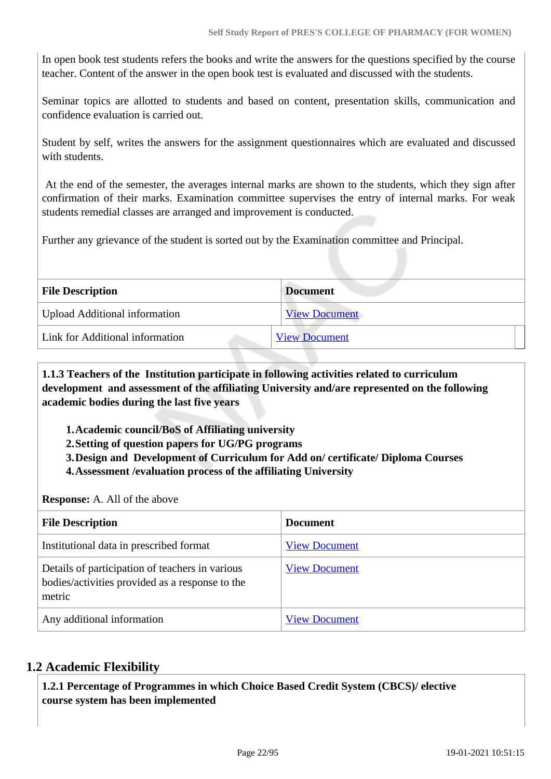In open book test students refers the books and write the answers for the questions specified by the course teacher. Content of the answer in the open book test is evaluated and discussed with the students.

Seminar topics are allotted to students and based on content, presentation skills, communication and confidence evaluation is carried out.

Student by self, writes the answers for the assignment questionnaires which are evaluated and discussed with students.

 At the end of the semester, the averages internal marks are shown to the students, which they sign after confirmation of their marks. Examination committee supervises the entry of internal marks. For weak students remedial classes are arranged and improvement is conducted.

Further any grievance of the student is sorted out by the Examination committee and Principal.

| <b>File Description</b>              | <b>Document</b>      |
|--------------------------------------|----------------------|
| <b>Upload Additional information</b> | <b>View Document</b> |
| Link for Additional information      | <b>View Document</b> |

### **1.1.3 Teachers of the Institution participate in following activities related to curriculum development and assessment of the affiliating University and/are represented on the following academic bodies during the last five years**

- **1.Academic council/BoS of Affiliating university**
- **2.Setting of question papers for UG/PG programs**

**3.Design and Development of Curriculum for Add on/ certificate/ Diploma Courses** 

**4.Assessment /evaluation process of the affiliating University**

**Response:** A. All of the above

| <b>File Description</b>                                                                                      | <b>Document</b>      |
|--------------------------------------------------------------------------------------------------------------|----------------------|
| Institutional data in prescribed format                                                                      | <b>View Document</b> |
| Details of participation of teachers in various<br>bodies/activities provided as a response to the<br>metric | <b>View Document</b> |
| Any additional information                                                                                   | <b>View Document</b> |

### **1.2 Academic Flexibility**

 **1.2.1 Percentage of Programmes in which Choice Based Credit System (CBCS)/ elective course system has been implemented**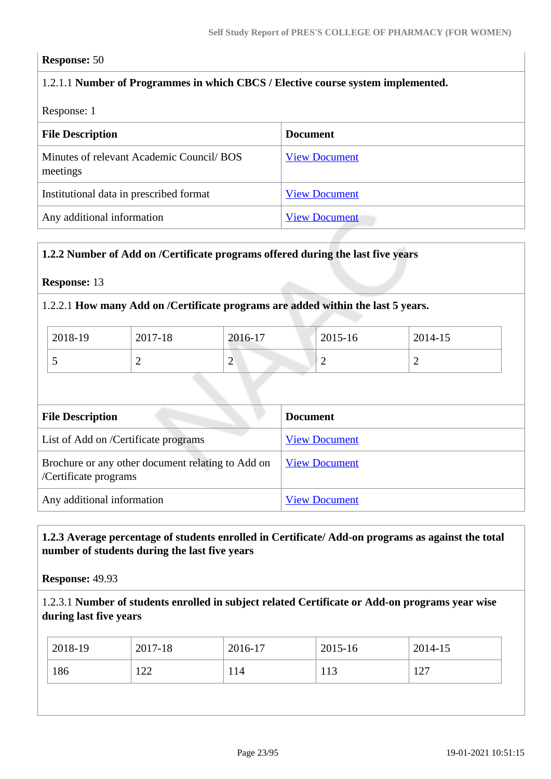### **Response:** 50

### 1.2.1.1 **Number of Programmes in which CBCS / Elective course system implemented.**

### Response: 1

| <b>File Description</b>                              | <b>Document</b>      |
|------------------------------------------------------|----------------------|
| Minutes of relevant Academic Council/BOS<br>meetings | <b>View Document</b> |
| Institutional data in prescribed format              | <b>View Document</b> |
| Any additional information                           | <b>View Document</b> |

### **1.2.2 Number of Add on /Certificate programs offered during the last five years**

### **Response:** 13

### 1.2.2.1 **How many Add on /Certificate programs are added within the last 5 years.**

| 2018-19 | 2017-18 | $2016-17$ | 2015-16 | 2014-15 |
|---------|---------|-----------|---------|---------|
| $\sim$  | ∼       | ∽         | ∸       | ∽       |

| <b>File Description</b>                                                    | <b>Document</b>      |
|----------------------------------------------------------------------------|----------------------|
| List of Add on /Certificate programs                                       | <b>View Document</b> |
| Brochure or any other document relating to Add on<br>/Certificate programs | <b>View Document</b> |
| Any additional information                                                 | <b>View Document</b> |

### **1.2.3 Average percentage of students enrolled in Certificate/ Add-on programs as against the total number of students during the last five years**

**Response:** 49.93

1.2.3.1 **Number of students enrolled in subject related Certificate or Add-on programs year wise during last five years**

| 186<br>$1 \cap T$<br>ററ<br>114<br>113<br>144<br>$1 \leq l$ | 2018-19 | 2017-18 | 2016-17 | 2015-16 | 2014-15 |
|------------------------------------------------------------|---------|---------|---------|---------|---------|
|                                                            |         |         |         |         |         |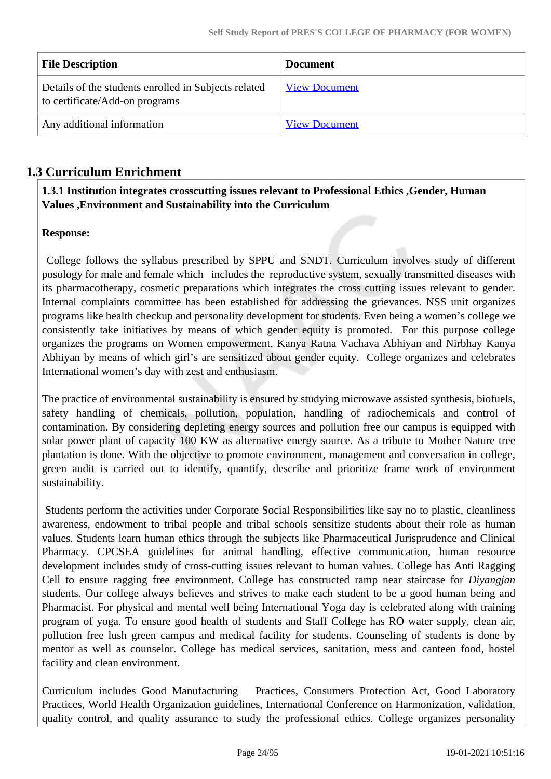| <b>File Description</b>                                                                | <b>Document</b>      |
|----------------------------------------------------------------------------------------|----------------------|
| Details of the students enrolled in Subjects related<br>to certificate/Add-on programs | <b>View Document</b> |
| Any additional information                                                             | <b>View Document</b> |

### **1.3 Curriculum Enrichment**

 **1.3.1 Institution integrates crosscutting issues relevant to Professional Ethics ,Gender, Human Values ,Environment and Sustainability into the Curriculum**

### **Response:**

 College follows the syllabus prescribed by SPPU and SNDT. Curriculum involves study of different posology for male and female which includes the reproductive system, sexually transmitted diseases with its pharmacotherapy, cosmetic preparations which integrates the cross cutting issues relevant to gender. Internal complaints committee has been established for addressing the grievances. NSS unit organizes programs like health checkup and personality development for students. Even being a women's college we consistently take initiatives by means of which gender equity is promoted. For this purpose college organizes the programs on Women empowerment, Kanya Ratna Vachava Abhiyan and Nirbhay Kanya Abhiyan by means of which girl's are sensitized about gender equity. College organizes and celebrates International women's day with zest and enthusiasm.

The practice of environmental sustainability is ensured by studying microwave assisted synthesis, biofuels, safety handling of chemicals, pollution, population, handling of radiochemicals and control of contamination. By considering depleting energy sources and pollution free our campus is equipped with solar power plant of capacity 100 KW as alternative energy source. As a tribute to Mother Nature tree plantation is done. With the objective to promote environment, management and conversation in college, green audit is carried out to identify, quantify, describe and prioritize frame work of environment sustainability.

 Students perform the activities under Corporate Social Responsibilities like say no to plastic, cleanliness awareness, endowment to tribal people and tribal schools sensitize students about their role as human values. Students learn human ethics through the subjects like Pharmaceutical Jurisprudence and Clinical Pharmacy. CPCSEA guidelines for animal handling, effective communication, human resource development includes study of cross-cutting issues relevant to human values. College has Anti Ragging Cell to ensure ragging free environment. College has constructed ramp near staircase for *Diyangjan* students. Our college always believes and strives to make each student to be a good human being and Pharmacist. For physical and mental well being International Yoga day is celebrated along with training program of yoga. To ensure good health of students and Staff College has RO water supply, clean air, pollution free lush green campus and medical facility for students. Counseling of students is done by mentor as well as counselor. College has medical services, sanitation, mess and canteen food, hostel facility and clean environment.

Curriculum includes Good Manufacturing Practices, Consumers Protection Act, Good Laboratory Practices, World Health Organization guidelines, International Conference on Harmonization, validation, quality control, and quality assurance to study the professional ethics. College organizes personality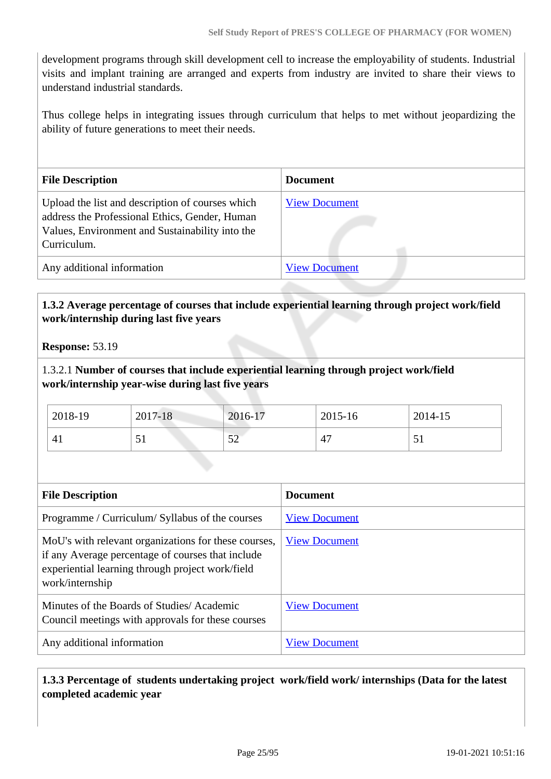development programs through skill development cell to increase the employability of students. Industrial visits and implant training are arranged and experts from industry are invited to share their views to understand industrial standards.

Thus college helps in integrating issues through curriculum that helps to met without jeopardizing the ability of future generations to meet their needs.

| <b>File Description</b>                                                                                                                                              | <b>Document</b>      |
|----------------------------------------------------------------------------------------------------------------------------------------------------------------------|----------------------|
| Upload the list and description of courses which<br>address the Professional Ethics, Gender, Human<br>Values, Environment and Sustainability into the<br>Curriculum. | <b>View Document</b> |
| Any additional information                                                                                                                                           | <b>View Document</b> |

### **1.3.2 Average percentage of courses that include experiential learning through project work/field work/internship during last five years**

**Response:** 53.19

### 1.3.2.1 **Number of courses that include experiential learning through project work/field work/internship year-wise during last five years**

| 2018-19 | 2017-18 | 2016-17   | 2015-16 | 2014-15 |
|---------|---------|-----------|---------|---------|
| $4_{1}$ | ◡▴      | 50<br>ے ر | 4.      | ◡▴      |

| <b>File Description</b>                                                                                                                                                          | <b>Document</b>      |
|----------------------------------------------------------------------------------------------------------------------------------------------------------------------------------|----------------------|
| Programme / Curriculum/ Syllabus of the courses                                                                                                                                  | <b>View Document</b> |
| MoU's with relevant organizations for these courses,<br>if any Average percentage of courses that include<br>experiential learning through project work/field<br>work/internship | <b>View Document</b> |
| Minutes of the Boards of Studies/Academic<br>Council meetings with approvals for these courses                                                                                   | <b>View Document</b> |
| Any additional information                                                                                                                                                       | <b>View Document</b> |

### **1.3.3 Percentage of students undertaking project work/field work/ internships (Data for the latest completed academic year**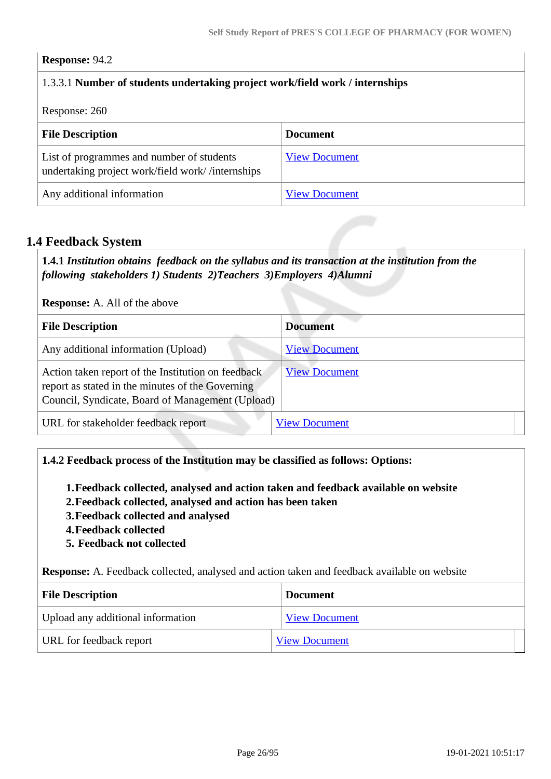### **Response:** 94.2

### 1.3.3.1 **Number of students undertaking project work/field work / internships**

Response: 260

| <b>File Description</b>                                                                       | <b>Document</b>      |
|-----------------------------------------------------------------------------------------------|----------------------|
| List of programmes and number of students<br>undertaking project work/field work//internships | <b>View Document</b> |
| Any additional information                                                                    | <b>View Document</b> |

### **1.4 Feedback System**

 **1.4.1** *Institution obtains feedback on the syllabus and its transaction at the institution from the following stakeholders 1) Students 2)Teachers 3)Employers 4)Alumni* 

**Response:** A. All of the above

| <b>File Description</b>                                                                                                                                    | <b>Document</b>      |
|------------------------------------------------------------------------------------------------------------------------------------------------------------|----------------------|
| Any additional information (Upload)                                                                                                                        | <b>View Document</b> |
| Action taken report of the Institution on feedback<br>report as stated in the minutes of the Governing<br>Council, Syndicate, Board of Management (Upload) | <b>View Document</b> |
| URL for stakeholder feedback report                                                                                                                        | <b>View Document</b> |

**1.4.2 Feedback process of the Institution may be classified as follows: Options:**

**1.Feedback collected, analysed and action taken and feedback available on website**

- **2.Feedback collected, analysed and action has been taken**
- **3.Feedback collected and analysed**
- **4.Feedback collected**
- **5. Feedback not collected**

**Response:** A. Feedback collected, analysed and action taken and feedback available on website

| <b>File Description</b>           | <b>Document</b>      |
|-----------------------------------|----------------------|
| Upload any additional information | <b>View Document</b> |
| URL for feedback report           | <b>View Document</b> |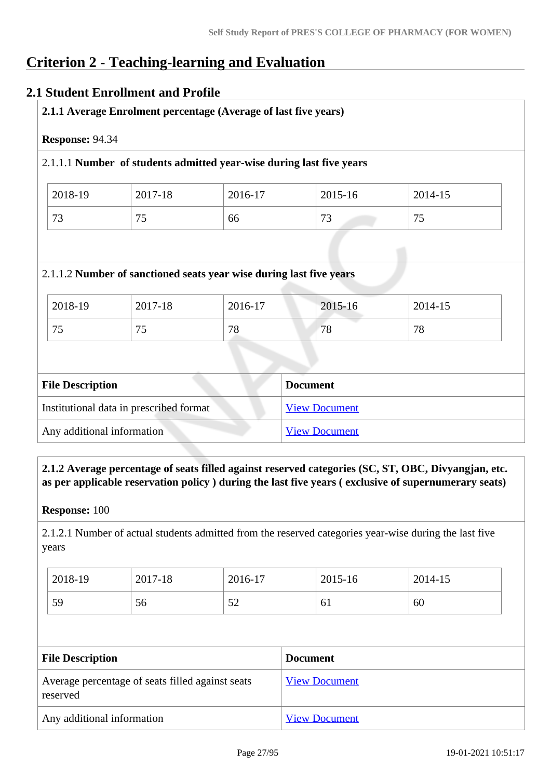# **Criterion 2 - Teaching-learning and Evaluation**

### **2.1 Student Enrollment and Profile**

| Response: 94.34 |         | 2.1.1.1 Number of students admitted year-wise during last five years      |         |         |
|-----------------|---------|---------------------------------------------------------------------------|---------|---------|
| 2018-19         | 2017-18 | 2016-17                                                                   | 2015-16 | 2014-15 |
|                 |         |                                                                           |         |         |
| 73              | 75      | 66<br>2.1.1.2 Number of sanctioned seats year wise during last five years | 73      | 75      |
| 2018-19         | 2017-18 | 2016-17                                                                   | 2015-16 | 2014-15 |

| Institutional data in prescribed format | <b>View Document</b> |
|-----------------------------------------|----------------------|
| Any additional information              | <b>View Document</b> |

 **2.1.2 Average percentage of seats filled against reserved categories (SC, ST, OBC, Divyangjan, etc. as per applicable reservation policy ) during the last five years ( exclusive of supernumerary seats)**

**Response:** 100

2.1.2.1 Number of actual students admitted from the reserved categories year-wise during the last five years

| 2018-19 | 2017-18 | 2016-17   | 2015-16 | 2014-15 |
|---------|---------|-----------|---------|---------|
| 59      | 56      | 52<br>ے ر | 61      | 60      |

| <b>File Description</b>                                      | <b>Document</b>      |
|--------------------------------------------------------------|----------------------|
| Average percentage of seats filled against seats<br>reserved | <b>View Document</b> |
| Any additional information                                   | <b>View Document</b> |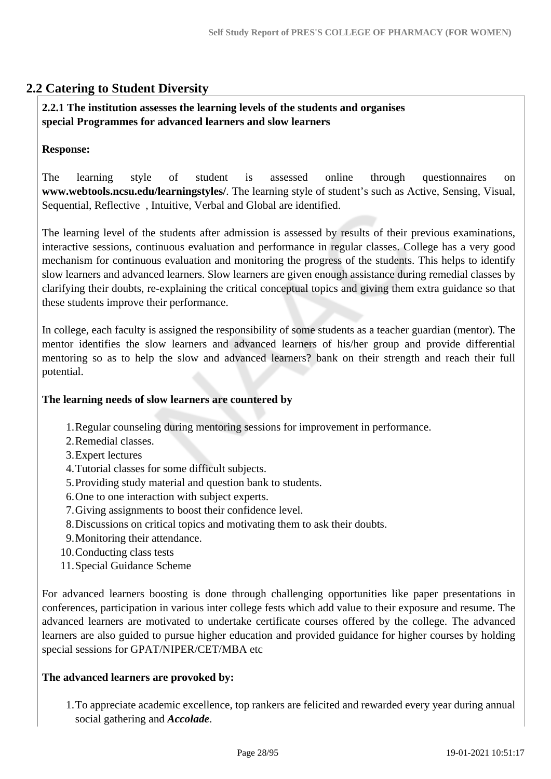### **2.2 Catering to Student Diversity**

### **2.2.1 The institution assesses the learning levels of the students and organises special Programmes for advanced learners and slow learners**

### **Response:**

The learning style of student is assessed online through questionnaires on **www.webtools.ncsu.edu/learningstyles/**. The learning style of student's such as Active, Sensing, Visual, Sequential, Reflective , Intuitive, Verbal and Global are identified.

The learning level of the students after admission is assessed by results of their previous examinations, interactive sessions, continuous evaluation and performance in regular classes. College has a very good mechanism for continuous evaluation and monitoring the progress of the students. This helps to identify slow learners and advanced learners. Slow learners are given enough assistance during remedial classes by clarifying their doubts, re-explaining the critical conceptual topics and giving them extra guidance so that these students improve their performance.

In college, each faculty is assigned the responsibility of some students as a teacher guardian (mentor). The mentor identifies the slow learners and advanced learners of his/her group and provide differential mentoring so as to help the slow and advanced learners? bank on their strength and reach their full potential.

### **The learning needs of slow learners are countered by**

- 1.Regular counseling during mentoring sessions for improvement in performance.
- 2.Remedial classes.
- 3.Expert lectures
- 4.Tutorial classes for some difficult subjects.
- 5.Providing study material and question bank to students.
- 6.One to one interaction with subject experts.
- 7.Giving assignments to boost their confidence level.
- 8.Discussions on critical topics and motivating them to ask their doubts.
- 9.Monitoring their attendance.
- 10.Conducting class tests
- 11.Special Guidance Scheme

For advanced learners boosting is done through challenging opportunities like paper presentations in conferences, participation in various inter college fests which add value to their exposure and resume. The advanced learners are motivated to undertake certificate courses offered by the college. The advanced learners are also guided to pursue higher education and provided guidance for higher courses by holding special sessions for GPAT/NIPER/CET/MBA etc

### **The advanced learners are provoked by:**

1.To appreciate academic excellence, top rankers are felicited and rewarded every year during annual social gathering and *Accolade*.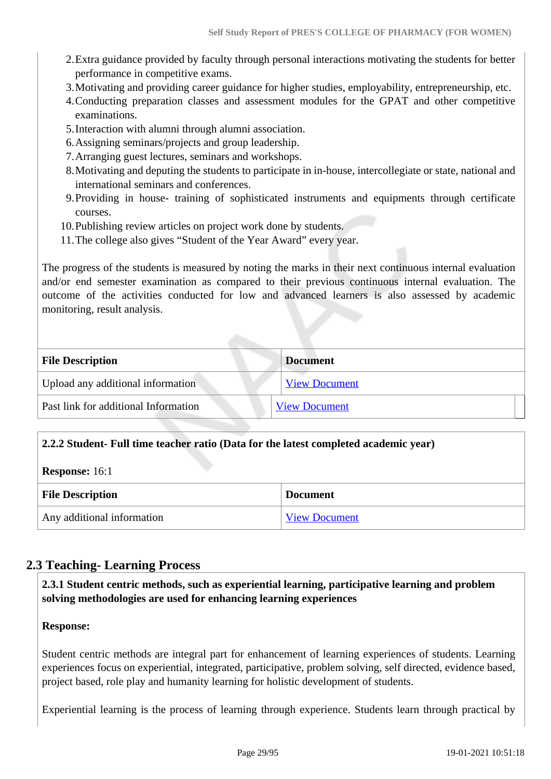- 2.Extra guidance provided by faculty through personal interactions motivating the students for better performance in competitive exams.
- 3.Motivating and providing career guidance for higher studies, employability, entrepreneurship, etc.
- 4.Conducting preparation classes and assessment modules for the GPAT and other competitive examinations.
- 5.Interaction with alumni through alumni association.
- 6.Assigning seminars/projects and group leadership.
- 7.Arranging guest lectures, seminars and workshops.
- 8.Motivating and deputing the students to participate in in-house, intercollegiate or state, national and international seminars and conferences.
- 9.Providing in house- training of sophisticated instruments and equipments through certificate courses.
- 10.Publishing review articles on project work done by students.
- 11.The college also gives "Student of the Year Award" every year.

The progress of the students is measured by noting the marks in their next continuous internal evaluation and/or end semester examination as compared to their previous continuous internal evaluation. The outcome of the activities conducted for low and advanced learners is also assessed by academic monitoring, result analysis.

| <b>File Description</b>              | <b>Document</b>      |
|--------------------------------------|----------------------|
| Upload any additional information    | <b>View Document</b> |
| Past link for additional Information | <b>View Document</b> |

### **2.2.2 Student- Full time teacher ratio (Data for the latest completed academic year)**

#### **Response:** 16:1

| <b>File Description</b>    | <b>Document</b>      |  |
|----------------------------|----------------------|--|
| Any additional information | <b>View Document</b> |  |

### **2.3 Teaching- Learning Process**

 **2.3.1 Student centric methods, such as experiential learning, participative learning and problem solving methodologies are used for enhancing learning experiences**

### **Response:**

Student centric methods are integral part for enhancement of learning experiences of students. Learning experiences focus on experiential, integrated, participative, problem solving, self directed, evidence based, project based, role play and humanity learning for holistic development of students.

Experiential learning is the process of learning through experience. Students learn through practical by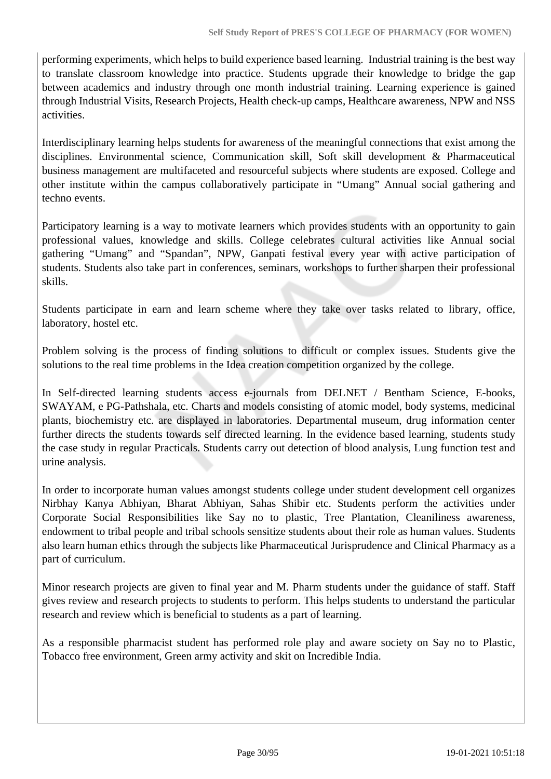performing experiments, which helps to build experience based learning. Industrial training is the best way to translate classroom knowledge into practice. Students upgrade their knowledge to bridge the gap between academics and industry through one month industrial training. Learning experience is gained through Industrial Visits, Research Projects, Health check-up camps, Healthcare awareness, NPW and NSS activities.

Interdisciplinary learning helps students for awareness of the meaningful connections that exist among the disciplines. Environmental science, Communication skill, Soft skill development & Pharmaceutical business management are multifaceted and resourceful subjects where students are exposed. College and other institute within the campus collaboratively participate in "Umang" Annual social gathering and techno events.

Participatory learning is a way to motivate learners which provides students with an opportunity to gain professional values, knowledge and skills. College celebrates cultural activities like Annual social gathering "Umang" and "Spandan", NPW, Ganpati festival every year with active participation of students. Students also take part in conferences, seminars, workshops to further sharpen their professional skills.

Students participate in earn and learn scheme where they take over tasks related to library, office, laboratory, hostel etc.

Problem solving is the process of finding solutions to difficult or complex issues. Students give the solutions to the real time problems in the Idea creation competition organized by the college.

In Self-directed learning students access e-journals from DELNET / Bentham Science, E-books, SWAYAM, e PG-Pathshala, etc. Charts and models consisting of atomic model, body systems, medicinal plants, biochemistry etc. are displayed in laboratories. Departmental museum, drug information center further directs the students towards self directed learning. In the evidence based learning, students study the case study in regular Practicals. Students carry out detection of blood analysis, Lung function test and urine analysis.

In order to incorporate human values amongst students college under student development cell organizes Nirbhay Kanya Abhiyan, Bharat Abhiyan, Sahas Shibir etc. Students perform the activities under Corporate Social Responsibilities like Say no to plastic, Tree Plantation, Cleaniliness awareness, endowment to tribal people and tribal schools sensitize students about their role as human values. Students also learn human ethics through the subjects like Pharmaceutical Jurisprudence and Clinical Pharmacy as a part of curriculum.

Minor research projects are given to final year and M. Pharm students under the guidance of staff. Staff gives review and research projects to students to perform. This helps students to understand the particular research and review which is beneficial to students as a part of learning.

As a responsible pharmacist student has performed role play and aware society on Say no to Plastic, Tobacco free environment, Green army activity and skit on Incredible India.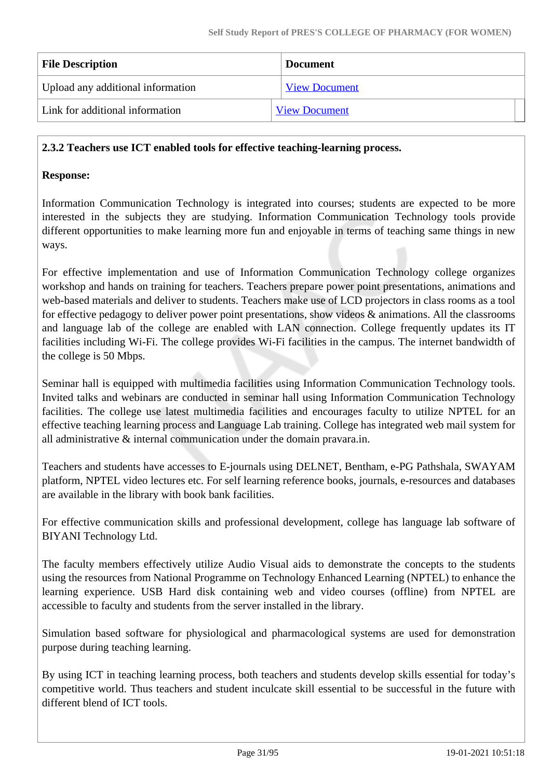| <b>File Description</b>           | <b>Document</b>      |  |
|-----------------------------------|----------------------|--|
| Upload any additional information | <b>View Document</b> |  |
| Link for additional information   | <b>View Document</b> |  |

### **2.3.2 Teachers use ICT enabled tools for effective teaching-learning process.**

### **Response:**

Information Communication Technology is integrated into courses; students are expected to be more interested in the subjects they are studying. Information Communication Technology tools provide different opportunities to make learning more fun and enjoyable in terms of teaching same things in new ways.

For effective implementation and use of Information Communication Technology college organizes workshop and hands on training for teachers. Teachers prepare power point presentations, animations and web-based materials and deliver to students. Teachers make use of LCD projectors in class rooms as a tool for effective pedagogy to deliver power point presentations, show videos & animations. All the classrooms and language lab of the college are enabled with LAN connection. College frequently updates its IT facilities including Wi-Fi. The college provides Wi-Fi facilities in the campus. The internet bandwidth of the college is 50 Mbps.

Seminar hall is equipped with multimedia facilities using Information Communication Technology tools. Invited talks and webinars are conducted in seminar hall using Information Communication Technology facilities. The college use latest multimedia facilities and encourages faculty to utilize NPTEL for an effective teaching learning process and Language Lab training. College has integrated web mail system for all administrative & internal communication under the domain pravara.in.

Teachers and students have accesses to E-journals using DELNET, Bentham, e-PG Pathshala, SWAYAM platform, NPTEL video lectures etc. For self learning reference books, journals, e-resources and databases are available in the library with book bank facilities.

For effective communication skills and professional development, college has language lab software of BIYANI Technology Ltd.

The faculty members effectively utilize Audio Visual aids to demonstrate the concepts to the students using the resources from National Programme on Technology Enhanced Learning (NPTEL) to enhance the learning experience. USB Hard disk containing web and video courses (offline) from NPTEL are accessible to faculty and students from the server installed in the library.

Simulation based software for physiological and pharmacological systems are used for demonstration purpose during teaching learning.

By using ICT in teaching learning process, both teachers and students develop skills essential for today's competitive world. Thus teachers and student inculcate skill essential to be successful in the future with different blend of ICT tools.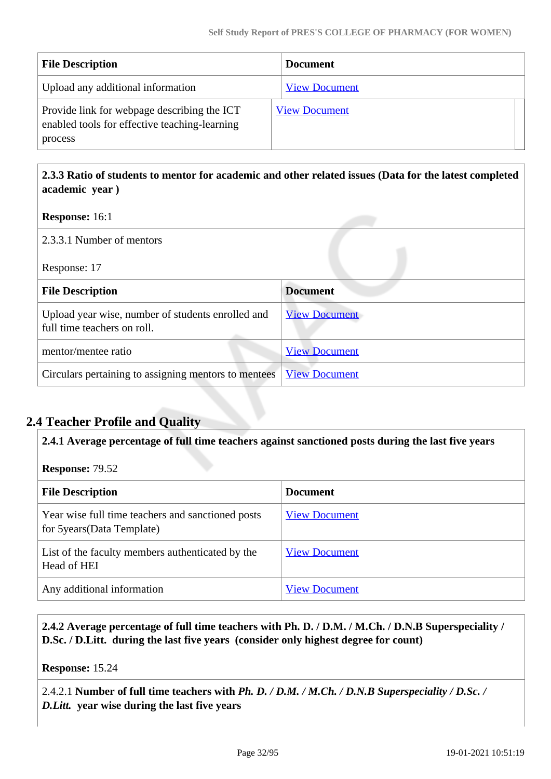| <b>File Description</b>                                                                                 | <b>Document</b>      |
|---------------------------------------------------------------------------------------------------------|----------------------|
| Upload any additional information                                                                       | <b>View Document</b> |
| Provide link for webpage describing the ICT<br>enabled tools for effective teaching-learning<br>process | <b>View Document</b> |

### **2.3.3 Ratio of students to mentor for academic and other related issues (Data for the latest completed academic year )**

| <b>Response: 16:1</b> |
|-----------------------|
|                       |

| 2.3.3.1 Number of mentors                                                        |                      |  |
|----------------------------------------------------------------------------------|----------------------|--|
| Response: 17                                                                     |                      |  |
| <b>File Description</b>                                                          | <b>Document</b>      |  |
| Upload year wise, number of students enrolled and<br>full time teachers on roll. | <b>View Document</b> |  |
| mentor/mentee ratio                                                              | <b>View Document</b> |  |
| Circulars pertaining to assigning mentors to mentees                             | <b>View Document</b> |  |

## **2.4 Teacher Profile and Quality**

**2.4.1 Average percentage of full time teachers against sanctioned posts during the last five years**

**Response:** 79.52

| <b>File Description</b>                                                         | <b>Document</b>      |
|---------------------------------------------------------------------------------|----------------------|
| Year wise full time teachers and sanctioned posts<br>for 5years (Data Template) | <b>View Document</b> |
| List of the faculty members authenticated by the<br>Head of HEI                 | <b>View Document</b> |
| Any additional information                                                      | <b>View Document</b> |

 **2.4.2 Average percentage of full time teachers with Ph. D. / D.M. / M.Ch. / D.N.B Superspeciality / D.Sc. / D.Litt. during the last five years (consider only highest degree for count)**

**Response:** 15.24

2.4.2.1 **Number of full time teachers with** *Ph. D. / D.M. / M.Ch. / D.N.B Superspeciality / D.Sc. / D.Litt.* **year wise during the last five years**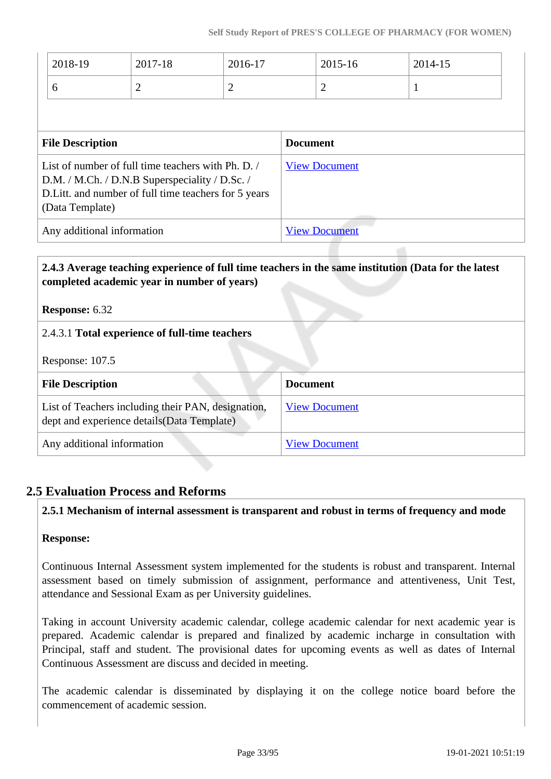| 2018-19                                                                                                                                                                          |  | 2017-18              | 2016-17 |                      | $2015 - 16$    |  | 2014-15 |  |
|----------------------------------------------------------------------------------------------------------------------------------------------------------------------------------|--|----------------------|---------|----------------------|----------------|--|---------|--|
| 6                                                                                                                                                                                |  | $\overline{2}$       | 2       |                      | $\overline{2}$ |  | 1       |  |
|                                                                                                                                                                                  |  |                      |         |                      |                |  |         |  |
| <b>File Description</b>                                                                                                                                                          |  | <b>Document</b>      |         |                      |                |  |         |  |
| List of number of full time teachers with Ph. D. /<br>D.M. / M.Ch. / D.N.B Superspeciality / D.Sc. /<br>D. Litt. and number of full time teachers for 5 years<br>(Data Template) |  | <b>View Document</b> |         |                      |                |  |         |  |
| Any additional information                                                                                                                                                       |  |                      |         | <b>View Document</b> |                |  |         |  |

### **2.4.3 Average teaching experience of full time teachers in the same institution (Data for the latest completed academic year in number of years)**

**Response:** 6.32

| $\bf{R}$ $\bf{D}$ $\bf{D}$ $\bf{D}$ $\bf{D}$ $\bf{D}$ $\bf{D}$ $\bf{D}$ $\bf{D}$ $\bf{D}$ $\bf{D}$ $\bf{D}$ $\bf{D}$ |                      |  |
|----------------------------------------------------------------------------------------------------------------------|----------------------|--|
| 2.4.3.1 Total experience of full-time teachers                                                                       |                      |  |
| Response: 107.5                                                                                                      |                      |  |
| <b>File Description</b>                                                                                              | <b>Document</b>      |  |
| List of Teachers including their PAN, designation,<br>dept and experience details (Data Template)                    | <b>View Document</b> |  |
| Any additional information                                                                                           | <b>View Document</b> |  |

### **2.5 Evaluation Process and Reforms**

### **2.5.1 Mechanism of internal assessment is transparent and robust in terms of frequency and mode**

### **Response:**

Continuous Internal Assessment system implemented for the students is robust and transparent. Internal assessment based on timely submission of assignment, performance and attentiveness, Unit Test, attendance and Sessional Exam as per University guidelines.

Taking in account University academic calendar, college academic calendar for next academic year is prepared. Academic calendar is prepared and finalized by academic incharge in consultation with Principal, staff and student. The provisional dates for upcoming events as well as dates of Internal Continuous Assessment are discuss and decided in meeting.

The academic calendar is disseminated by displaying it on the college notice board before the commencement of academic session.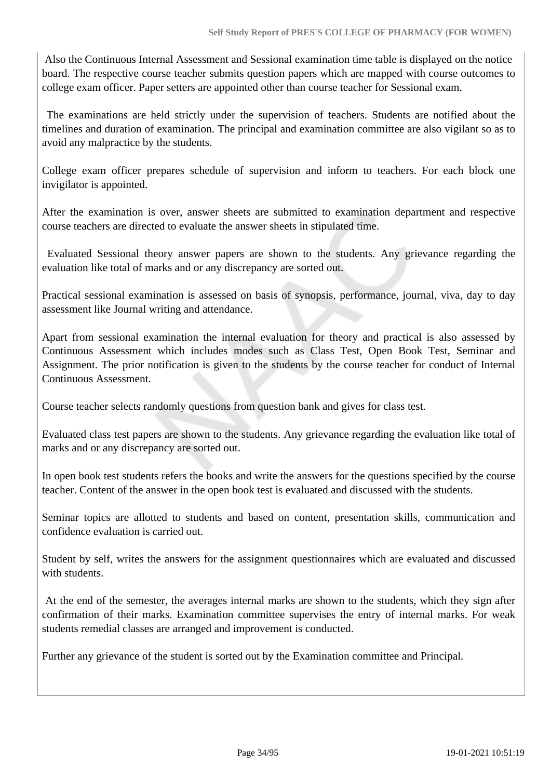Also the Continuous Internal Assessment and Sessional examination time table is displayed on the notice board. The respective course teacher submits question papers which are mapped with course outcomes to college exam officer. Paper setters are appointed other than course teacher for Sessional exam.

 The examinations are held strictly under the supervision of teachers. Students are notified about the timelines and duration of examination. The principal and examination committee are also vigilant so as to avoid any malpractice by the students.

College exam officer prepares schedule of supervision and inform to teachers. For each block one invigilator is appointed.

After the examination is over, answer sheets are submitted to examination department and respective course teachers are directed to evaluate the answer sheets in stipulated time.

 Evaluated Sessional theory answer papers are shown to the students. Any grievance regarding the evaluation like total of marks and or any discrepancy are sorted out.

Practical sessional examination is assessed on basis of synopsis, performance, journal, viva, day to day assessment like Journal writing and attendance.

Apart from sessional examination the internal evaluation for theory and practical is also assessed by Continuous Assessment which includes modes such as Class Test, Open Book Test, Seminar and Assignment. The prior notification is given to the students by the course teacher for conduct of Internal Continuous Assessment.

Course teacher selects randomly questions from question bank and gives for class test.

Evaluated class test papers are shown to the students. Any grievance regarding the evaluation like total of marks and or any discrepancy are sorted out.

In open book test students refers the books and write the answers for the questions specified by the course teacher. Content of the answer in the open book test is evaluated and discussed with the students.

Seminar topics are allotted to students and based on content, presentation skills, communication and confidence evaluation is carried out.

Student by self, writes the answers for the assignment questionnaires which are evaluated and discussed with students.

 At the end of the semester, the averages internal marks are shown to the students, which they sign after confirmation of their marks. Examination committee supervises the entry of internal marks. For weak students remedial classes are arranged and improvement is conducted.

Further any grievance of the student is sorted out by the Examination committee and Principal.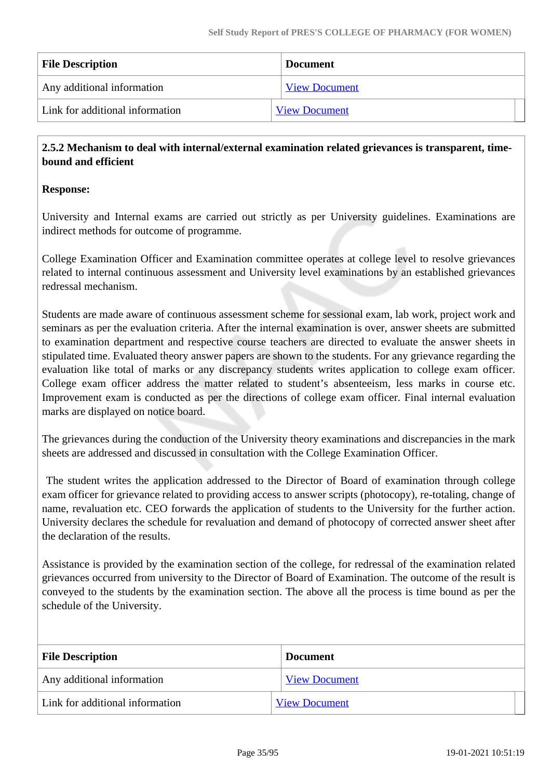| <b>File Description</b>         | <b>Document</b>      |  |
|---------------------------------|----------------------|--|
| Any additional information      | <b>View Document</b> |  |
| Link for additional information | <b>View Document</b> |  |

 **2.5.2 Mechanism to deal with internal/external examination related grievances is transparent, timebound and efficient** 

### **Response:**

University and Internal exams are carried out strictly as per University guidelines. Examinations are indirect methods for outcome of programme.

College Examination Officer and Examination committee operates at college level to resolve grievances related to internal continuous assessment and University level examinations by an established grievances redressal mechanism.

Students are made aware of continuous assessment scheme for sessional exam, lab work, project work and seminars as per the evaluation criteria. After the internal examination is over, answer sheets are submitted to examination department and respective course teachers are directed to evaluate the answer sheets in stipulated time. Evaluated theory answer papers are shown to the students. For any grievance regarding the evaluation like total of marks or any discrepancy students writes application to college exam officer. College exam officer address the matter related to student's absenteeism, less marks in course etc. Improvement exam is conducted as per the directions of college exam officer. Final internal evaluation marks are displayed on notice board.

The grievances during the conduction of the University theory examinations and discrepancies in the mark sheets are addressed and discussed in consultation with the College Examination Officer.

 The student writes the application addressed to the Director of Board of examination through college exam officer for grievance related to providing access to answer scripts (photocopy), re-totaling, change of name, revaluation etc. CEO forwards the application of students to the University for the further action. University declares the schedule for revaluation and demand of photocopy of corrected answer sheet after the declaration of the results.

Assistance is provided by the examination section of the college, for redressal of the examination related grievances occurred from university to the Director of Board of Examination. The outcome of the result is conveyed to the students by the examination section. The above all the process is time bound as per the schedule of the University.

| <b>File Description</b>         | <b>Document</b>      |
|---------------------------------|----------------------|
| Any additional information      | <b>View Document</b> |
| Link for additional information | <b>View Document</b> |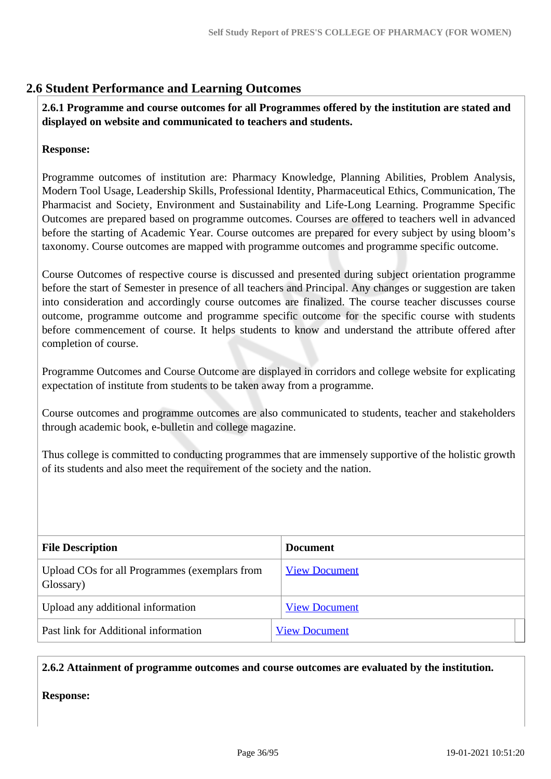### **2.6 Student Performance and Learning Outcomes**

 **2.6.1 Programme and course outcomes for all Programmes offered by the institution are stated and displayed on website and communicated to teachers and students.**

#### **Response:**

Programme outcomes of institution are: Pharmacy Knowledge, Planning Abilities, Problem Analysis, Modern Tool Usage, Leadership Skills, Professional Identity, Pharmaceutical Ethics, Communication, The Pharmacist and Society, Environment and Sustainability and Life-Long Learning. Programme Specific Outcomes are prepared based on programme outcomes. Courses are offered to teachers well in advanced before the starting of Academic Year. Course outcomes are prepared for every subject by using bloom's taxonomy. Course outcomes are mapped with programme outcomes and programme specific outcome.

Course Outcomes of respective course is discussed and presented during subject orientation programme before the start of Semester in presence of all teachers and Principal. Any changes or suggestion are taken into consideration and accordingly course outcomes are finalized. The course teacher discusses course outcome, programme outcome and programme specific outcome for the specific course with students before commencement of course. It helps students to know and understand the attribute offered after completion of course.

Programme Outcomes and Course Outcome are displayed in corridors and college website for explicating expectation of institute from students to be taken away from a programme.

Course outcomes and programme outcomes are also communicated to students, teacher and stakeholders through academic book, e-bulletin and college magazine.

Thus college is committed to conducting programmes that are immensely supportive of the holistic growth of its students and also meet the requirement of the society and the nation.

| <b>File Description</b>                                    | <b>Document</b>      |  |
|------------------------------------------------------------|----------------------|--|
| Upload COs for all Programmes (exemplars from<br>Glossary) | <b>View Document</b> |  |
| Upload any additional information                          | <b>View Document</b> |  |
| Past link for Additional information                       | <b>View Document</b> |  |

**2.6.2 Attainment of programme outcomes and course outcomes are evaluated by the institution.**

**Response:**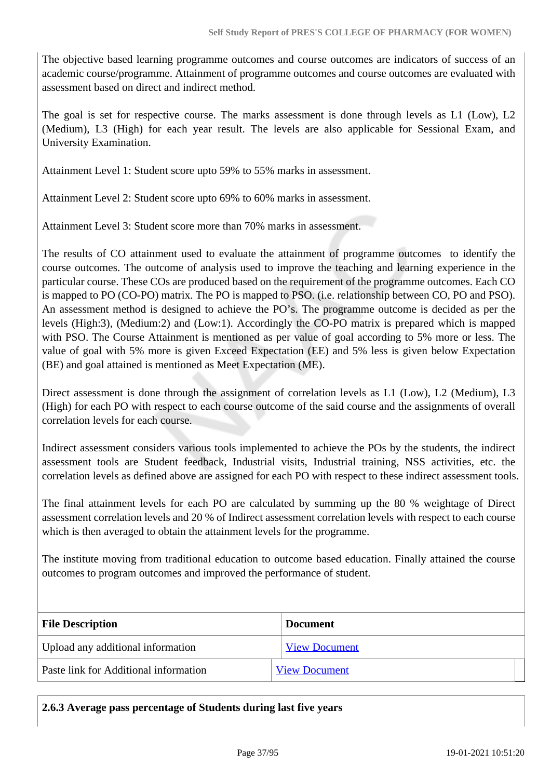The objective based learning programme outcomes and course outcomes are indicators of success of an academic course/programme. Attainment of programme outcomes and course outcomes are evaluated with assessment based on direct and indirect method.

The goal is set for respective course. The marks assessment is done through levels as L1 (Low), L2 (Medium), L3 (High) for each year result. The levels are also applicable for Sessional Exam, and University Examination.

Attainment Level 1: Student score upto 59% to 55% marks in assessment.

Attainment Level 2: Student score upto 69% to 60% marks in assessment.

Attainment Level 3: Student score more than 70% marks in assessment.

The results of CO attainment used to evaluate the attainment of programme outcomes to identify the course outcomes. The outcome of analysis used to improve the teaching and learning experience in the particular course. These COs are produced based on the requirement of the programme outcomes. Each CO is mapped to PO (CO-PO) matrix. The PO is mapped to PSO. (i.e. relationship between CO, PO and PSO). An assessment method is designed to achieve the PO's. The programme outcome is decided as per the levels (High:3), (Medium:2) and (Low:1). Accordingly the CO-PO matrix is prepared which is mapped with PSO. The Course Attainment is mentioned as per value of goal according to 5% more or less. The value of goal with 5% more is given Exceed Expectation (EE) and 5% less is given below Expectation (BE) and goal attained is mentioned as Meet Expectation (ME).

Direct assessment is done through the assignment of correlation levels as L1 (Low), L2 (Medium), L3 (High) for each PO with respect to each course outcome of the said course and the assignments of overall correlation levels for each course.

Indirect assessment considers various tools implemented to achieve the POs by the students, the indirect assessment tools are Student feedback, Industrial visits, Industrial training, NSS activities, etc. the correlation levels as defined above are assigned for each PO with respect to these indirect assessment tools.

The final attainment levels for each PO are calculated by summing up the 80 % weightage of Direct assessment correlation levels and 20 % of Indirect assessment correlation levels with respect to each course which is then averaged to obtain the attainment levels for the programme.

The institute moving from traditional education to outcome based education. Finally attained the course outcomes to program outcomes and improved the performance of student.

| <b>File Description</b>               | <b>Document</b>      |
|---------------------------------------|----------------------|
| Upload any additional information     | <b>View Document</b> |
| Paste link for Additional information | <b>View Document</b> |

**2.6.3 Average pass percentage of Students during last five years**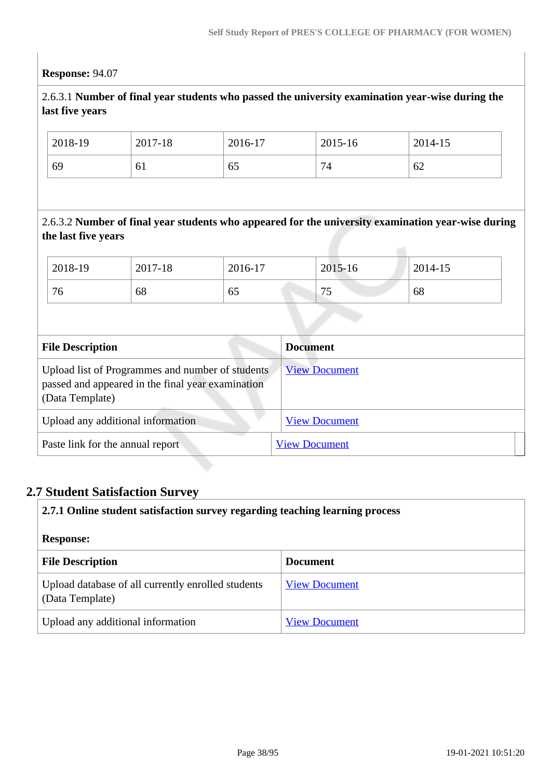#### **Response:** 94.07

### 2.6.3.1 **Number of final year students who passed the university examination year-wise during the last five years**

| 2018-19 | 2017-18 | 2016-17 | 2015-16 | 2014-15 |
|---------|---------|---------|---------|---------|
| 69      | 01      | 65      | 74      | 62      |

2.6.3.2 **Number of final year students who appeared for the university examination year-wise during the last five years**

| 2018-19 | 2017-18 | 2016-17 | 2015-16               | 2014-15 |
|---------|---------|---------|-----------------------|---------|
| 76      | 68      | 65      | $\overline{ }$<br>ر ر | 68      |

| <b>File Description</b>                                                                                                  | <b>Document</b>      |
|--------------------------------------------------------------------------------------------------------------------------|----------------------|
| Upload list of Programmes and number of students<br>passed and appeared in the final year examination<br>(Data Template) | <b>View Document</b> |
| Upload any additional information                                                                                        | <b>View Document</b> |
| Paste link for the annual report                                                                                         | <b>View Document</b> |

#### **2.7 Student Satisfaction Survey**

| 2.7.1 Online student satisfaction survey regarding teaching learning process |                      |  |  |
|------------------------------------------------------------------------------|----------------------|--|--|
| <b>Response:</b>                                                             |                      |  |  |
| <b>File Description</b><br><b>Document</b>                                   |                      |  |  |
| Upload database of all currently enrolled students<br>(Data Template)        | <b>View Document</b> |  |  |
| Upload any additional information                                            | <b>View Document</b> |  |  |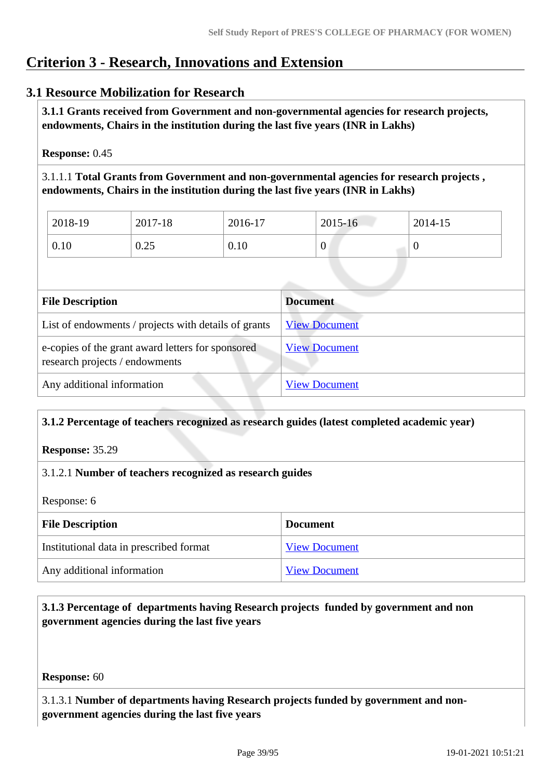## **Criterion 3 - Research, Innovations and Extension**

## **3.1 Resource Mobilization for Research**

 **3.1.1 Grants received from Government and non-governmental agencies for research projects, endowments, Chairs in the institution during the last five years (INR in Lakhs)** 

**Response:** 0.45

3.1.1.1 **Total Grants from Government and non-governmental agencies for research projects , endowments, Chairs in the institution during the last five years (INR in Lakhs)**

| 2018-19 | 2017-18 | 2016-17 | 2015-16          | 2014-15 |
|---------|---------|---------|------------------|---------|
| 0.10    | 0.25    | 0.10    | $\boldsymbol{0}$ |         |

| <b>File Description</b>                                                             | <b>Document</b>      |
|-------------------------------------------------------------------------------------|----------------------|
| List of endowments / projects with details of grants                                | <b>View Document</b> |
| e-copies of the grant award letters for sponsored<br>research projects / endowments | <b>View Document</b> |
| Any additional information                                                          | <b>View Document</b> |

#### **3.1.2 Percentage of teachers recognized as research guides (latest completed academic year)**

**Response:** 35.29

#### 3.1.2.1 **Number of teachers recognized as research guides**

Response: 6

| <b>File Description</b>                 | <b>Document</b>      |
|-----------------------------------------|----------------------|
| Institutional data in prescribed format | <b>View Document</b> |
| Any additional information              | <b>View Document</b> |

### **3.1.3 Percentage of departments having Research projects funded by government and non government agencies during the last five years**

**Response:** 60

3.1.3.1 **Number of departments having Research projects funded by government and nongovernment agencies during the last five years**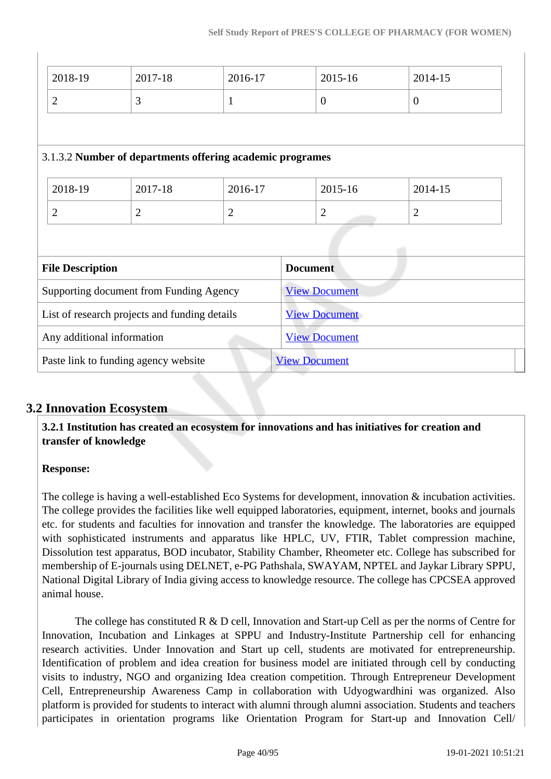$\begin{array}{c} \hline \end{array}$ 

| 2018-19                                                      | 2017-18                                                   | 2016-17        | 2015-16              | 2014-15        |
|--------------------------------------------------------------|-----------------------------------------------------------|----------------|----------------------|----------------|
| $\overline{2}$                                               | 3                                                         | $\mathbf{1}$   | $\theta$             | $\theta$       |
|                                                              |                                                           |                |                      |                |
|                                                              | 3.1.3.2 Number of departments offering academic programes |                |                      |                |
| 2018-19                                                      | 2017-18                                                   | 2016-17        | 2015-16              | 2014-15        |
| $\overline{2}$                                               | $\overline{2}$                                            | $\overline{2}$ | $\overline{2}$       | $\overline{2}$ |
|                                                              |                                                           |                |                      |                |
| <b>File Description</b>                                      |                                                           |                | <b>Document</b>      |                |
| Supporting document from Funding Agency                      |                                                           |                | <b>View Document</b> |                |
| List of research projects and funding details                |                                                           |                | <b>View Document</b> |                |
| Any additional information                                   |                                                           |                | <b>View Document</b> |                |
| <b>View Document</b><br>Paste link to funding agency website |                                                           |                |                      |                |

## **3.2 Innovation Ecosystem**

 **3.2.1 Institution has created an ecosystem for innovations and has initiatives for creation and transfer of knowledge**

#### **Response:**

The college is having a well-established Eco Systems for development, innovation & incubation activities. The college provides the facilities like well equipped laboratories, equipment, internet, books and journals etc. for students and faculties for innovation and transfer the knowledge. The laboratories are equipped with sophisticated instruments and apparatus like HPLC, UV, FTIR, Tablet compression machine, Dissolution test apparatus, BOD incubator, Stability Chamber, Rheometer etc. College has subscribed for membership of E-journals using DELNET, e-PG Pathshala, SWAYAM, NPTEL and Jaykar Library SPPU, National Digital Library of India giving access to knowledge resource. The college has CPCSEA approved animal house.

The college has constituted R & D cell, Innovation and Start-up Cell as per the norms of Centre for Innovation, Incubation and Linkages at SPPU and Industry-Institute Partnership cell for enhancing research activities. Under Innovation and Start up cell, students are motivated for entrepreneurship. Identification of problem and idea creation for business model are initiated through cell by conducting visits to industry, NGO and organizing Idea creation competition. Through Entrepreneur Development Cell, Entrepreneurship Awareness Camp in collaboration with Udyogwardhini was organized. Also platform is provided for students to interact with alumni through alumni association. Students and teachers participates in orientation programs like Orientation Program for Start-up and Innovation Cell/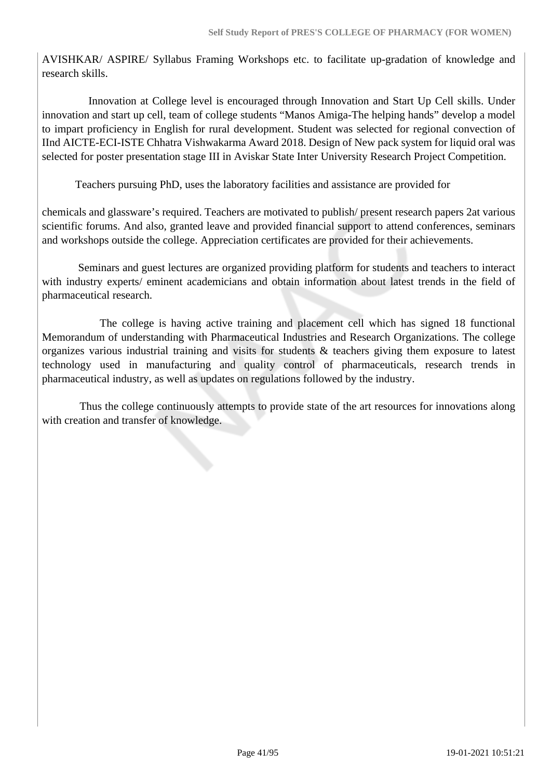AVISHKAR/ ASPIRE/ Syllabus Framing Workshops etc. to facilitate up-gradation of knowledge and research skills.

 Innovation at College level is encouraged through Innovation and Start Up Cell skills. Under innovation and start up cell, team of college students "Manos Amiga-The helping hands" develop a model to impart proficiency in English for rural development. Student was selected for regional convection of IInd AICTE-ECI-ISTE Chhatra Vishwakarma Award 2018. Design of New pack system for liquid oral was selected for poster presentation stage III in Aviskar State Inter University Research Project Competition.

Teachers pursuing PhD, uses the laboratory facilities and assistance are provided for

chemicals and glassware's required. Teachers are motivated to publish/ present research papers 2at various scientific forums. And also, granted leave and provided financial support to attend conferences, seminars and workshops outside the college. Appreciation certificates are provided for their achievements.

 Seminars and guest lectures are organized providing platform for students and teachers to interact with industry experts/ eminent academicians and obtain information about latest trends in the field of pharmaceutical research.

 The college is having active training and placement cell which has signed 18 functional Memorandum of understanding with Pharmaceutical Industries and Research Organizations. The college organizes various industrial training and visits for students & teachers giving them exposure to latest technology used in manufacturing and quality control of pharmaceuticals, research trends in pharmaceutical industry, as well as updates on regulations followed by the industry.

 Thus the college continuously attempts to provide state of the art resources for innovations along with creation and transfer of knowledge.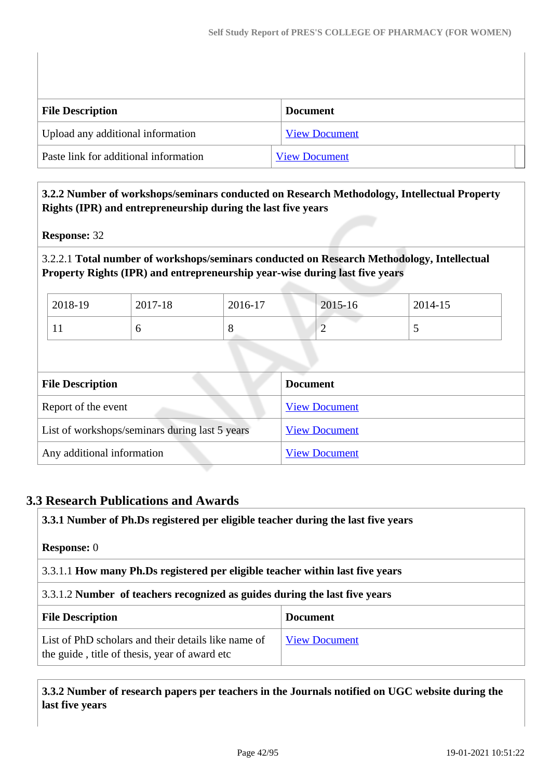| <b>File Description</b>               | <b>Document</b>      |
|---------------------------------------|----------------------|
| Upload any additional information     | <b>View Document</b> |
| Paste link for additional information | <b>View Document</b> |

#### **3.2.2 Number of workshops/seminars conducted on Research Methodology, Intellectual Property Rights (IPR) and entrepreneurship during the last five years**

#### **Response:** 32

3.2.2.1 **Total number of workshops/seminars conducted on Research Methodology, Intellectual Property Rights (IPR) and entrepreneurship year-wise during last five years** 

| 2018-19 | 2017-18 | 2016-17 | 2015-16 | 2014-15 |
|---------|---------|---------|---------|---------|
| . .     |         | $\circ$ | ∼       | ັ       |

| <b>File Description</b>                        | <b>Document</b>      |
|------------------------------------------------|----------------------|
| Report of the event                            | <b>View Document</b> |
| List of workshops/seminars during last 5 years | <b>View Document</b> |
| Any additional information                     | <b>View Document</b> |

## **3.3 Research Publications and Awards**

#### **3.3.1 Number of Ph.Ds registered per eligible teacher during the last five years**

#### **Response:** 0

3.3.1.1 **How many Ph.Ds registered per eligible teacher within last five years**

### 3.3.1.2 **Number of teachers recognized as guides during the last five years**

| <b>File Description</b>                                                                              | <b>Document</b>      |
|------------------------------------------------------------------------------------------------------|----------------------|
| List of PhD scholars and their details like name of<br>the guide, title of thesis, year of award etc | <b>View Document</b> |

### **3.3.2 Number of research papers per teachers in the Journals notified on UGC website during the last five years**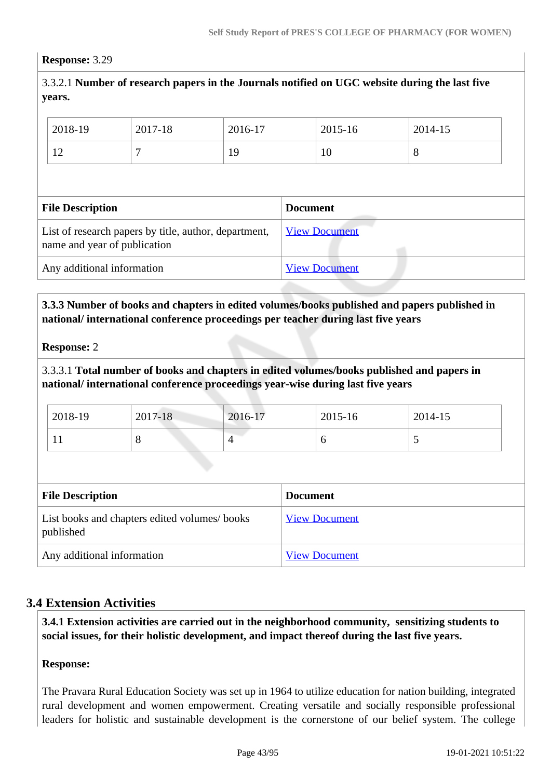#### **Response:** 3.29

3.3.2.1 **Number of research papers in the Journals notified on UGC website during the last five years.**

| 2018-19                                                 | 2017-18                                               | 2016-17 |                 | 2015-16              | 2014-15 |
|---------------------------------------------------------|-------------------------------------------------------|---------|-----------------|----------------------|---------|
| 12                                                      | 7                                                     | 19      |                 | 10                   | 8       |
|                                                         |                                                       |         |                 |                      |         |
|                                                         |                                                       |         |                 |                      |         |
|                                                         |                                                       |         |                 |                      |         |
| <b>File Description</b><br>name and year of publication | List of research papers by title, author, department, |         | <b>Document</b> | <b>View Document</b> |         |

#### **3.3.3 Number of books and chapters in edited volumes/books published and papers published in national/ international conference proceedings per teacher during last five years**

#### **Response:** 2

3.3.3.1 **Total number of books and chapters in edited volumes/books published and papers in national/ international conference proceedings year-wise during last five years**

| 2018-19 | 2017-18 | 2016-17 | 2015-16 | 2014-15 |  |
|---------|---------|---------|---------|---------|--|
|         | c       |         |         |         |  |

| <b>File Description</b>                                   | <b>Document</b>      |
|-----------------------------------------------------------|----------------------|
| List books and chapters edited volumes/books<br>published | <b>View Document</b> |
| Any additional information                                | <b>View Document</b> |

### **3.4 Extension Activities**

 **3.4.1 Extension activities are carried out in the neighborhood community, sensitizing students to social issues, for their holistic development, and impact thereof during the last five years.**

#### **Response:**

The Pravara Rural Education Society was set up in 1964 to utilize education for nation building, integrated rural development and women empowerment. Creating versatile and socially responsible professional leaders for holistic and sustainable development is the cornerstone of our belief system. The college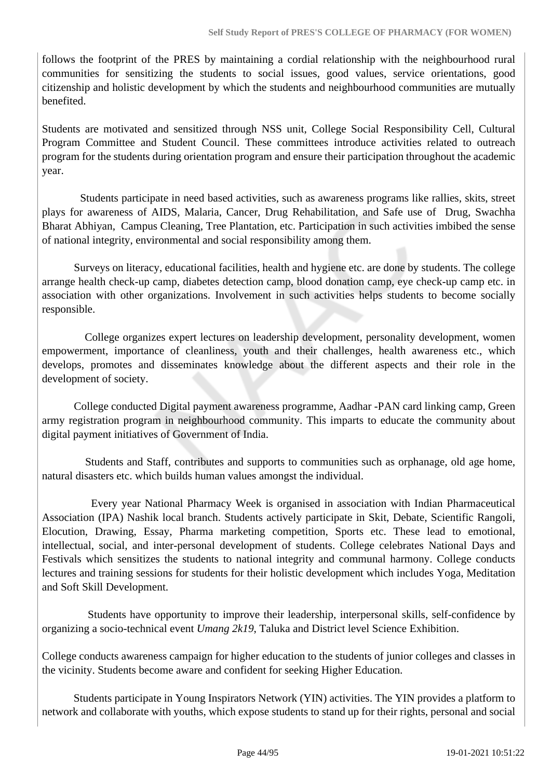follows the footprint of the PRES by maintaining a cordial relationship with the neighbourhood rural communities for sensitizing the students to social issues, good values, service orientations, good citizenship and holistic development by which the students and neighbourhood communities are mutually benefited.

Students are motivated and sensitized through NSS unit, College Social Responsibility Cell, Cultural Program Committee and Student Council. These committees introduce activities related to outreach program for the students during orientation program and ensure their participation throughout the academic year.

 Students participate in need based activities, such as awareness programs like rallies, skits, street plays for awareness of AIDS, Malaria, Cancer, Drug Rehabilitation, and Safe use of Drug, Swachha Bharat Abhiyan, Campus Cleaning, Tree Plantation, etc. Participation in such activities imbibed the sense of national integrity, environmental and social responsibility among them.

 Surveys on literacy, educational facilities, health and hygiene etc. are done by students. The college arrange health check-up camp, diabetes detection camp, blood donation camp, eye check-up camp etc. in association with other organizations. Involvement in such activities helps students to become socially responsible.

 College organizes expert lectures on leadership development, personality development, women empowerment, importance of cleanliness, youth and their challenges, health awareness etc., which develops, promotes and disseminates knowledge about the different aspects and their role in the development of society.

 College conducted Digital payment awareness programme, Aadhar -PAN card linking camp, Green army registration program in neighbourhood community. This imparts to educate the community about digital payment initiatives of Government of India.

 Students and Staff, contributes and supports to communities such as orphanage, old age home, natural disasters etc. which builds human values amongst the individual.

 Every year National Pharmacy Week is organised in association with Indian Pharmaceutical Association (IPA) Nashik local branch. Students actively participate in Skit, Debate, Scientific Rangoli, Elocution, Drawing, Essay, Pharma marketing competition, Sports etc. These lead to emotional, intellectual, social, and inter-personal development of students. College celebrates National Days and Festivals which sensitizes the students to national integrity and communal harmony. College conducts lectures and training sessions for students for their holistic development which includes Yoga, Meditation and Soft Skill Development.

 Students have opportunity to improve their leadership, interpersonal skills, self-confidence by organizing a socio-technical event *Umang 2k19*, Taluka and District level Science Exhibition.

College conducts awareness campaign for higher education to the students of junior colleges and classes in the vicinity. Students become aware and confident for seeking Higher Education.

 Students participate in Young Inspirators Network (YIN) activities. The YIN provides a platform to network and collaborate with youths, which expose students to stand up for their rights, personal and social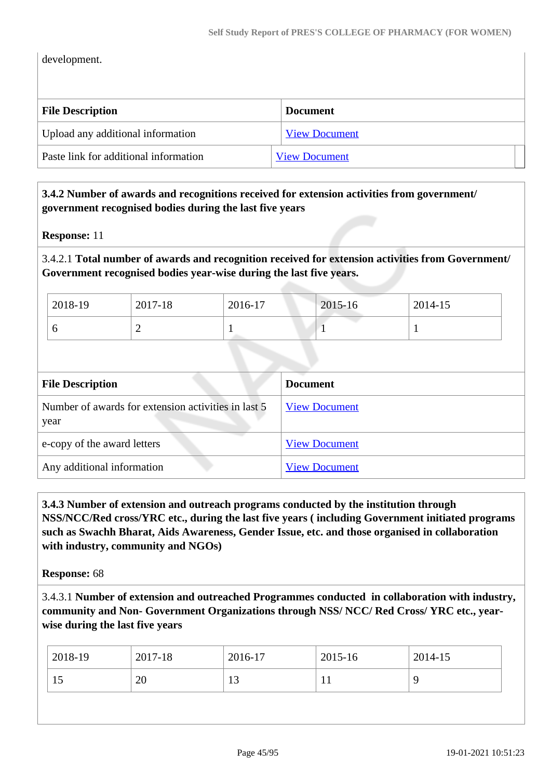development.

| <b>File Description</b>               | <b>Document</b>      |
|---------------------------------------|----------------------|
| Upload any additional information     | <b>View Document</b> |
| Paste link for additional information | <b>View Document</b> |

#### **3.4.2 Number of awards and recognitions received for extension activities from government/ government recognised bodies during the last five years**

#### **Response:** 11

3.4.2.1 **Total number of awards and recognition received for extension activities from Government/ Government recognised bodies year-wise during the last five years.**

| 2018-19 | 2017-18 | 2016-17 | $2015 - 16$ | 2014-15 |
|---------|---------|---------|-------------|---------|
|         |         |         |             |         |

| <b>File Description</b>                                     | <b>Document</b>      |
|-------------------------------------------------------------|----------------------|
| Number of awards for extension activities in last 5<br>year | <b>View Document</b> |
| e-copy of the award letters                                 | <b>View Document</b> |
| Any additional information                                  | <b>View Document</b> |

 **3.4.3 Number of extension and outreach programs conducted by the institution through NSS/NCC/Red cross/YRC etc., during the last five years ( including Government initiated programs such as Swachh Bharat, Aids Awareness, Gender Issue, etc. and those organised in collaboration with industry, community and NGOs)**

**Response:** 68

3.4.3.1 **Number of extension and outreached Programmes conducted in collaboration with industry, community and Non- Government Organizations through NSS/ NCC/ Red Cross/ YRC etc., yearwise during the last five years**

| 2018-19 | 2017-18 | $2016 - 17$ | 2015-16      | 2014-15 |
|---------|---------|-------------|--------------|---------|
| 1 J     | 20      | ⊥ఎ          | $\mathbf{r}$ |         |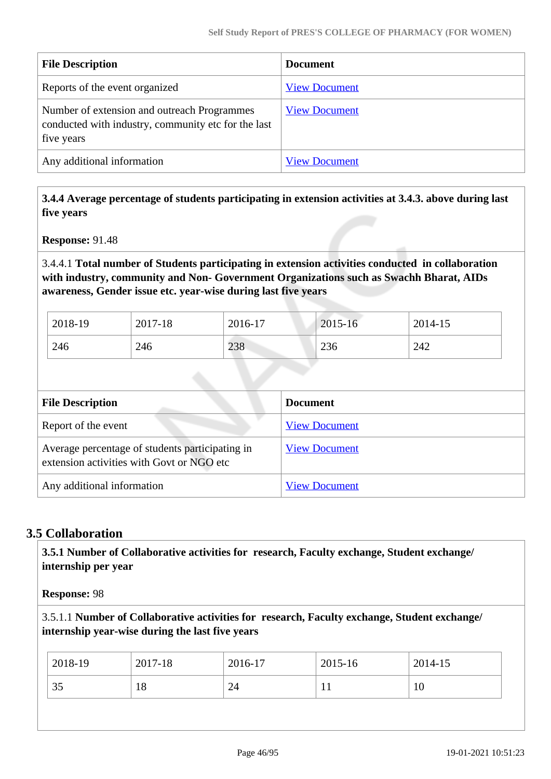| <b>File Description</b>                                                                                          | <b>Document</b>      |
|------------------------------------------------------------------------------------------------------------------|----------------------|
| Reports of the event organized                                                                                   | <b>View Document</b> |
| Number of extension and outreach Programmes<br>conducted with industry, community etc for the last<br>five years | <b>View Document</b> |
| Any additional information                                                                                       | <b>View Document</b> |

 **3.4.4 Average percentage of students participating in extension activities at 3.4.3. above during last five years**

**Response:** 91.48

### 3.4.4.1 **Total number of Students participating in extension activities conducted in collaboration with industry, community and Non- Government Organizations such as Swachh Bharat, AIDs awareness, Gender issue etc. year-wise during last five years**

| 2018-19 | 2017-18 | 2016-17 | 2015-16 | 2014-15 |
|---------|---------|---------|---------|---------|
| 246     | 246     | 238     | 236     | 242     |

| <b>File Description</b>                                                                      | <b>Document</b>      |
|----------------------------------------------------------------------------------------------|----------------------|
| Report of the event                                                                          | <b>View Document</b> |
| Average percentage of students participating in<br>extension activities with Govt or NGO etc | <b>View Document</b> |
| Any additional information                                                                   | <b>View Document</b> |

## **3.5 Collaboration**

 **3.5.1 Number of Collaborative activities for research, Faculty exchange, Student exchange/ internship per year**

**Response:** 98

3.5.1.1 **Number of Collaborative activities for research, Faculty exchange, Student exchange/ internship year-wise during the last five years**

| 2018-19 | 2017-18        | 2016-17 | 2015-16 | 2014-15 |
|---------|----------------|---------|---------|---------|
| 35      | $\Omega$<br>10 | 24      | . .     | 10      |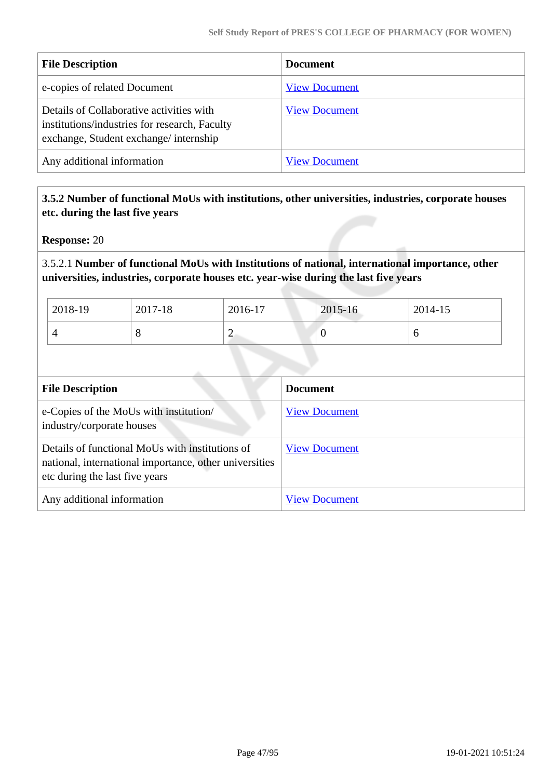| <b>File Description</b>                                                                                                            | <b>Document</b>      |
|------------------------------------------------------------------------------------------------------------------------------------|----------------------|
| e-copies of related Document                                                                                                       | <b>View Document</b> |
| Details of Collaborative activities with<br>institutions/industries for research, Faculty<br>exchange, Student exchange/internship | <b>View Document</b> |
| Any additional information                                                                                                         | <b>View Document</b> |

 **3.5.2 Number of functional MoUs with institutions, other universities, industries, corporate houses etc. during the last five years** 

**Response:** 20

## 3.5.2.1 **Number of functional MoUs with Institutions of national, international importance, other universities, industries, corporate houses etc. year-wise during the last five years**

| 2018-19 | 2017-18 | 2016-17 | 2015-16 | 2014-15 |
|---------|---------|---------|---------|---------|
|         | $\circ$ | -       |         |         |

| <b>File Description</b>                                                                                                                     | <b>Document</b>      |
|---------------------------------------------------------------------------------------------------------------------------------------------|----------------------|
| e-Copies of the MoUs with institution/<br>industry/corporate houses                                                                         | <b>View Document</b> |
| Details of functional MoUs with institutions of<br>national, international importance, other universities<br>etc during the last five years | <b>View Document</b> |
| Any additional information                                                                                                                  | <b>View Document</b> |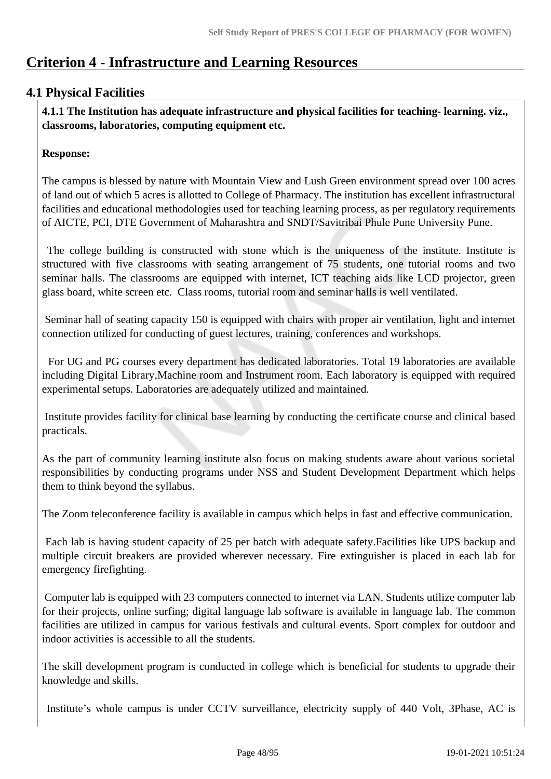# **Criterion 4 - Infrastructure and Learning Resources**

## **4.1 Physical Facilities**

 **4.1.1 The Institution has adequate infrastructure and physical facilities for teaching- learning. viz., classrooms, laboratories, computing equipment etc.** 

#### **Response:**

The campus is blessed by nature with Mountain View and Lush Green environment spread over 100 acres of land out of which 5 acres is allotted to College of Pharmacy. The institution has excellent infrastructural facilities and educational methodologies used for teaching learning process, as per regulatory requirements of AICTE, PCI, DTE Government of Maharashtra and SNDT/Savitribai Phule Pune University Pune.

 The college building is constructed with stone which is the uniqueness of the institute. Institute is structured with five classrooms with seating arrangement of 75 students, one tutorial rooms and two seminar halls. The classrooms are equipped with internet, ICT teaching aids like LCD projector, green glass board, white screen etc. Class rooms, tutorial room and seminar halls is well ventilated.

 Seminar hall of seating capacity 150 is equipped with chairs with proper air ventilation, light and internet connection utilized for conducting of guest lectures, training, conferences and workshops.

 For UG and PG courses every department has dedicated laboratories. Total 19 laboratories are available including Digital Library,Machine room and Instrument room. Each laboratory is equipped with required experimental setups. Laboratories are adequately utilized and maintained.

 Institute provides facility for clinical base learning by conducting the certificate course and clinical based practicals.

As the part of community learning institute also focus on making students aware about various societal responsibilities by conducting programs under NSS and Student Development Department which helps them to think beyond the syllabus.

The Zoom teleconference facility is available in campus which helps in fast and effective communication.

 Each lab is having student capacity of 25 per batch with adequate safety.Facilities like UPS backup and multiple circuit breakers are provided wherever necessary. Fire extinguisher is placed in each lab for emergency firefighting.

 Computer lab is equipped with 23 computers connected to internet via LAN. Students utilize computer lab for their projects, online surfing; digital language lab software is available in language lab. The common facilities are utilized in campus for various festivals and cultural events. Sport complex for outdoor and indoor activities is accessible to all the students.

The skill development program is conducted in college which is beneficial for students to upgrade their knowledge and skills.

Institute's whole campus is under CCTV surveillance, electricity supply of 440 Volt, 3Phase, AC is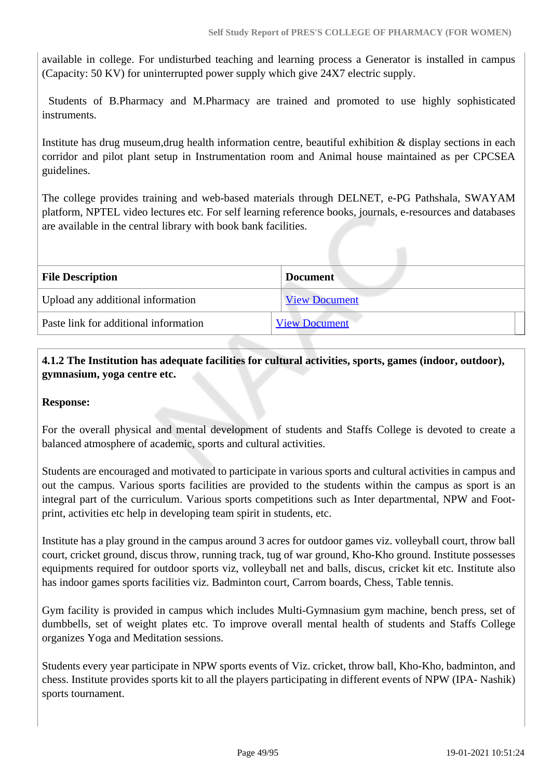available in college. For undisturbed teaching and learning process a Generator is installed in campus (Capacity: 50 KV) for uninterrupted power supply which give 24X7 electric supply.

 Students of B.Pharmacy and M.Pharmacy are trained and promoted to use highly sophisticated instruments.

Institute has drug museum,drug health information centre, beautiful exhibition & display sections in each corridor and pilot plant setup in Instrumentation room and Animal house maintained as per CPCSEA guidelines.

The college provides training and web-based materials through DELNET, e-PG Pathshala, SWAYAM platform, NPTEL video lectures etc. For self learning reference books, journals, e-resources and databases are available in the central library with book bank facilities.

| <b>File Description</b>               | <b>Document</b>      |  |
|---------------------------------------|----------------------|--|
| Upload any additional information     | <b>View Document</b> |  |
| Paste link for additional information | <b>View Document</b> |  |

 **4.1.2 The Institution has adequate facilities for cultural activities, sports, games (indoor, outdoor), gymnasium, yoga centre etc.** 

#### **Response:**

For the overall physical and mental development of students and Staffs College is devoted to create a balanced atmosphere of academic, sports and cultural activities.

Students are encouraged and motivated to participate in various sports and cultural activities in campus and out the campus. Various sports facilities are provided to the students within the campus as sport is an integral part of the curriculum. Various sports competitions such as Inter departmental, NPW and Footprint, activities etc help in developing team spirit in students, etc.

Institute has a play ground in the campus around 3 acres for outdoor games viz. volleyball court, throw ball court, cricket ground, discus throw, running track, tug of war ground, Kho-Kho ground. Institute possesses equipments required for outdoor sports viz, volleyball net and balls, discus, cricket kit etc. Institute also has indoor games sports facilities viz. Badminton court, Carrom boards, Chess, Table tennis.

Gym facility is provided in campus which includes Multi-Gymnasium gym machine, bench press, set of dumbbells, set of weight plates etc. To improve overall mental health of students and Staffs College organizes Yoga and Meditation sessions.

Students every year participate in NPW sports events of Viz. cricket, throw ball, Kho-Kho, badminton, and chess. Institute provides sports kit to all the players participating in different events of NPW (IPA- Nashik) sports tournament.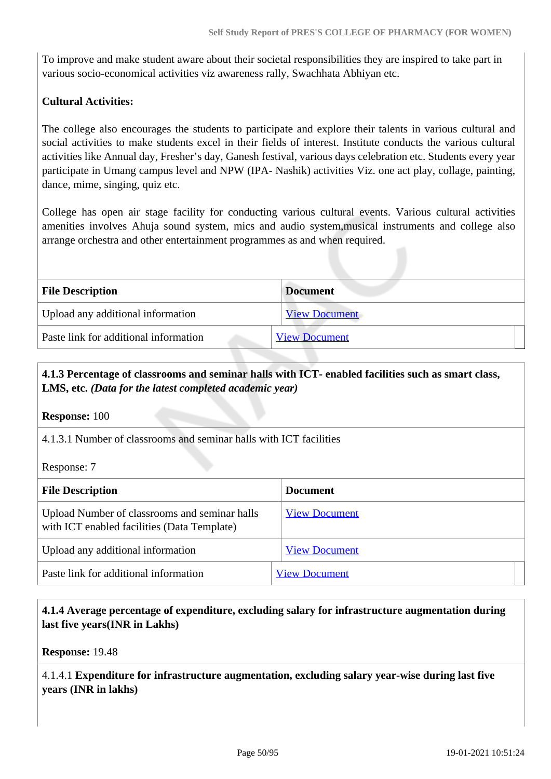To improve and make student aware about their societal responsibilities they are inspired to take part in various socio-economical activities viz awareness rally, Swachhata Abhiyan etc.

### **Cultural Activities:**

The college also encourages the students to participate and explore their talents in various cultural and social activities to make students excel in their fields of interest. Institute conducts the various cultural activities like Annual day, Fresher's day, Ganesh festival, various days celebration etc. Students every year participate in Umang campus level and NPW (IPA- Nashik) activities Viz. one act play, collage, painting, dance, mime, singing, quiz etc.

College has open air stage facility for conducting various cultural events. Various cultural activities amenities involves Ahuja sound system, mics and audio system,musical instruments and college also arrange orchestra and other entertainment programmes as and when required.

| <b>File Description</b>               | <b>Document</b>      |
|---------------------------------------|----------------------|
| Upload any additional information     | <b>View Document</b> |
| Paste link for additional information | <b>View Document</b> |

### **4.1.3 Percentage of classrooms and seminar halls with ICT- enabled facilities such as smart class, LMS, etc.** *(Data for the latest completed academic year)*

#### **Response:** 100

4.1.3.1 Number of classrooms and seminar halls with ICT facilities

Response: 7

| <b>File Description</b>                                                                      | <b>Document</b>      |
|----------------------------------------------------------------------------------------------|----------------------|
| Upload Number of classrooms and seminar halls<br>with ICT enabled facilities (Data Template) | <b>View Document</b> |
| Upload any additional information                                                            | <b>View Document</b> |
| Paste link for additional information                                                        | <b>View Document</b> |

#### **4.1.4 Average percentage of expenditure, excluding salary for infrastructure augmentation during last five years(INR in Lakhs)**

**Response:** 19.48

4.1.4.1 **Expenditure for infrastructure augmentation, excluding salary year-wise during last five years (INR in lakhs)**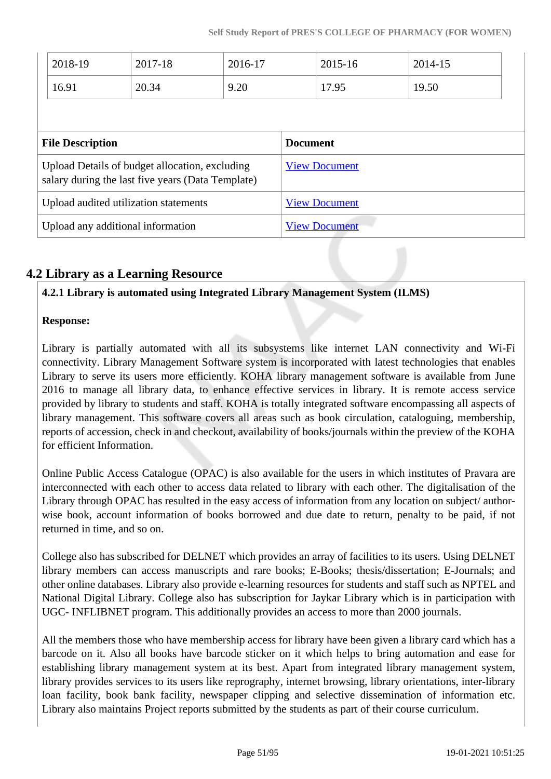|                                                                                                     | 2018-19                 | 2017-18<br>2016-17   |                      |                 | $2015 - 16$ | 2014-15 |
|-----------------------------------------------------------------------------------------------------|-------------------------|----------------------|----------------------|-----------------|-------------|---------|
|                                                                                                     | 16.91                   | 20.34                | 9.20                 |                 | 17.95       | 19.50   |
|                                                                                                     |                         |                      |                      |                 |             |         |
|                                                                                                     | <b>File Description</b> |                      |                      | <b>Document</b> |             |         |
| Upload Details of budget allocation, excluding<br>salary during the last five years (Data Template) |                         |                      | <b>View Document</b> |                 |             |         |
| Upload audited utilization statements                                                               |                         | <b>View Document</b> |                      |                 |             |         |
| Upload any additional information                                                                   |                         |                      | <b>View Document</b> |                 |             |         |

## **4.2 Library as a Learning Resource**

#### **4.2.1 Library is automated using Integrated Library Management System (ILMS)**

#### **Response:**

Library is partially automated with all its subsystems like internet LAN connectivity and Wi-Fi connectivity. Library Management Software system is incorporated with latest technologies that enables Library to serve its users more efficiently. KOHA library management software is available from June 2016 to manage all library data, to enhance effective services in library. It is remote access service provided by library to students and staff. KOHA is totally integrated software encompassing all aspects of library management. This software covers all areas such as book circulation, cataloguing, membership, reports of accession, check in and checkout, availability of books/journals within the preview of the KOHA for efficient Information.

Online Public Access Catalogue (OPAC) is also available for the users in which institutes of Pravara are interconnected with each other to access data related to library with each other. The digitalisation of the Library through OPAC has resulted in the easy access of information from any location on subject/ authorwise book, account information of books borrowed and due date to return, penalty to be paid, if not returned in time, and so on.

College also has subscribed for DELNET which provides an array of facilities to its users. Using DELNET library members can access manuscripts and rare books; E-Books; thesis/dissertation; E-Journals; and other online databases. Library also provide e-learning resources for students and staff such as NPTEL and National Digital Library. College also has subscription for Jaykar Library which is in participation with UGC- INFLIBNET program. This additionally provides an access to more than 2000 journals.

All the members those who have membership access for library have been given a library card which has a barcode on it. Also all books have barcode sticker on it which helps to bring automation and ease for establishing library management system at its best. Apart from integrated library management system, library provides services to its users like reprography, internet browsing, library orientations, inter-library loan facility, book bank facility, newspaper clipping and selective dissemination of information etc. Library also maintains Project reports submitted by the students as part of their course curriculum.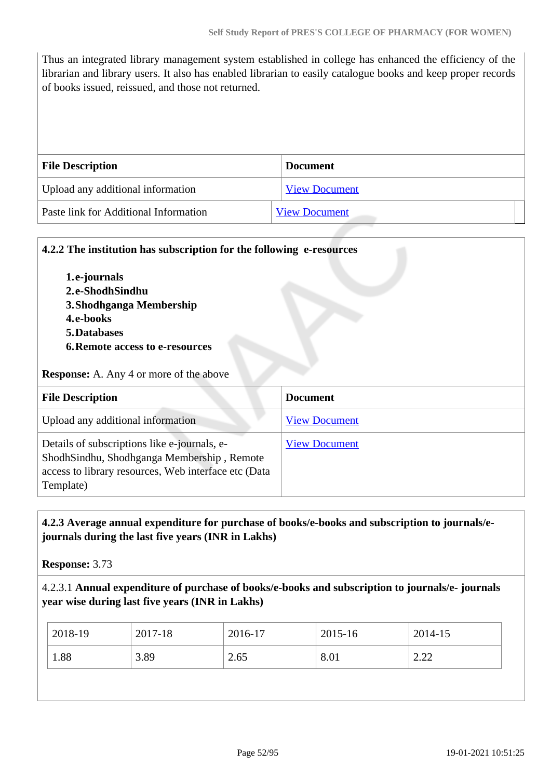Thus an integrated library management system established in college has enhanced the efficiency of the librarian and library users. It also has enabled librarian to easily catalogue books and keep proper records of books issued, reissued, and those not returned.

| <b>File Description</b>               | <b>Document</b>      |
|---------------------------------------|----------------------|
| Upload any additional information     | <b>View Document</b> |
| Paste link for Additional Information | <b>View Document</b> |

# **4.2.2 The institution has subscription for the following e-resources 1.e-journals 2.e-ShodhSindhu 3.Shodhganga Membership 4.e-books 5.Databases 6.Remote access to e-resources Response:** A. Any 4 or more of the above **File Description Document** Upload any additional information [View Document](https://assessmentonline.naac.gov.in/storage/app/hei/SSR/106779/4.2.2_1609929630_4378.pdf) Details of subscriptions like e-journals, e-ShodhSindhu, Shodhganga Membership , Remote [View Document](https://assessmentonline.naac.gov.in/storage/app/hei/SSR/106779/4.2.2_1585031194_4378.xlsx)

## **4.2.3 Average annual expenditure for purchase of books/e-books and subscription to journals/ejournals during the last five years (INR in Lakhs)**

**Response:** 3.73

Template)

access to library resources, Web interface etc (Data

#### 4.2.3.1 **Annual expenditure of purchase of books/e-books and subscription to journals/e- journals year wise during last five years (INR in Lakhs)**

| റ ററ | 2018-19 | 2017-18 | 2016-17 | 2015-16 | 2014-15 |
|------|---------|---------|---------|---------|---------|
|      | 1.88    | 3.89    | 2.65    | 8.01    | 4.44    |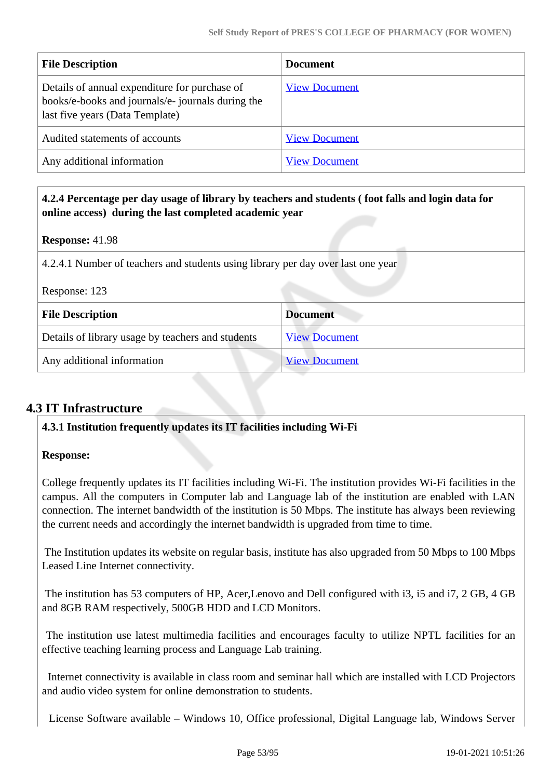| <b>File Description</b>                                                                                                               | <b>Document</b>      |
|---------------------------------------------------------------------------------------------------------------------------------------|----------------------|
| Details of annual expenditure for purchase of<br>books/e-books and journals/e- journals during the<br>last five years (Data Template) | <b>View Document</b> |
| Audited statements of accounts                                                                                                        | <b>View Document</b> |
| Any additional information                                                                                                            | <b>View Document</b> |

#### **4.2.4 Percentage per day usage of library by teachers and students ( foot falls and login data for online access) during the last completed academic year**

#### **Response:** 41.98

4.2.4.1 Number of teachers and students using library per day over last one year

| Response: 123                                     |                      |
|---------------------------------------------------|----------------------|
| <b>File Description</b>                           | <b>Document</b>      |
| Details of library usage by teachers and students | <b>View Document</b> |
| Any additional information                        | <b>View Document</b> |

## **4.3 IT Infrastructure**

### **4.3.1 Institution frequently updates its IT facilities including Wi-Fi**

#### **Response:**

College frequently updates its IT facilities including Wi-Fi. The institution provides Wi-Fi facilities in the campus. All the computers in Computer lab and Language lab of the institution are enabled with LAN connection. The internet bandwidth of the institution is 50 Mbps. The institute has always been reviewing the current needs and accordingly the internet bandwidth is upgraded from time to time.

 The Institution updates its website on regular basis, institute has also upgraded from 50 Mbps to 100 Mbps Leased Line Internet connectivity.

 The institution has 53 computers of HP, Acer,Lenovo and Dell configured with i3, i5 and i7, 2 GB, 4 GB and 8GB RAM respectively, 500GB HDD and LCD Monitors.

 The institution use latest multimedia facilities and encourages faculty to utilize NPTL facilities for an effective teaching learning process and Language Lab training.

 Internet connectivity is available in class room and seminar hall which are installed with LCD Projectors and audio video system for online demonstration to students.

License Software available – Windows 10, Office professional, Digital Language lab, Windows Server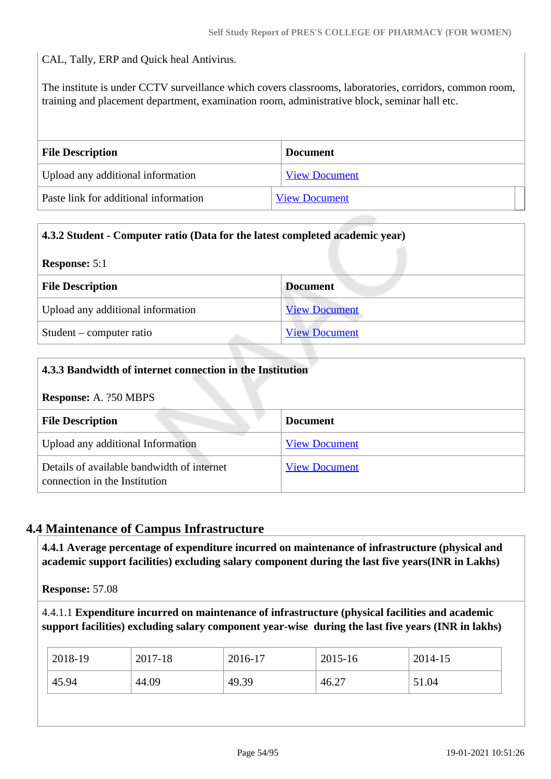CAL, Tally, ERP and Quick heal Antivirus.

The institute is under CCTV surveillance which covers classrooms, laboratories, corridors, common room, training and placement department, examination room, administrative block, seminar hall etc.

| <b>File Description</b>               | <b>Document</b>      |
|---------------------------------------|----------------------|
| Upload any additional information     | <b>View Document</b> |
| Paste link for additional information | <b>View Document</b> |

| 4.3.2 Student - Computer ratio (Data for the latest completed academic year) |                      |
|------------------------------------------------------------------------------|----------------------|
| <b>Response:</b> 5:1                                                         |                      |
| <b>File Description</b>                                                      | <b>Document</b>      |
| Upload any additional information                                            | <b>View Document</b> |
| Student – computer ratio                                                     | <b>View Document</b> |

| 4.3.3 Bandwidth of internet connection in the Institution                   |                      |
|-----------------------------------------------------------------------------|----------------------|
| <b>Response:</b> A. ?50 MBPS                                                |                      |
| <b>File Description</b>                                                     | <b>Document</b>      |
| Upload any additional Information                                           | <b>View Document</b> |
| Details of available bandwidth of internet<br>connection in the Institution | <b>View Document</b> |

### **4.4 Maintenance of Campus Infrastructure**

 **4.4.1 Average percentage of expenditure incurred on maintenance of infrastructure (physical and academic support facilities) excluding salary component during the last five years(INR in Lakhs)**

**Response:** 57.08

4.4.1.1 **Expenditure incurred on maintenance of infrastructure (physical facilities and academic support facilities) excluding salary component year-wise during the last five years (INR in lakhs)**

| 2018-19 | 2017-18 | 2016-17 | 2015-16 | 2014-15 |
|---------|---------|---------|---------|---------|
| 45.94   | 44.09   | 49.39   | 46.27   | 51.04   |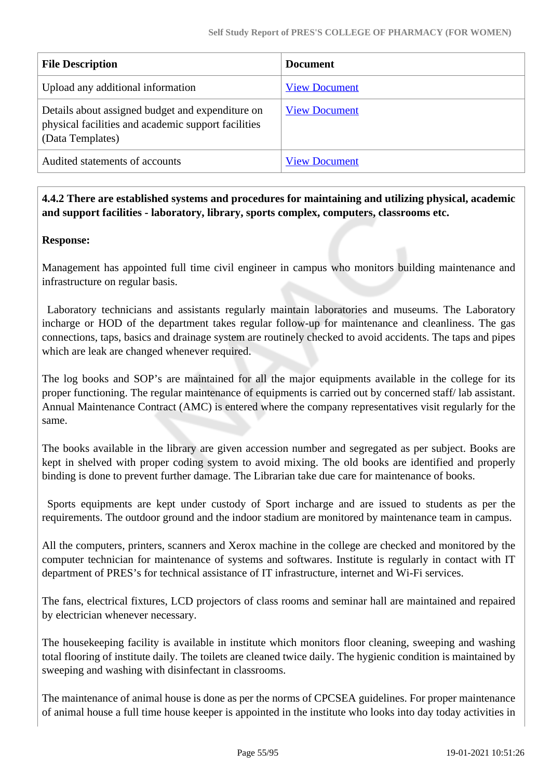| <b>File Description</b>                                                                                                     | <b>Document</b>      |
|-----------------------------------------------------------------------------------------------------------------------------|----------------------|
| Upload any additional information                                                                                           | <b>View Document</b> |
| Details about assigned budget and expenditure on<br>physical facilities and academic support facilities<br>(Data Templates) | <b>View Document</b> |
| Audited statements of accounts                                                                                              | <b>View Document</b> |

 **4.4.2 There are established systems and procedures for maintaining and utilizing physical, academic and support facilities - laboratory, library, sports complex, computers, classrooms etc.**

#### **Response:**

Management has appointed full time civil engineer in campus who monitors building maintenance and infrastructure on regular basis.

 Laboratory technicians and assistants regularly maintain laboratories and museums. The Laboratory incharge or HOD of the department takes regular follow-up for maintenance and cleanliness. The gas connections, taps, basics and drainage system are routinely checked to avoid accidents. The taps and pipes which are leak are changed whenever required.

The log books and SOP's are maintained for all the major equipments available in the college for its proper functioning. The regular maintenance of equipments is carried out by concerned staff/ lab assistant. Annual Maintenance Contract (AMC) is entered where the company representatives visit regularly for the same.

The books available in the library are given accession number and segregated as per subject. Books are kept in shelved with proper coding system to avoid mixing. The old books are identified and properly binding is done to prevent further damage. The Librarian take due care for maintenance of books.

 Sports equipments are kept under custody of Sport incharge and are issued to students as per the requirements. The outdoor ground and the indoor stadium are monitored by maintenance team in campus.

All the computers, printers, scanners and Xerox machine in the college are checked and monitored by the computer technician for maintenance of systems and softwares. Institute is regularly in contact with IT department of PRES's for technical assistance of IT infrastructure, internet and Wi-Fi services.

The fans, electrical fixtures, LCD projectors of class rooms and seminar hall are maintained and repaired by electrician whenever necessary.

The housekeeping facility is available in institute which monitors floor cleaning, sweeping and washing total flooring of institute daily. The toilets are cleaned twice daily. The hygienic condition is maintained by sweeping and washing with disinfectant in classrooms.

The maintenance of animal house is done as per the norms of CPCSEA guidelines. For proper maintenance of animal house a full time house keeper is appointed in the institute who looks into day today activities in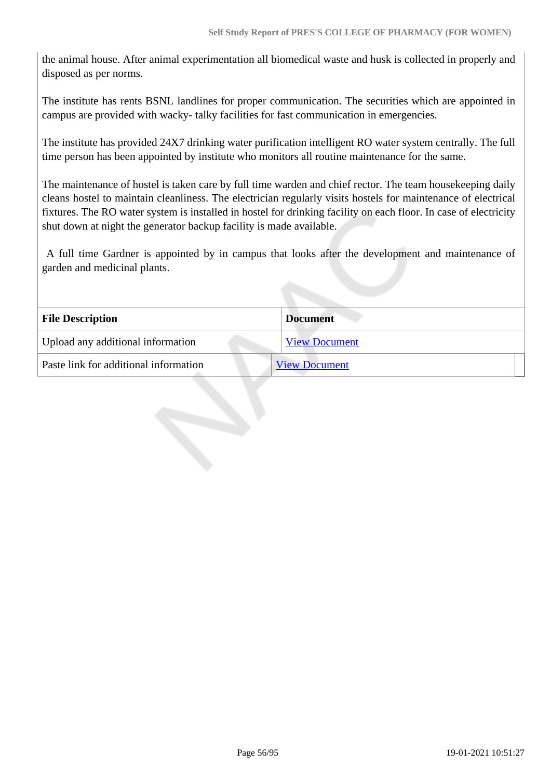the animal house. After animal experimentation all biomedical waste and husk is collected in properly and disposed as per norms.

The institute has rents BSNL landlines for proper communication. The securities which are appointed in campus are provided with wacky- talky facilities for fast communication in emergencies.

The institute has provided 24X7 drinking water purification intelligent RO water system centrally. The full time person has been appointed by institute who monitors all routine maintenance for the same.

The maintenance of hostel is taken care by full time warden and chief rector. The team housekeeping daily cleans hostel to maintain cleanliness. The electrician regularly visits hostels for maintenance of electrical fixtures. The RO water system is installed in hostel for drinking facility on each floor. In case of electricity shut down at night the generator backup facility is made available.

 A full time Gardner is appointed by in campus that looks after the development and maintenance of garden and medicinal plants.

| <b>File Description</b>               | <b>Document</b>      |
|---------------------------------------|----------------------|
| Upload any additional information     | <b>View Document</b> |
| Paste link for additional information | <b>View Document</b> |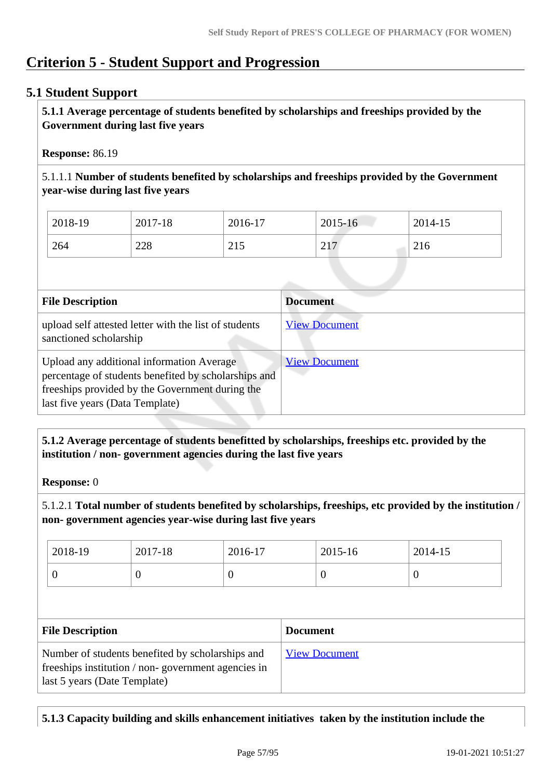# **Criterion 5 - Student Support and Progression**

## **5.1 Student Support**

 **5.1.1 Average percentage of students benefited by scholarships and freeships provided by the Government during last five years** 

#### **Response:** 86.19

5.1.1.1 **Number of students benefited by scholarships and freeships provided by the Government year-wise during last five years**

| 2018-19 | 2017-18 | 2016-17      | $2015 - 16$ | 2014-15 |
|---------|---------|--------------|-------------|---------|
| 264     | 228     | 215<br>ل 1 ب | 217<br>211  | 216     |

| <b>File Description</b>                                                                                                                                                                 | <b>Document</b>      |
|-----------------------------------------------------------------------------------------------------------------------------------------------------------------------------------------|----------------------|
| upload self attested letter with the list of students<br>sanctioned scholarship                                                                                                         | <b>View Document</b> |
| Upload any additional information Average<br>percentage of students benefited by scholarships and<br>freeships provided by the Government during the<br>last five years (Data Template) | <b>View Document</b> |

### **5.1.2 Average percentage of students benefitted by scholarships, freeships etc. provided by the institution / non- government agencies during the last five years**

**Response:** 0

### 5.1.2.1 **Total number of students benefited by scholarships, freeships, etc provided by the institution / non- government agencies year-wise during last five years**

| 2018-19 | 2017-18 | 2016-17 | 2015-16 | 2014-15 |
|---------|---------|---------|---------|---------|
|         | ν       |         |         | ◡       |

| <b>File Description</b>                                                                                                                | <b>Document</b>      |
|----------------------------------------------------------------------------------------------------------------------------------------|----------------------|
| Number of students benefited by scholarships and<br>freeships institution / non-government agencies in<br>last 5 years (Date Template) | <b>View Document</b> |

**5.1.3 Capacity building and skills enhancement initiatives taken by the institution include the**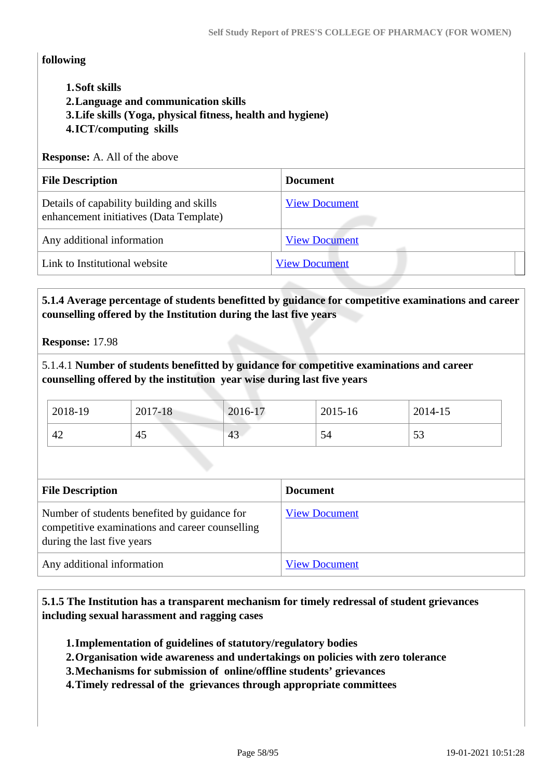### **following**

**1.Soft skills 2.Language and communication skills** 

- **3.Life skills (Yoga, physical fitness, health and hygiene)**
- **4.ICT/computing skills**

**Response:** A. All of the above

| <b>File Description</b>                                                              | <b>Document</b>      |
|--------------------------------------------------------------------------------------|----------------------|
| Details of capability building and skills<br>enhancement initiatives (Data Template) | <b>View Document</b> |
| Any additional information                                                           | <b>View Document</b> |
| Link to Institutional website                                                        | <b>View Document</b> |
|                                                                                      |                      |

#### **5.1.4 Average percentage of students benefitted by guidance for competitive examinations and career counselling offered by the Institution during the last five years**

**Response:** 17.98

5.1.4.1 **Number of students benefitted by guidance for competitive examinations and career counselling offered by the institution year wise during last five years**

| 2018-19 | 2017-18 | 2016-17 | 2015-16 | 2014-15          |
|---------|---------|---------|---------|------------------|
| 42      | 45      | 43      | ◡┭      | $\epsilon$<br>ЭJ |

| <b>File Description</b>                                                                                                       | <b>Document</b>      |  |
|-------------------------------------------------------------------------------------------------------------------------------|----------------------|--|
| Number of students benefited by guidance for<br>competitive examinations and career counselling<br>during the last five years | <b>View Document</b> |  |
| Any additional information                                                                                                    | <b>View Document</b> |  |

 **5.1.5 The Institution has a transparent mechanism for timely redressal of student grievances including sexual harassment and ragging cases**

- **1.Implementation of guidelines of statutory/regulatory bodies**
- **2.Organisation wide awareness and undertakings on policies with zero tolerance**
- **3.Mechanisms for submission of online/offline students' grievances**
- **4.Timely redressal of the grievances through appropriate committees**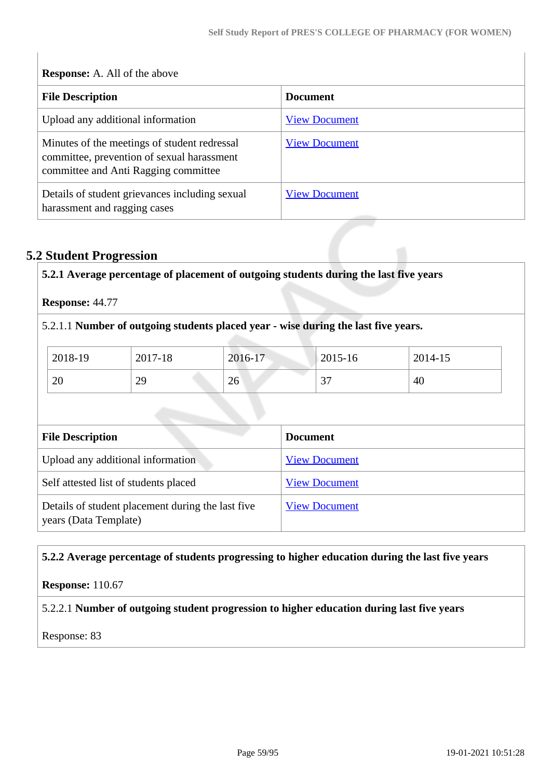| <b>Response:</b> A. All of the above                                                                                               |                      |  |
|------------------------------------------------------------------------------------------------------------------------------------|----------------------|--|
| <b>File Description</b>                                                                                                            | <b>Document</b>      |  |
| Upload any additional information                                                                                                  | <b>View Document</b> |  |
| Minutes of the meetings of student redressal<br>committee, prevention of sexual harassment<br>committee and Anti Ragging committee | <b>View Document</b> |  |
| Details of student grievances including sexual<br>harassment and ragging cases                                                     | <b>View Document</b> |  |

# **5.2 Student Progression**

| 5.2.1 Average percentage of placement of outgoing students during the last five years |         |         |             |         |  |
|---------------------------------------------------------------------------------------|---------|---------|-------------|---------|--|
| <b>Response: 44.77</b>                                                                |         |         |             |         |  |
| 5.2.1.1 Number of outgoing students placed year - wise during the last five years.    |         |         |             |         |  |
| 2018-19                                                                               | 2017-18 | 2016-17 | $2015 - 16$ | 2014-15 |  |
| 20                                                                                    | 29      | 26      | 37          | 40      |  |

| <b>File Description</b>                                                    | <b>Document</b>      |
|----------------------------------------------------------------------------|----------------------|
| Upload any additional information                                          | <b>View Document</b> |
| Self attested list of students placed                                      | <b>View Document</b> |
| Details of student placement during the last five<br>years (Data Template) | <b>View Document</b> |

### **5.2.2 Average percentage of students progressing to higher education during the last five years**

#### **Response:** 110.67

5.2.2.1 **Number of outgoing student progression to higher education during last five years**

Response: 83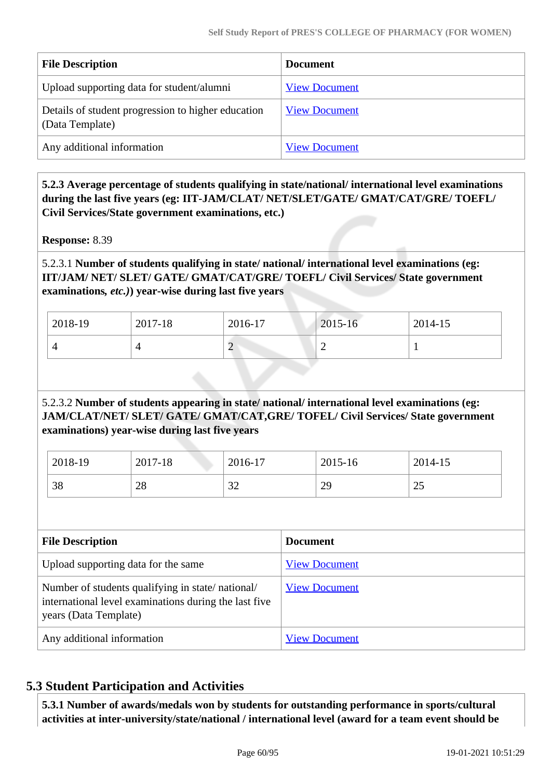| <b>File Description</b>                                               | <b>Document</b>      |
|-----------------------------------------------------------------------|----------------------|
| Upload supporting data for student/alumni                             | <b>View Document</b> |
| Details of student progression to higher education<br>(Data Template) | <b>View Document</b> |
| Any additional information                                            | <b>View Document</b> |

 **5.2.3 Average percentage of students qualifying in state/national/ international level examinations during the last five years (eg: IIT-JAM/CLAT/ NET/SLET/GATE/ GMAT/CAT/GRE/ TOEFL/ Civil Services/State government examinations, etc.)**

**Response:** 8.39

5.2.3.1 **Number of students qualifying in state/ national/ international level examinations (eg: IIT/JAM/ NET/ SLET/ GATE/ GMAT/CAT/GRE/ TOEFL/ Civil Services/ State government examinations***, etc.)***) year-wise during last five years**

| 2018-19 | 2017-18 | 2016-17 | $2015 - 16$ | 2014-15 |
|---------|---------|---------|-------------|---------|
|         |         | ∠       | ∸           |         |

## 5.2.3.2 **Number of students appearing in state/ national/ international level examinations (eg: JAM/CLAT/NET/ SLET/ GATE/ GMAT/CAT,GRE/ TOFEL/ Civil Services/ State government examinations) year-wise during last five years**

| 2018-19 | 2017-18 | 2016-17   | 2015-16 | 2014-15   |
|---------|---------|-----------|---------|-----------|
| 38      | 28      | 30<br>ے ر | 29      | າເ<br>ر ے |

| <b>File Description</b>                                                                                                            | <b>Document</b>      |
|------------------------------------------------------------------------------------------------------------------------------------|----------------------|
| Upload supporting data for the same                                                                                                | <b>View Document</b> |
| Number of students qualifying in state/national/<br>international level examinations during the last five<br>years (Data Template) | <b>View Document</b> |
| Any additional information                                                                                                         | <b>View Document</b> |

## **5.3 Student Participation and Activities**

 **5.3.1 Number of awards/medals won by students for outstanding performance in sports/cultural activities at inter-university/state/national / international level (award for a team event should be**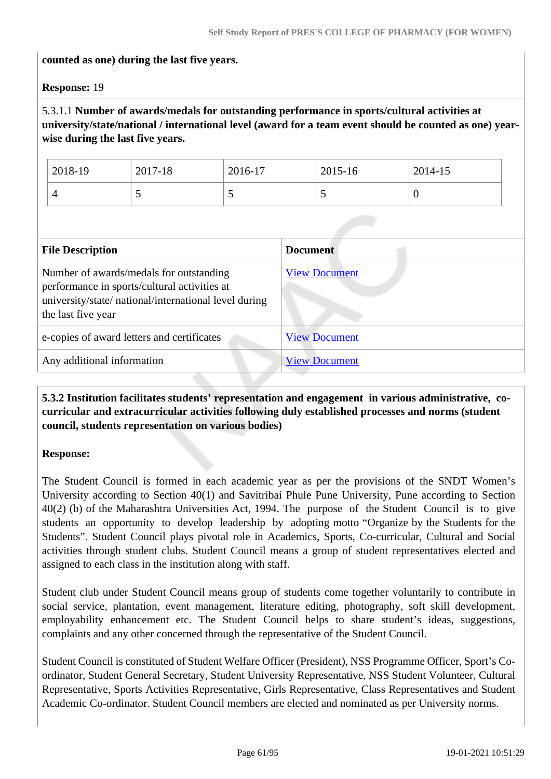#### **counted as one) during the last five years.**

#### **Response:** 19

## 5.3.1.1 **Number of awards/medals for outstanding performance in sports/cultural activities at university/state/national / international level (award for a team event should be counted as one) yearwise during the last five years.**

| 2018-19 | 2017-18                  | 2016-17 | 2015-16  | 2014-15 |
|---------|--------------------------|---------|----------|---------|
|         | $\overline{\phantom{0}}$ |         | <b>~</b> | v       |

| <b>File Description</b>                                                                                                                                                | <b>Document</b>      |
|------------------------------------------------------------------------------------------------------------------------------------------------------------------------|----------------------|
| Number of awards/medals for outstanding<br>performance in sports/cultural activities at<br>university/state/ national/international level during<br>the last five year | <b>View Document</b> |
| e-copies of award letters and certificates                                                                                                                             | <b>View Document</b> |
| Any additional information                                                                                                                                             | <b>View Document</b> |

### **5.3.2 Institution facilitates students' representation and engagement in various administrative, cocurricular and extracurricular activities following duly established processes and norms (student council, students representation on various bodies)**

#### **Response:**

The Student Council is formed in each academic year as per the provisions of the SNDT Women's University according to Section 40(1) and Savitribai Phule Pune University, Pune according to Section 40(2) (b) of the Maharashtra Universities Act, 1994. The purpose of the Student Council is to give students an opportunity to develop leadership by adopting motto "Organize by the Students for the Students". Student Council plays pivotal role in Academics, Sports, Co-curricular, Cultural and Social activities through student clubs. Student Council means a group of student representatives elected and assigned to each class in the institution along with staff.

Student club under Student Council means group of students come together voluntarily to contribute in social service, plantation, event management, literature editing, photography, soft skill development, employability enhancement etc. The Student Council helps to share student's ideas, suggestions, complaints and any other concerned through the representative of the Student Council.

Student Council is constituted of Student Welfare Officer (President), NSS Programme Officer, Sport's Coordinator, Student General Secretary, Student University Representative, NSS Student Volunteer, Cultural Representative, Sports Activities Representative, Girls Representative, Class Representatives and Student Academic Co-ordinator. Student Council members are elected and nominated as per University norms.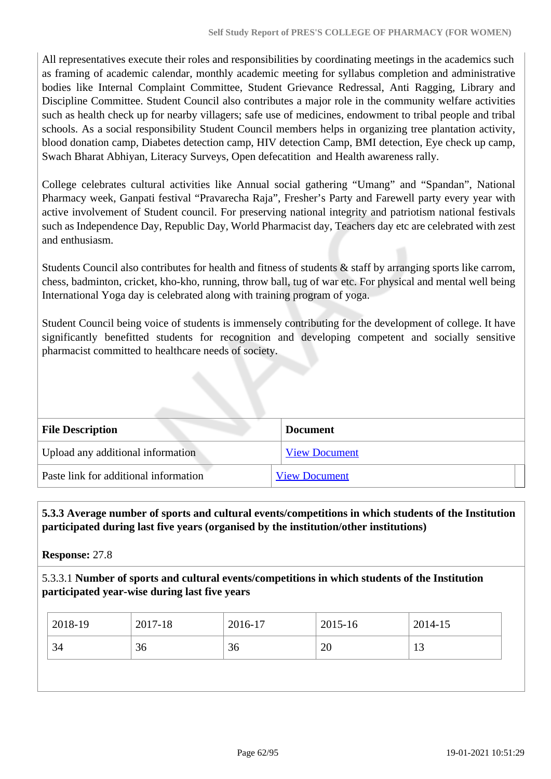All representatives execute their roles and responsibilities by coordinating meetings in the academics such as framing of academic calendar, monthly academic meeting for syllabus completion and administrative bodies like Internal Complaint Committee, Student Grievance Redressal, Anti Ragging, Library and Discipline Committee. Student Council also contributes a major role in the community welfare activities such as health check up for nearby villagers; safe use of medicines, endowment to tribal people and tribal schools. As a social responsibility Student Council members helps in organizing tree plantation activity, blood donation camp, Diabetes detection camp, HIV detection Camp, BMI detection, Eye check up camp, Swach Bharat Abhiyan, Literacy Surveys, Open defecatition and Health awareness rally.

College celebrates cultural activities like Annual social gathering "Umang" and "Spandan", National Pharmacy week, Ganpati festival "Pravarecha Raja", Fresher's Party and Farewell party every year with active involvement of Student council. For preserving national integrity and patriotism national festivals such as Independence Day, Republic Day, World Pharmacist day, Teachers day etc are celebrated with zest and enthusiasm.

Students Council also contributes for health and fitness of students & staff by arranging sports like carrom, chess, badminton, cricket, kho-kho, running, throw ball, tug of war etc. For physical and mental well being International Yoga day is celebrated along with training program of yoga.

Student Council being voice of students is immensely contributing for the development of college. It have significantly benefitted students for recognition and developing competent and socially sensitive pharmacist committed to healthcare needs of society.

| <b>File Description</b>               | <b>Document</b>      |
|---------------------------------------|----------------------|
| Upload any additional information     | <b>View Document</b> |
| Paste link for additional information | <b>View Document</b> |

### **5.3.3 Average number of sports and cultural events/competitions in which students of the Institution participated during last five years (organised by the institution/other institutions)**

**Response:** 27.8

### 5.3.3.1 **Number of sports and cultural events/competitions in which students of the Institution participated year-wise during last five years**

| 2018-19  | 2017-18 | 2016-17 | 2015-16 | 2014-15 |
|----------|---------|---------|---------|---------|
| 34<br>36 |         | 36      | 20      | 13      |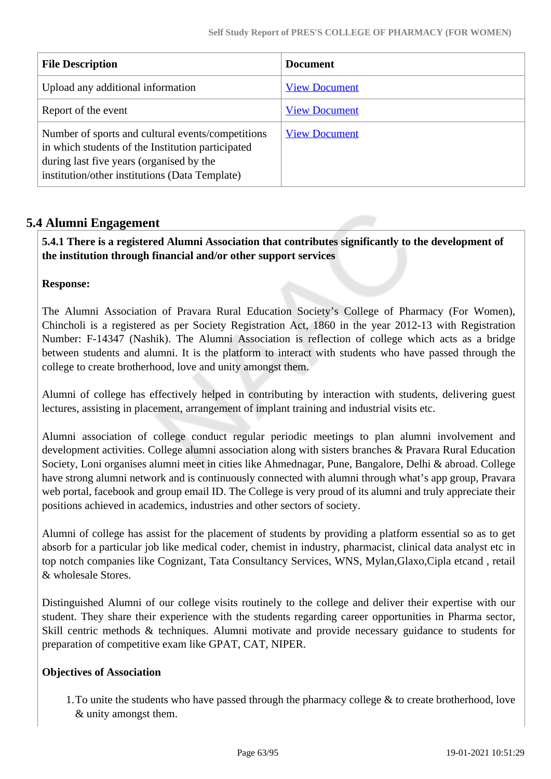| <b>File Description</b>                                                                                                                                                                              | <b>Document</b>      |
|------------------------------------------------------------------------------------------------------------------------------------------------------------------------------------------------------|----------------------|
| Upload any additional information                                                                                                                                                                    | <b>View Document</b> |
| Report of the event                                                                                                                                                                                  | <b>View Document</b> |
| Number of sports and cultural events/competitions<br>in which students of the Institution participated<br>during last five years (organised by the<br>institution/other institutions (Data Template) | <b>View Document</b> |

## **5.4 Alumni Engagement**

 **5.4.1 There is a registered Alumni Association that contributes significantly to the development of the institution through financial and/or other support services**

### **Response:**

The Alumni Association of Pravara Rural Education Society's College of Pharmacy (For Women), Chincholi is a registered as per Society Registration Act, 1860 in the year 2012-13 with Registration Number: F-14347 (Nashik). The Alumni Association is reflection of college which acts as a bridge between students and alumni. It is the platform to interact with students who have passed through the college to create brotherhood, love and unity amongst them.

Alumni of college has effectively helped in contributing by interaction with students, delivering guest lectures, assisting in placement, arrangement of implant training and industrial visits etc.

Alumni association of college conduct regular periodic meetings to plan alumni involvement and development activities. College alumni association along with sisters branches & Pravara Rural Education Society, Loni organises alumni meet in cities like Ahmednagar, Pune, Bangalore, Delhi & abroad. College have strong alumni network and is continuously connected with alumni through what's app group, Pravara web portal, facebook and group email ID. The College is very proud of its alumni and truly appreciate their positions achieved in academics, industries and other sectors of society.

Alumni of college has assist for the placement of students by providing a platform essential so as to get absorb for a particular job like medical coder, chemist in industry, pharmacist, clinical data analyst etc in top notch companies like Cognizant, Tata Consultancy Services, WNS, Mylan,Glaxo,Cipla etcand , retail & wholesale Stores.

Distinguished Alumni of our college visits routinely to the college and deliver their expertise with our student. They share their experience with the students regarding career opportunities in Pharma sector, Skill centric methods & techniques. Alumni motivate and provide necessary guidance to students for preparation of competitive exam like GPAT, CAT, NIPER.

### **Objectives of Association**

1.To unite the students who have passed through the pharmacy college & to create brotherhood, love & unity amongst them.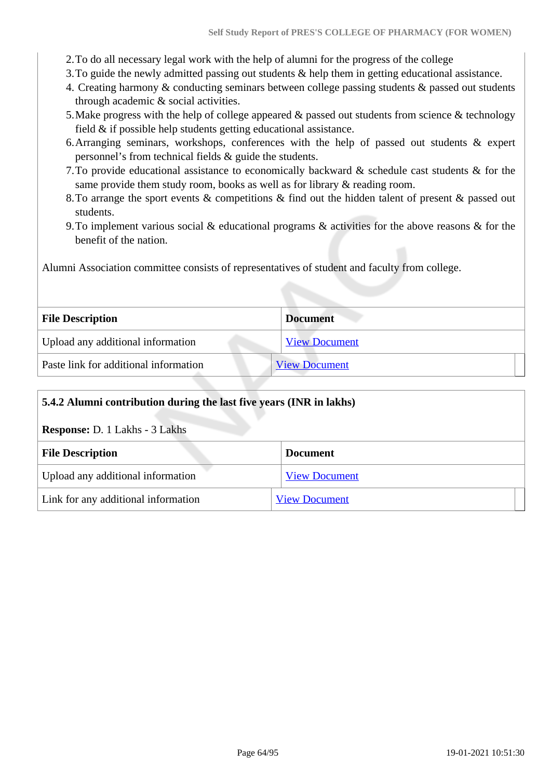- 2.To do all necessary legal work with the help of alumni for the progress of the college
- 3.To guide the newly admitted passing out students & help them in getting educational assistance.
- 4. Creating harmony & conducting seminars between college passing students & passed out students through academic & social activities.
- 5. Make progress with the help of college appeared  $\&$  passed out students from science  $\&$  technology field & if possible help students getting educational assistance.
- 6.Arranging seminars, workshops, conferences with the help of passed out students & expert personnel's from technical fields & guide the students.
- 7.To provide educational assistance to economically backward & schedule cast students & for the same provide them study room, books as well as for library & reading room.
- 8.To arrange the sport events & competitions & find out the hidden talent of present & passed out students.
- 9.To implement various social & educational programs & activities for the above reasons & for the benefit of the nation.

Alumni Association committee consists of representatives of student and faculty from college.

| <b>File Description</b>               | <b>Document</b>      |  |
|---------------------------------------|----------------------|--|
| Upload any additional information     | <b>View Document</b> |  |
| Paste link for additional information | <b>View Document</b> |  |

| 5.4.2 Alumni contribution during the last five years (INR in lakhs) |                      |  |  |
|---------------------------------------------------------------------|----------------------|--|--|
| <b>Response: D. 1 Lakhs - 3 Lakhs</b>                               |                      |  |  |
| <b>File Description</b>                                             | <b>Document</b>      |  |  |
| Upload any additional information                                   | <b>View Document</b> |  |  |
| Link for any additional information                                 | <b>View Document</b> |  |  |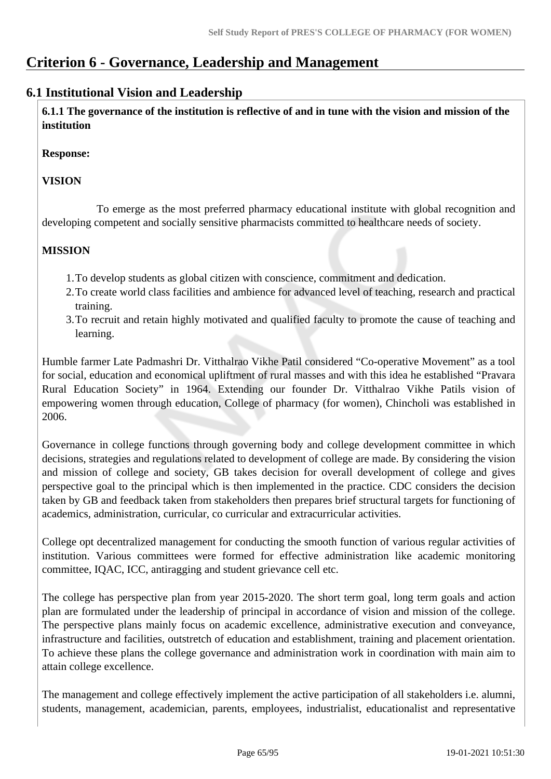# **Criterion 6 - Governance, Leadership and Management**

## **6.1 Institutional Vision and Leadership**

 **6.1.1 The governance of the institution is reflective of and in tune with the vision and mission of the institution**

#### **Response:**

### **VISION**

 To emerge as the most preferred pharmacy educational institute with global recognition and developing competent and socially sensitive pharmacists committed to healthcare needs of society.

### **MISSION**

- 1.To develop students as global citizen with conscience, commitment and dedication.
- 2.To create world class facilities and ambience for advanced level of teaching, research and practical training.
- 3.To recruit and retain highly motivated and qualified faculty to promote the cause of teaching and learning.

Humble farmer Late Padmashri Dr. Vitthalrao Vikhe Patil considered "Co-operative Movement" as a tool for social, education and economical upliftment of rural masses and with this idea he established "Pravara Rural Education Society" in 1964. Extending our founder Dr. Vitthalrao Vikhe Patils vision of empowering women through education, College of pharmacy (for women), Chincholi was established in 2006.

Governance in college functions through governing body and college development committee in which decisions, strategies and regulations related to development of college are made. By considering the vision and mission of college and society, GB takes decision for overall development of college and gives perspective goal to the principal which is then implemented in the practice. CDC considers the decision taken by GB and feedback taken from stakeholders then prepares brief structural targets for functioning of academics, administration, curricular, co curricular and extracurricular activities.

College opt decentralized management for conducting the smooth function of various regular activities of institution. Various committees were formed for effective administration like academic monitoring committee, IQAC, ICC, antiragging and student grievance cell etc.

The college has perspective plan from year 2015-2020. The short term goal, long term goals and action plan are formulated under the leadership of principal in accordance of vision and mission of the college. The perspective plans mainly focus on academic excellence, administrative execution and conveyance, infrastructure and facilities, outstretch of education and establishment, training and placement orientation. To achieve these plans the college governance and administration work in coordination with main aim to attain college excellence.

The management and college effectively implement the active participation of all stakeholders i.e. alumni, students, management, academician, parents, employees, industrialist, educationalist and representative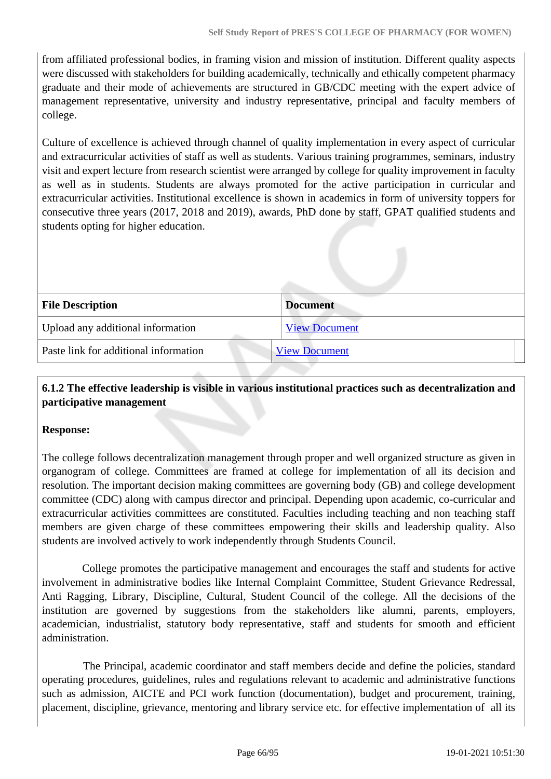from affiliated professional bodies, in framing vision and mission of institution. Different quality aspects were discussed with stakeholders for building academically, technically and ethically competent pharmacy graduate and their mode of achievements are structured in GB/CDC meeting with the expert advice of management representative, university and industry representative, principal and faculty members of college.

Culture of excellence is achieved through channel of quality implementation in every aspect of curricular and extracurricular activities of staff as well as students. Various training programmes, seminars, industry visit and expert lecture from research scientist were arranged by college for quality improvement in faculty as well as in students. Students are always promoted for the active participation in curricular and extracurricular activities. Institutional excellence is shown in academics in form of university toppers for consecutive three years (2017, 2018 and 2019), awards, PhD done by staff, GPAT qualified students and students opting for higher education.

| <b>File Description</b>               |                      |  |  |
|---------------------------------------|----------------------|--|--|
|                                       | <b>Document</b>      |  |  |
| Upload any additional information     | <b>View Document</b> |  |  |
| Paste link for additional information | <b>View Document</b> |  |  |
|                                       |                      |  |  |

#### **6.1.2 The effective leadership is visible in various institutional practices such as decentralization and participative management**

### **Response:**

The college follows decentralization management through proper and well organized structure as given in organogram of college. Committees are framed at college for implementation of all its decision and resolution. The important decision making committees are governing body (GB) and college development committee (CDC) along with campus director and principal. Depending upon academic, co-curricular and extracurricular activities committees are constituted. Faculties including teaching and non teaching staff members are given charge of these committees empowering their skills and leadership quality. Also students are involved actively to work independently through Students Council.

 College promotes the participative management and encourages the staff and students for active involvement in administrative bodies like Internal Complaint Committee, Student Grievance Redressal, Anti Ragging, Library, Discipline, Cultural, Student Council of the college. All the decisions of the institution are governed by suggestions from the stakeholders like alumni, parents, employers, academician, industrialist, statutory body representative, staff and students for smooth and efficient administration.

 The Principal, academic coordinator and staff members decide and define the policies, standard operating procedures, guidelines, rules and regulations relevant to academic and administrative functions such as admission, AICTE and PCI work function (documentation), budget and procurement, training, placement, discipline, grievance, mentoring and library service etc. for effective implementation of all its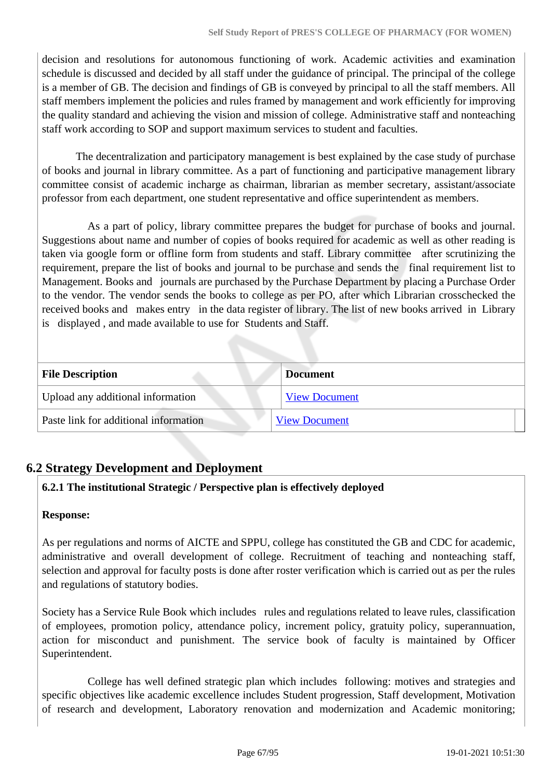decision and resolutions for autonomous functioning of work. Academic activities and examination schedule is discussed and decided by all staff under the guidance of principal. The principal of the college is a member of GB. The decision and findings of GB is conveyed by principal to all the staff members. All staff members implement the policies and rules framed by management and work efficiently for improving the quality standard and achieving the vision and mission of college. Administrative staff and nonteaching staff work according to SOP and support maximum services to student and faculties.

 The decentralization and participatory management is best explained by the case study of purchase of books and journal in library committee. As a part of functioning and participative management library committee consist of academic incharge as chairman, librarian as member secretary, assistant/associate professor from each department, one student representative and office superintendent as members.

 As a part of policy, library committee prepares the budget for purchase of books and journal. Suggestions about name and number of copies of books required for academic as well as other reading is taken via google form or offline form from students and staff. Library committee after scrutinizing the requirement, prepare the list of books and journal to be purchase and sends the final requirement list to Management. Books and journals are purchased by the Purchase Department by placing a Purchase Order to the vendor. The vendor sends the books to college as per PO, after which Librarian crosschecked the received books and makes entry in the data register of library. The list of new books arrived in Library is displayed , and made available to use for Students and Staff.

| <b>File Description</b>               | <b>Document</b>      |  |
|---------------------------------------|----------------------|--|
| Upload any additional information     | <b>View Document</b> |  |
| Paste link for additional information | <b>View Document</b> |  |

## **6.2 Strategy Development and Deployment**

### **6.2.1 The institutional Strategic / Perspective plan is effectively deployed**

#### **Response:**

As per regulations and norms of AICTE and SPPU, college has constituted the GB and CDC for academic, administrative and overall development of college. Recruitment of teaching and nonteaching staff, selection and approval for faculty posts is done after roster verification which is carried out as per the rules and regulations of statutory bodies.

Society has a Service Rule Book which includes rules and regulations related to leave rules, classification of employees, promotion policy, attendance policy, increment policy, gratuity policy, superannuation, action for misconduct and punishment. The service book of faculty is maintained by Officer Superintendent.

 College has well defined strategic plan which includes following: motives and strategies and specific objectives like academic excellence includes Student progression, Staff development, Motivation of research and development, Laboratory renovation and modernization and Academic monitoring;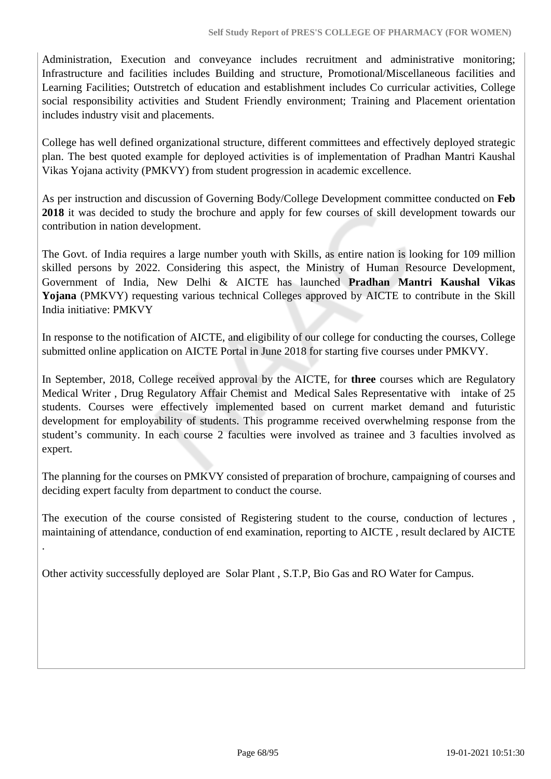Administration, Execution and conveyance includes recruitment and administrative monitoring; Infrastructure and facilities includes Building and structure, Promotional/Miscellaneous facilities and Learning Facilities; Outstretch of education and establishment includes Co curricular activities, College social responsibility activities and Student Friendly environment; Training and Placement orientation includes industry visit and placements.

College has well defined organizational structure, different committees and effectively deployed strategic plan. The best quoted example for deployed activities is of implementation of Pradhan Mantri Kaushal Vikas Yojana activity (PMKVY) from student progression in academic excellence.

As per instruction and discussion of Governing Body/College Development committee conducted on **Feb 2018** it was decided to study the brochure and apply for few courses of skill development towards our contribution in nation development.

The Govt. of India requires a large number youth with Skills, as entire nation is looking for 109 million skilled persons by 2022. Considering this aspect, the Ministry of Human Resource Development, Government of India, New Delhi & AICTE has launched **Pradhan Mantri Kaushal Vikas Yojana** (PMKVY) requesting various technical Colleges approved by AICTE to contribute in the Skill India initiative: PMKVY

In response to the notification of AICTE, and eligibility of our college for conducting the courses, College submitted online application on AICTE Portal in June 2018 for starting five courses under PMKVY.

In September, 2018, College received approval by the AICTE, for **three** courses which are Regulatory Medical Writer , Drug Regulatory Affair Chemist and Medical Sales Representative with intake of 25 students. Courses were effectively implemented based on current market demand and futuristic development for employability of students. This programme received overwhelming response from the student's community. In each course 2 faculties were involved as trainee and 3 faculties involved as expert.

The planning for the courses on PMKVY consisted of preparation of brochure, campaigning of courses and deciding expert faculty from department to conduct the course.

The execution of the course consisted of Registering student to the course, conduction of lectures , maintaining of attendance, conduction of end examination, reporting to AICTE , result declared by AICTE

Other activity successfully deployed are Solar Plant , S.T.P, Bio Gas and RO Water for Campus.

.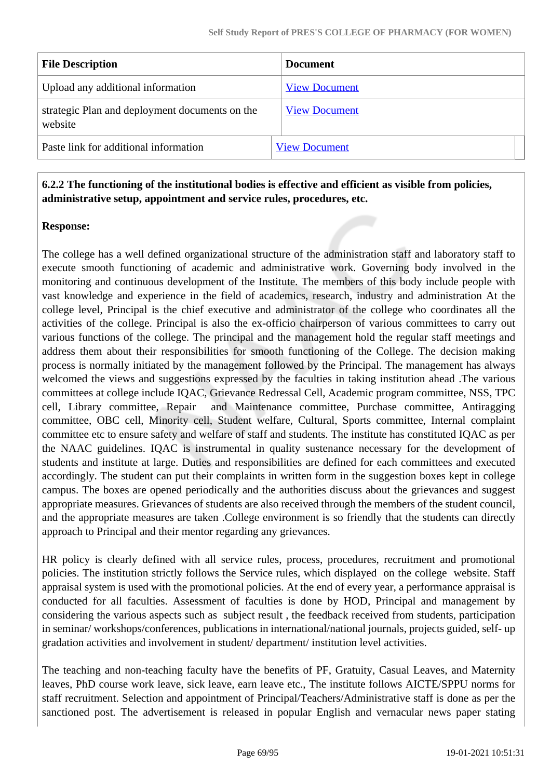| <b>File Description</b>                                   | <b>Document</b>      |
|-----------------------------------------------------------|----------------------|
| Upload any additional information                         | <b>View Document</b> |
| strategic Plan and deployment documents on the<br>website | <b>View Document</b> |
| Paste link for additional information                     | <b>View Document</b> |

 **6.2.2 The functioning of the institutional bodies is effective and efficient as visible from policies, administrative setup, appointment and service rules, procedures, etc.**

#### **Response:**

The college has a well defined organizational structure of the administration staff and laboratory staff to execute smooth functioning of academic and administrative work. Governing body involved in the monitoring and continuous development of the Institute. The members of this body include people with vast knowledge and experience in the field of academics, research, industry and administration At the college level, Principal is the chief executive and administrator of the college who coordinates all the activities of the college. Principal is also the ex-officio chairperson of various committees to carry out various functions of the college. The principal and the management hold the regular staff meetings and address them about their responsibilities for smooth functioning of the College. The decision making process is normally initiated by the management followed by the Principal. The management has always welcomed the views and suggestions expressed by the faculties in taking institution ahead .The various committees at college include IQAC, Grievance Redressal Cell, Academic program committee, NSS, TPC cell, Library committee, Repair and Maintenance committee, Purchase committee, Antiragging committee, OBC cell, Minority cell, Student welfare, Cultural, Sports committee, Internal complaint committee etc to ensure safety and welfare of staff and students. The institute has constituted IQAC as per the NAAC guidelines. IQAC is instrumental in quality sustenance necessary for the development of students and institute at large. Duties and responsibilities are defined for each committees and executed accordingly. The student can put their complaints in written form in the suggestion boxes kept in college campus. The boxes are opened periodically and the authorities discuss about the grievances and suggest appropriate measures. Grievances of students are also received through the members of the student council, and the appropriate measures are taken .College environment is so friendly that the students can directly approach to Principal and their mentor regarding any grievances.

HR policy is clearly defined with all service rules, process, procedures, recruitment and promotional policies. The institution strictly follows the Service rules, which displayed on the college website. Staff appraisal system is used with the promotional policies. At the end of every year, a performance appraisal is conducted for all faculties. Assessment of faculties is done by HOD, Principal and management by considering the various aspects such as subject result , the feedback received from students, participation in seminar/ workshops/conferences, publications in international/national journals, projects guided, self- up gradation activities and involvement in student/ department/ institution level activities.

The teaching and non-teaching faculty have the benefits of PF, Gratuity, Casual Leaves, and Maternity leaves, PhD course work leave, sick leave, earn leave etc., The institute follows AICTE/SPPU norms for staff recruitment. Selection and appointment of Principal/Teachers/Administrative staff is done as per the sanctioned post. The advertisement is released in popular English and vernacular news paper stating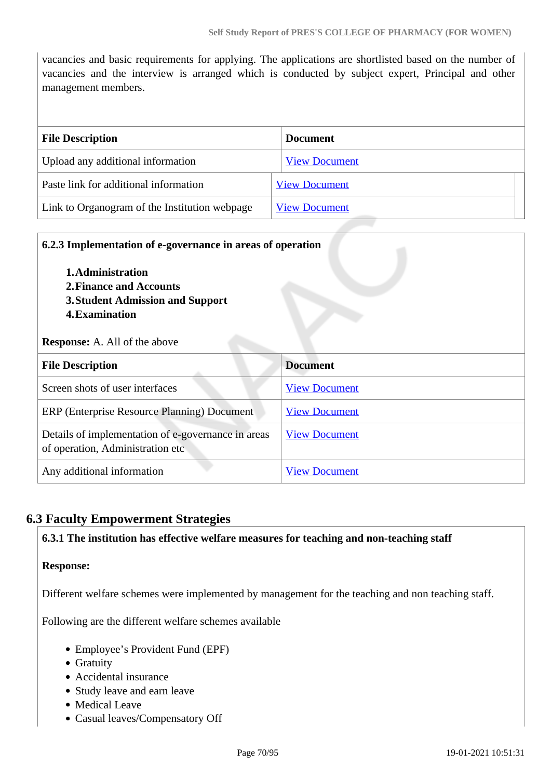vacancies and basic requirements for applying. The applications are shortlisted based on the number of vacancies and the interview is arranged which is conducted by subject expert, Principal and other management members.

| <b>File Description</b>                       | Document             |  |
|-----------------------------------------------|----------------------|--|
| Upload any additional information             | <b>View Document</b> |  |
| Paste link for additional information         | <b>View Document</b> |  |
| Link to Organogram of the Institution webpage | <b>View Document</b> |  |

| 6.2.3 Implementation of e-governance in areas of operation<br>1. Administration<br>2. Finance and Accounts<br><b>3. Student Admission and Support</b><br>4. Examination<br><b>Response:</b> A. All of the above |                      |
|-----------------------------------------------------------------------------------------------------------------------------------------------------------------------------------------------------------------|----------------------|
| <b>File Description</b>                                                                                                                                                                                         | <b>Document</b>      |
| Screen shots of user interfaces                                                                                                                                                                                 | <b>View Document</b> |
| ERP (Enterprise Resource Planning) Document                                                                                                                                                                     | <b>View Document</b> |
| Details of implementation of e-governance in areas<br>of operation, Administration etc                                                                                                                          | <b>View Document</b> |
| Any additional information                                                                                                                                                                                      | <b>View Document</b> |

## **6.3 Faculty Empowerment Strategies**

#### **6.3.1 The institution has effective welfare measures for teaching and non-teaching staff**

#### **Response:**

Different welfare schemes were implemented by management for the teaching and non teaching staff.

Following are the different welfare schemes available

- Employee's Provident Fund (EPF)
- Gratuity
- Accidental insurance
- Study leave and earn leave
- Medical Leave
- Casual leaves/Compensatory Off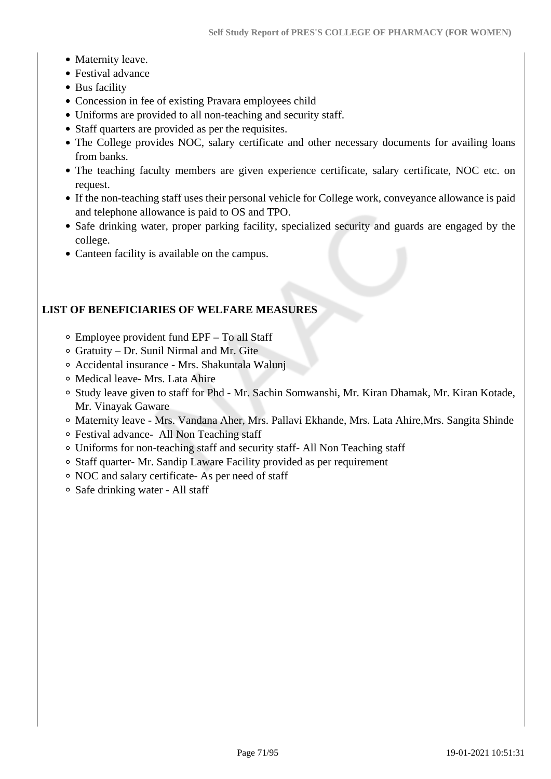- Maternity leave.
- Festival advance
- Bus facility
- Concession in fee of existing Pravara employees child
- Uniforms are provided to all non-teaching and security staff.
- Staff quarters are provided as per the requisites.
- The College provides NOC, salary certificate and other necessary documents for availing loans from banks.
- The teaching faculty members are given experience certificate, salary certificate, NOC etc. on request.
- If the non-teaching staff uses their personal vehicle for College work, conveyance allowance is paid and telephone allowance is paid to OS and TPO.
- Safe drinking water, proper parking facility, specialized security and guards are engaged by the college.
- Canteen facility is available on the campus.

#### **LIST OF BENEFICIARIES OF WELFARE MEASURES**

- Employee provident fund EPF To all Staff
- Gratuity Dr. Sunil Nirmal and Mr. Gite
- Accidental insurance Mrs. Shakuntala Walunj
- Medical leave- Mrs. Lata Ahire
- <sup>o</sup> Study leave given to staff for Phd Mr. Sachin Somwanshi, Mr. Kiran Dhamak, Mr. Kiran Kotade, Mr. Vinayak Gaware
- Maternity leave Mrs. Vandana Aher, Mrs. Pallavi Ekhande, Mrs. Lata Ahire,Mrs. Sangita Shinde
- Festival advance- All Non Teaching staff
- Uniforms for non-teaching staff and security staff- All Non Teaching staff
- Staff quarter- Mr. Sandip Laware Facility provided as per requirement
- NOC and salary certificate- As per need of staff
- Safe drinking water All staff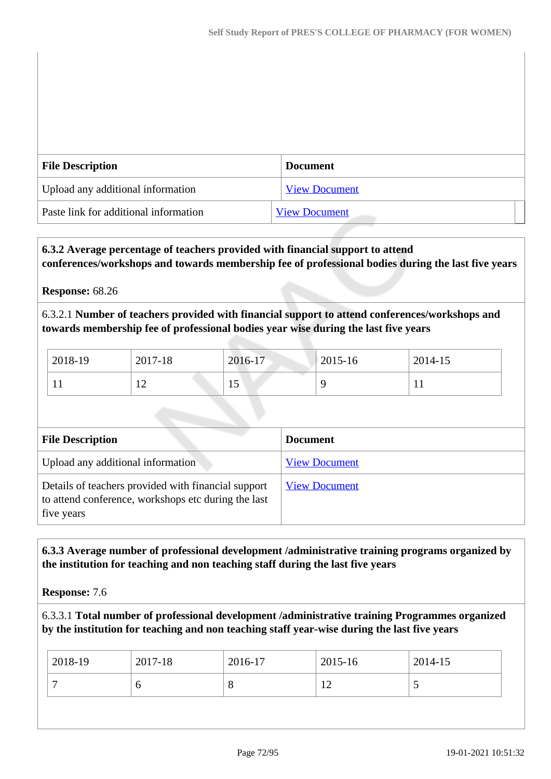| <b>File Description</b>               | <b>Document</b>      |  |
|---------------------------------------|----------------------|--|
| Upload any additional information     | <b>View Document</b> |  |
| Paste link for additional information | <b>View Document</b> |  |

#### **6.3.2 Average percentage of teachers provided with financial support to attend conferences/workshops and towards membership fee of professional bodies during the last five years**

**Response:** 68.26

6.3.2.1 **Number of teachers provided with financial support to attend conferences/workshops and towards membership fee of professional bodies year wise during the last five years**

| 2018-19  | 2017-18 | 2016-17  | $12015 - 16$ | 2014-15 |
|----------|---------|----------|--------------|---------|
| $\bf{1}$ | ∸∸      | 15<br>IJ |              | . .     |

| <b>File Description</b>                                                                                                  | <b>Document</b>      |
|--------------------------------------------------------------------------------------------------------------------------|----------------------|
| Upload any additional information                                                                                        | <b>View Document</b> |
| Details of teachers provided with financial support<br>to attend conference, workshops etc during the last<br>five years | <b>View Document</b> |

 **6.3.3 Average number of professional development /administrative training programs organized by the institution for teaching and non teaching staff during the last five years**

**Response:** 7.6

6.3.3.1 **Total number of professional development /administrative training Programmes organized by the institution for teaching and non teaching staff year-wise during the last five years**

| 2018-19 | 2017-18 | 2016-17 | 2015-16 | 2014-15 |
|---------|---------|---------|---------|---------|
|         |         | $\circ$ | ∸       | ັ       |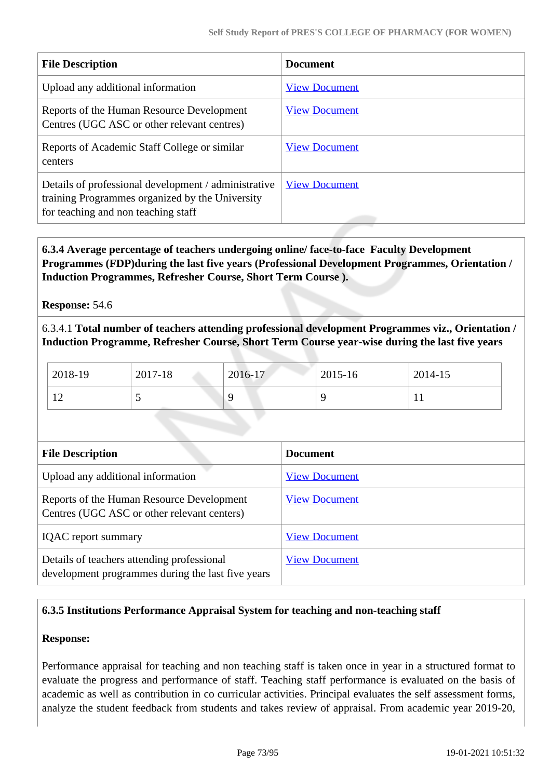| <b>File Description</b>                                                                                                                        | <b>Document</b>      |
|------------------------------------------------------------------------------------------------------------------------------------------------|----------------------|
| Upload any additional information                                                                                                              | <b>View Document</b> |
| Reports of the Human Resource Development<br>Centres (UGC ASC or other relevant centres)                                                       | <b>View Document</b> |
| Reports of Academic Staff College or similar<br>centers                                                                                        | <b>View Document</b> |
| Details of professional development / administrative<br>training Programmes organized by the University<br>for teaching and non teaching staff | <b>View Document</b> |

# **6.3.4 Average percentage of teachers undergoing online/ face-to-face Faculty Development Programmes (FDP)during the last five years (Professional Development Programmes, Orientation / Induction Programmes, Refresher Course, Short Term Course ).**

**Response:** 54.6

6.3.4.1 **Total number of teachers attending professional development Programmes viz., Orientation / Induction Programme, Refresher Course, Short Term Course year-wise during the last five years**

| 2018-19              | 2017-18 | 2016-17 | 2015-16 | 2014-15 |
|----------------------|---------|---------|---------|---------|
| 1 <sub>0</sub><br>▴∠ | ັ       |         |         | T T     |

| <b>File Description</b>                                                                         | <b>Document</b>      |
|-------------------------------------------------------------------------------------------------|----------------------|
| Upload any additional information                                                               | <b>View Document</b> |
| Reports of the Human Resource Development<br>Centres (UGC ASC or other relevant centers)        | <b>View Document</b> |
| <b>IQAC</b> report summary                                                                      | <b>View Document</b> |
| Details of teachers attending professional<br>development programmes during the last five years | <b>View Document</b> |

# **6.3.5 Institutions Performance Appraisal System for teaching and non-teaching staff**

#### **Response:**

Performance appraisal for teaching and non teaching staff is taken once in year in a structured format to evaluate the progress and performance of staff. Teaching staff performance is evaluated on the basis of academic as well as contribution in co curricular activities. Principal evaluates the self assessment forms, analyze the student feedback from students and takes review of appraisal. From academic year 2019-20,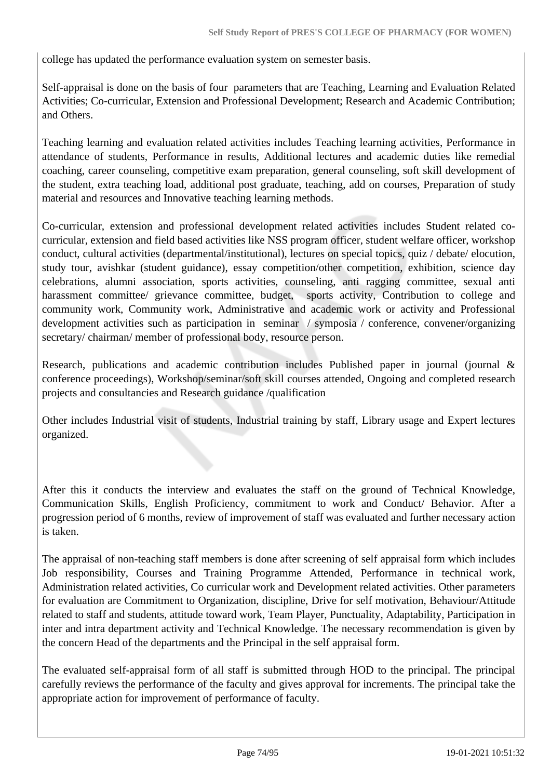college has updated the performance evaluation system on semester basis.

Self-appraisal is done on the basis of four parameters that are Teaching, Learning and Evaluation Related Activities; Co-curricular, Extension and Professional Development; Research and Academic Contribution; and Others.

Teaching learning and evaluation related activities includes Teaching learning activities, Performance in attendance of students, Performance in results, Additional lectures and academic duties like remedial coaching, career counseling, competitive exam preparation, general counseling, soft skill development of the student, extra teaching load, additional post graduate, teaching, add on courses, Preparation of study material and resources and Innovative teaching learning methods.

Co-curricular, extension and professional development related activities includes Student related cocurricular, extension and field based activities like NSS program officer, student welfare officer, workshop conduct, cultural activities (departmental/institutional), lectures on special topics, quiz / debate/ elocution, study tour, avishkar (student guidance), essay competition/other competition, exhibition, science day celebrations, alumni association, sports activities, counseling, anti ragging committee, sexual anti harassment committee/ grievance committee, budget, sports activity, Contribution to college and community work, Community work, Administrative and academic work or activity and Professional development activities such as participation in seminar / symposia / conference, convener/organizing secretary/ chairman/ member of professional body, resource person.

Research, publications and academic contribution includes Published paper in journal (journal & conference proceedings), Workshop/seminar/soft skill courses attended, Ongoing and completed research projects and consultancies and Research guidance /qualification

Other includes Industrial visit of students, Industrial training by staff, Library usage and Expert lectures organized.

After this it conducts the interview and evaluates the staff on the ground of Technical Knowledge, Communication Skills, English Proficiency, commitment to work and Conduct/ Behavior. After a progression period of 6 months, review of improvement of staff was evaluated and further necessary action is taken.

The appraisal of non-teaching staff members is done after screening of self appraisal form which includes Job responsibility, Courses and Training Programme Attended, Performance in technical work, Administration related activities, Co curricular work and Development related activities. Other parameters for evaluation are Commitment to Organization, discipline, Drive for self motivation, Behaviour/Attitude related to staff and students, attitude toward work, Team Player, Punctuality, Adaptability, Participation in inter and intra department activity and Technical Knowledge. The necessary recommendation is given by the concern Head of the departments and the Principal in the self appraisal form.

The evaluated self-appraisal form of all staff is submitted through HOD to the principal. The principal carefully reviews the performance of the faculty and gives approval for increments. The principal take the appropriate action for improvement of performance of faculty.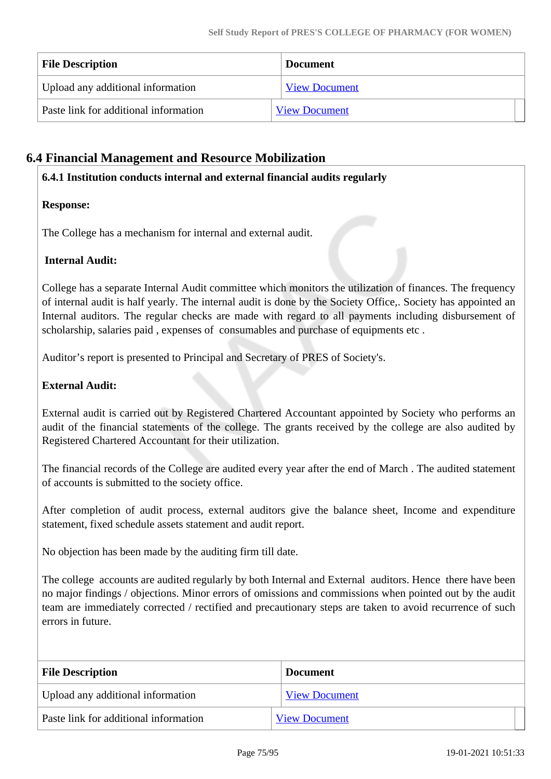| <b>File Description</b>               | <b>Document</b>      |
|---------------------------------------|----------------------|
| Upload any additional information     | <b>View Document</b> |
| Paste link for additional information | <b>View Document</b> |

# **6.4 Financial Management and Resource Mobilization**

#### **6.4.1 Institution conducts internal and external financial audits regularly**

# **Response:**

The College has a mechanism for internal and external audit.

# **Internal Audit:**

College has a separate Internal Audit committee which monitors the utilization of finances. The frequency of internal audit is half yearly. The internal audit is done by the Society Office,. Society has appointed an Internal auditors. The regular checks are made with regard to all payments including disbursement of scholarship, salaries paid , expenses of consumables and purchase of equipments etc .

Auditor's report is presented to Principal and Secretary of PRES of Society's.

# **External Audit:**

External audit is carried out by Registered Chartered Accountant appointed by Society who performs an audit of the financial statements of the college. The grants received by the college are also audited by Registered Chartered Accountant for their utilization.

The financial records of the College are audited every year after the end of March . The audited statement of accounts is submitted to the society office.

After completion of audit process, external auditors give the balance sheet, Income and expenditure statement, fixed schedule assets statement and audit report.

No objection has been made by the auditing firm till date.

The college accounts are audited regularly by both Internal and External auditors. Hence there have been no major findings / objections. Minor errors of omissions and commissions when pointed out by the audit team are immediately corrected / rectified and precautionary steps are taken to avoid recurrence of such errors in future.

| <b>File Description</b>               | <b>Document</b>      |
|---------------------------------------|----------------------|
| Upload any additional information     | <b>View Document</b> |
| Paste link for additional information | <b>View Document</b> |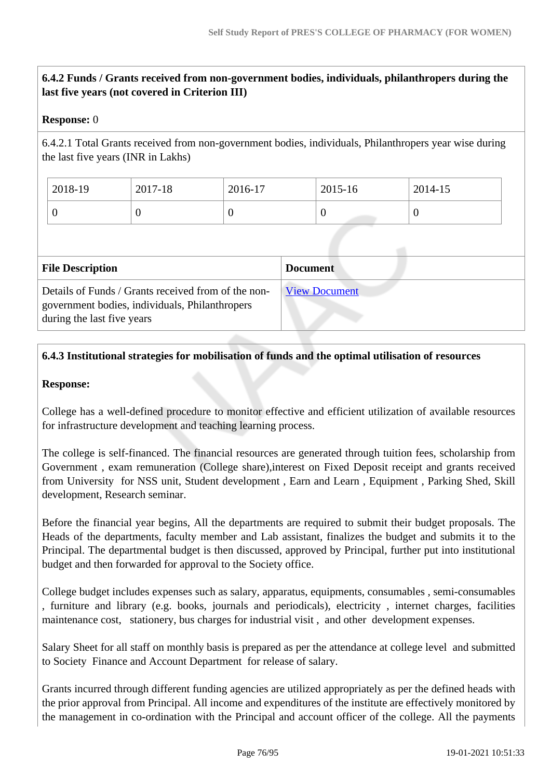# **6.4.2 Funds / Grants received from non-government bodies, individuals, philanthropers during the last five years (not covered in Criterion III)**

#### **Response:** 0

6.4.2.1 Total Grants received from non-government bodies, individuals, Philanthropers year wise during the last five years (INR in Lakhs)

| 2018-19 | 2017-18 | 2016-17 | 2015-16 | 2014-15 |
|---------|---------|---------|---------|---------|
| ν       |         | ν       | v       | U       |

| <b>File Description</b>                                                                                                             | <b>Document</b>      |
|-------------------------------------------------------------------------------------------------------------------------------------|----------------------|
| Details of Funds / Grants received from of the non-<br>government bodies, individuals, Philanthropers<br>during the last five years | <b>View Document</b> |

# **6.4.3 Institutional strategies for mobilisation of funds and the optimal utilisation of resources**

**Response:** 

College has a well-defined procedure to monitor effective and efficient utilization of available resources for infrastructure development and teaching learning process.

The college is self-financed. The financial resources are generated through tuition fees, scholarship from Government , exam remuneration (College share),interest on Fixed Deposit receipt and grants received from University for NSS unit, Student development , Earn and Learn , Equipment , Parking Shed, Skill development, Research seminar.

Before the financial year begins, All the departments are required to submit their budget proposals. The Heads of the departments, faculty member and Lab assistant, finalizes the budget and submits it to the Principal. The departmental budget is then discussed, approved by Principal, further put into institutional budget and then forwarded for approval to the Society office.

College budget includes expenses such as salary, apparatus, equipments, consumables , semi-consumables , furniture and library (e.g. books, journals and periodicals), electricity , internet charges, facilities maintenance cost, stationery, bus charges for industrial visit , and other development expenses.

Salary Sheet for all staff on monthly basis is prepared as per the attendance at college level and submitted to Society Finance and Account Department for release of salary.

Grants incurred through different funding agencies are utilized appropriately as per the defined heads with the prior approval from Principal. All income and expenditures of the institute are effectively monitored by the management in co-ordination with the Principal and account officer of the college. All the payments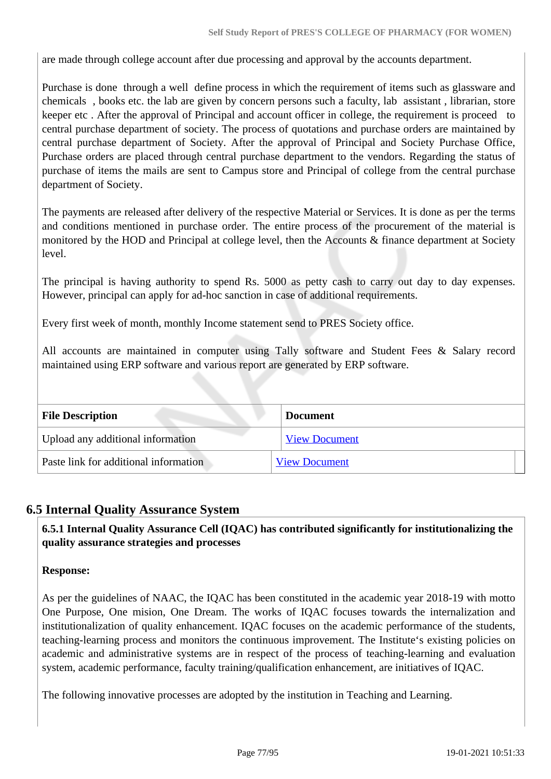are made through college account after due processing and approval by the accounts department.

Purchase is done through a well define process in which the requirement of items such as glassware and chemicals , books etc. the lab are given by concern persons such a faculty, lab assistant , librarian, store keeper etc . After the approval of Principal and account officer in college, the requirement is proceed to central purchase department of society. The process of quotations and purchase orders are maintained by central purchase department of Society. After the approval of Principal and Society Purchase Office, Purchase orders are placed through central purchase department to the vendors. Regarding the status of purchase of items the mails are sent to Campus store and Principal of college from the central purchase department of Society.

The payments are released after delivery of the respective Material or Services. It is done as per the terms and conditions mentioned in purchase order. The entire process of the procurement of the material is monitored by the HOD and Principal at college level, then the Accounts & finance department at Society level.

The principal is having authority to spend Rs. 5000 as petty cash to carry out day to day expenses. However, principal can apply for ad-hoc sanction in case of additional requirements.

Every first week of month, monthly Income statement send to PRES Society office.

All accounts are maintained in computer using Tally software and Student Fees & Salary record maintained using ERP software and various report are generated by ERP software.

| <b>File Description</b>               | <b>Document</b>      |
|---------------------------------------|----------------------|
| Upload any additional information     | <b>View Document</b> |
| Paste link for additional information | <b>View Document</b> |

#### **6.5 Internal Quality Assurance System**

 **6.5.1 Internal Quality Assurance Cell (IQAC) has contributed significantly for institutionalizing the quality assurance strategies and processes**

#### **Response:**

As per the guidelines of NAAC, the IQAC has been constituted in the academic year 2018-19 with motto One Purpose, One mision, One Dream. The works of IQAC focuses towards the internalization and institutionalization of quality enhancement. IQAC focuses on the academic performance of the students, teaching-learning process and monitors the continuous improvement. The Institute's existing policies on academic and administrative systems are in respect of the process of teaching-learning and evaluation system, academic performance, faculty training/qualification enhancement, are initiatives of IQAC.

The following innovative processes are adopted by the institution in Teaching and Learning.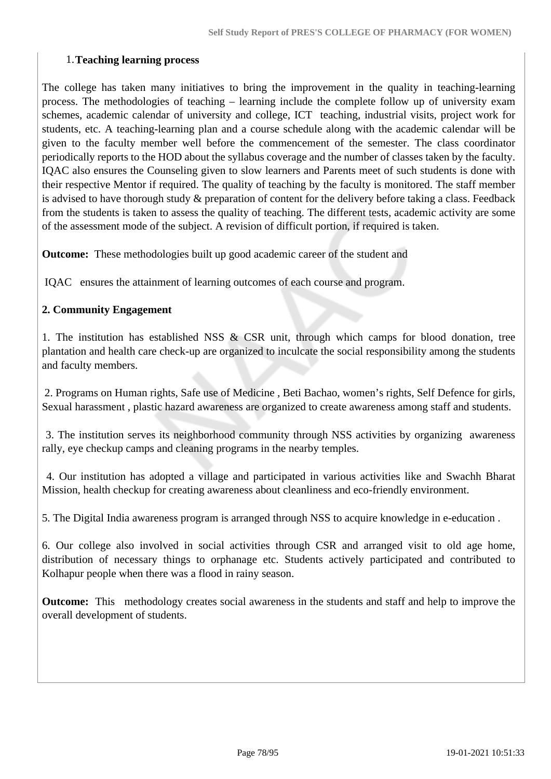#### 1.**Teaching learning process**

The college has taken many initiatives to bring the improvement in the quality in teaching-learning process. The methodologies of teaching – learning include the complete follow up of university exam schemes, academic calendar of university and college, ICT teaching, industrial visits, project work for students, etc. A teaching-learning plan and a course schedule along with the academic calendar will be given to the faculty member well before the commencement of the semester. The class coordinator periodically reports to the HOD about the syllabus coverage and the number of classes taken by the faculty. IQAC also ensures the Counseling given to slow learners and Parents meet of such students is done with their respective Mentor if required. The quality of teaching by the faculty is monitored. The staff member is advised to have thorough study & preparation of content for the delivery before taking a class. Feedback from the students is taken to assess the quality of teaching. The different tests, academic activity are some of the assessment mode of the subject. A revision of difficult portion, if required is taken.

**Outcome:** These methodologies built up good academic career of the student and

IQAC ensures the attainment of learning outcomes of each course and program.

#### **2. Community Engagement**

1. The institution has established NSS & CSR unit, through which camps for blood donation, tree plantation and health care check-up are organized to inculcate the social responsibility among the students and faculty members.

 2. Programs on Human rights, Safe use of Medicine , Beti Bachao, women's rights, Self Defence for girls, Sexual harassment , plastic hazard awareness are organized to create awareness among staff and students.

 3. The institution serves its neighborhood community through NSS activities by organizing awareness rally, eye checkup camps and cleaning programs in the nearby temples.

 4. Our institution has adopted a village and participated in various activities like and Swachh Bharat Mission, health checkup for creating awareness about cleanliness and eco-friendly environment.

5. The Digital India awareness program is arranged through NSS to acquire knowledge in e-education .

6. Our college also involved in social activities through CSR and arranged visit to old age home, distribution of necessary things to orphanage etc. Students actively participated and contributed to Kolhapur people when there was a flood in rainy season.

**Outcome:** This methodology creates social awareness in the students and staff and help to improve the overall development of students.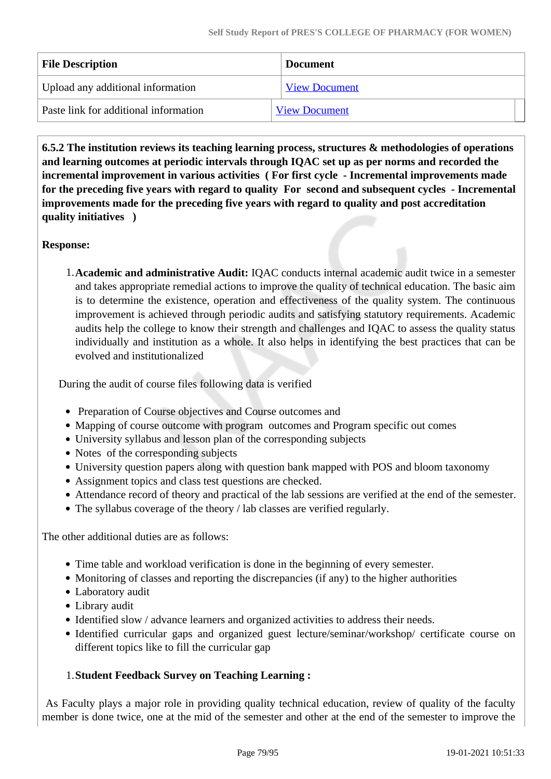| <b>File Description</b>               | <b>Document</b>      |
|---------------------------------------|----------------------|
| Upload any additional information     | <b>View Document</b> |
| Paste link for additional information | <b>View Document</b> |

 **6.5.2 The institution reviews its teaching learning process, structures & methodologies of operations and learning outcomes at periodic intervals through IQAC set up as per norms and recorded the incremental improvement in various activities ( For first cycle - Incremental improvements made for the preceding five years with regard to quality For second and subsequent cycles - Incremental improvements made for the preceding five years with regard to quality and post accreditation quality initiatives )** 

# **Response:**

1.**Academic and administrative Audit:** IQAC conducts internal academic audit twice in a semester and takes appropriate remedial actions to improve the quality of technical education. The basic aim is to determine the existence, operation and effectiveness of the quality system. The continuous improvement is achieved through periodic audits and satisfying statutory requirements. Academic audits help the college to know their strength and challenges and IQAC to assess the quality status individually and institution as a whole. It also helps in identifying the best practices that can be evolved and institutionalized

During the audit of course files following data is verified

- Preparation of Course objectives and Course outcomes and
- Mapping of course outcome with program outcomes and Program specific out comes
- University syllabus and lesson plan of the corresponding subjects
- Notes of the corresponding subjects
- University question papers along with question bank mapped with POS and bloom taxonomy
- Assignment topics and class test questions are checked.
- Attendance record of theory and practical of the lab sessions are verified at the end of the semester.
- The syllabus coverage of the theory / lab classes are verified regularly.

The other additional duties are as follows:

- Time table and workload verification is done in the beginning of every semester.
- Monitoring of classes and reporting the discrepancies (if any) to the higher authorities
- Laboratory audit
- Library audit
- Identified slow / advance learners and organized activities to address their needs.
- Identified curricular gaps and organized guest lecture/seminar/workshop/ certificate course on different topics like to fill the curricular gap

# 1.**Student Feedback Survey on Teaching Learning :**

 As Faculty plays a major role in providing quality technical education, review of quality of the faculty member is done twice, one at the mid of the semester and other at the end of the semester to improve the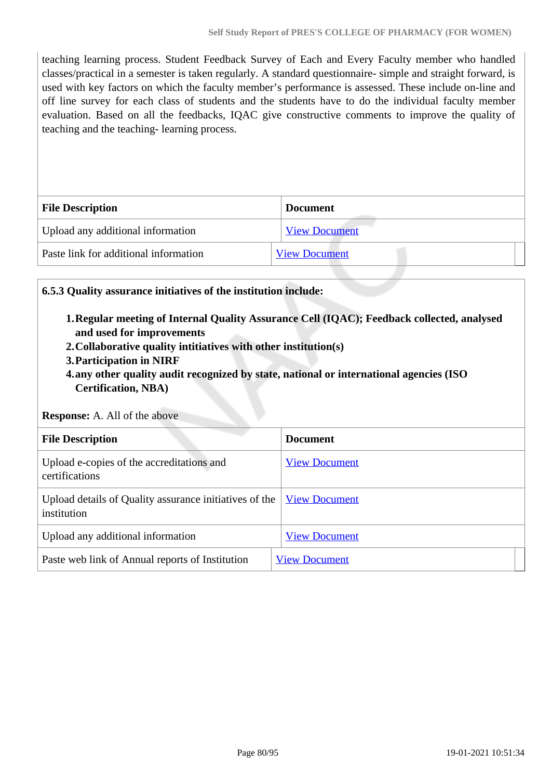teaching learning process. Student Feedback Survey of Each and Every Faculty member who handled classes/practical in a semester is taken regularly. A standard questionnaire- simple and straight forward, is used with key factors on which the faculty member's performance is assessed. These include on-line and off line survey for each class of students and the students have to do the individual faculty member evaluation. Based on all the feedbacks, IQAC give constructive comments to improve the quality of teaching and the teaching- learning process.

| <b>File Description</b>               | <b>Document</b>      |
|---------------------------------------|----------------------|
| Upload any additional information     | <b>View Document</b> |
| Paste link for additional information | <b>View Document</b> |

# **6.5.3 Quality assurance initiatives of the institution include:**

- **1.Regular meeting of Internal Quality Assurance Cell (IQAC); Feedback collected, analysed and used for improvements**
- **2.Collaborative quality intitiatives with other institution(s)**
- **3.Participation in NIRF**
- **4.any other quality audit recognized by state, national or international agencies (ISO Certification, NBA)**

**Response:** A. All of the above

| <b>File Description</b>                                               | <b>Document</b>      |
|-----------------------------------------------------------------------|----------------------|
| Upload e-copies of the accreditations and<br>certifications           | <b>View Document</b> |
| Upload details of Quality assurance initiatives of the<br>institution | <b>View Document</b> |
| Upload any additional information                                     | <b>View Document</b> |
| Paste web link of Annual reports of Institution                       | <b>View Document</b> |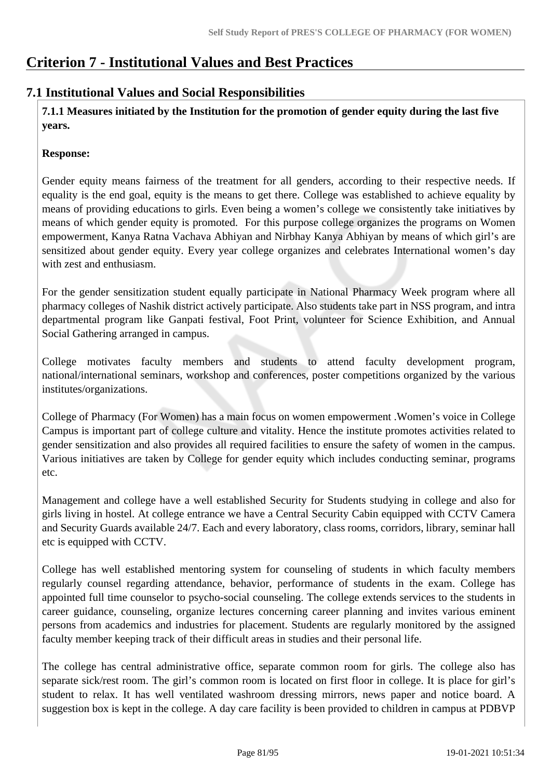# **Criterion 7 - Institutional Values and Best Practices**

# **7.1 Institutional Values and Social Responsibilities**

 **7.1.1 Measures initiated by the Institution for the promotion of gender equity during the last five years.**

# **Response:**

Gender equity means fairness of the treatment for all genders, according to their respective needs. If equality is the end goal, equity is the means to get there. College was established to achieve equality by means of providing educations to girls. Even being a women's college we consistently take initiatives by means of which gender equity is promoted. For this purpose college organizes the programs on Women empowerment, Kanya Ratna Vachava Abhiyan and Nirbhay Kanya Abhiyan by means of which girl's are sensitized about gender equity. Every year college organizes and celebrates International women's day with zest and enthusiasm.

For the gender sensitization student equally participate in National Pharmacy Week program where all pharmacy colleges of Nashik district actively participate. Also students take part in NSS program, and intra departmental program like Ganpati festival, Foot Print, volunteer for Science Exhibition, and Annual Social Gathering arranged in campus.

College motivates faculty members and students to attend faculty development program, national/international seminars, workshop and conferences, poster competitions organized by the various institutes/organizations.

College of Pharmacy (For Women) has a main focus on women empowerment .Women's voice in College Campus is important part of college culture and vitality. Hence the institute promotes activities related to gender sensitization and also provides all required facilities to ensure the safety of women in the campus. Various initiatives are taken by College for gender equity which includes conducting seminar, programs etc.

Management and college have a well established Security for Students studying in college and also for girls living in hostel. At college entrance we have a Central Security Cabin equipped with CCTV Camera and Security Guards available 24/7. Each and every laboratory, class rooms, corridors, library, seminar hall etc is equipped with CCTV.

College has well established mentoring system for counseling of students in which faculty members regularly counsel regarding attendance, behavior, performance of students in the exam. College has appointed full time counselor to psycho-social counseling. The college extends services to the students in career guidance, counseling, organize lectures concerning career planning and invites various eminent persons from academics and industries for placement. Students are regularly monitored by the assigned faculty member keeping track of their difficult areas in studies and their personal life.

The college has central administrative office, separate common room for girls. The college also has separate sick/rest room. The girl's common room is located on first floor in college. It is place for girl's student to relax. It has well ventilated washroom dressing mirrors, news paper and notice board. A suggestion box is kept in the college. A day care facility is been provided to children in campus at PDBVP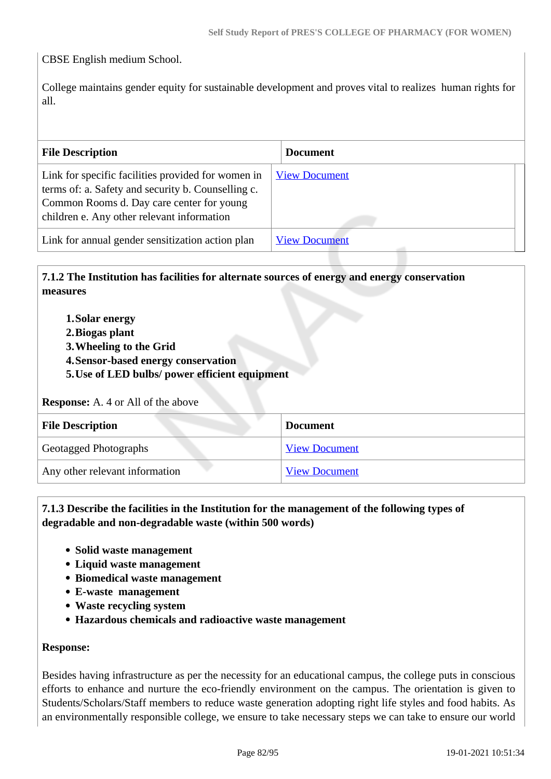CBSE English medium School.

College maintains gender equity for sustainable development and proves vital to realizes human rights for all.

| <b>File Description</b>                                                                                                                                                                             | <b>Document</b>      |
|-----------------------------------------------------------------------------------------------------------------------------------------------------------------------------------------------------|----------------------|
| Link for specific facilities provided for women in<br>terms of: a. Safety and security b. Counselling c.<br>Common Rooms d. Day care center for young<br>children e. Any other relevant information | <b>View Document</b> |
| Link for annual gender sensitization action plan                                                                                                                                                    | <b>View Document</b> |

# **7.1.2 The Institution has facilities for alternate sources of energy and energy conservation measures**

- **1.Solar energy**
- **2.Biogas plant**
- **3.Wheeling to the Grid**
- **4.Sensor-based energy conservation**
- **5.Use of LED bulbs/ power efficient equipment**

#### **Response:** A. 4 or All of the above

| <b>File Description</b>        | <b>Document</b>      |
|--------------------------------|----------------------|
| <b>Geotagged Photographs</b>   | <b>View Document</b> |
| Any other relevant information | <b>View Document</b> |

#### **7.1.3 Describe the facilities in the Institution for the management of the following types of degradable and non-degradable waste (within 500 words)**

- **Solid waste management**
- **Liquid waste management**
- **Biomedical waste management**
- **E-waste management**
- **Waste recycling system**
- **Hazardous chemicals and radioactive waste management**

#### **Response:**

Besides having infrastructure as per the necessity for an educational campus, the college puts in conscious efforts to enhance and nurture the eco-friendly environment on the campus. The orientation is given to Students/Scholars/Staff members to reduce waste generation adopting right life styles and food habits. As an environmentally responsible college, we ensure to take necessary steps we can take to ensure our world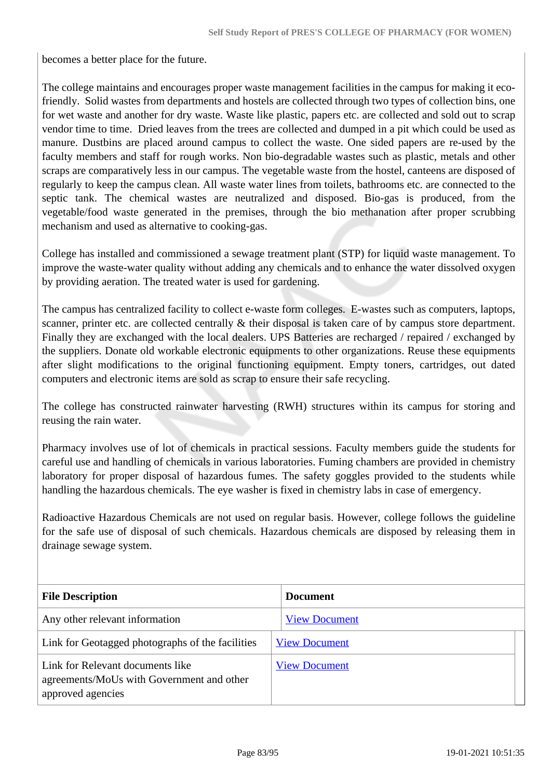becomes a better place for the future.

The college maintains and encourages proper waste management facilities in the campus for making it ecofriendly. Solid wastes from departments and hostels are collected through two types of collection bins, one for wet waste and another for dry waste. Waste like plastic, papers etc. are collected and sold out to scrap vendor time to time. Dried leaves from the trees are collected and dumped in a pit which could be used as manure. Dustbins are placed around campus to collect the waste. One sided papers are re-used by the faculty members and staff for rough works. Non bio-degradable wastes such as plastic, metals and other scraps are comparatively less in our campus. The vegetable waste from the hostel, canteens are disposed of regularly to keep the campus clean. All waste water lines from toilets, bathrooms etc. are connected to the septic tank. The chemical wastes are neutralized and disposed. Bio-gas is produced, from the vegetable/food waste generated in the premises, through the bio methanation after proper scrubbing mechanism and used as alternative to cooking-gas.

College has installed and commissioned a sewage treatment plant (STP) for liquid waste management. To improve the waste-water quality without adding any chemicals and to enhance the water dissolved oxygen by providing aeration. The treated water is used for gardening.

The campus has centralized facility to collect e-waste form colleges. E-wastes such as computers, laptops, scanner, printer etc. are collected centrally & their disposal is taken care of by campus store department. Finally they are exchanged with the local dealers. UPS Batteries are recharged / repaired / exchanged by the suppliers. Donate old workable electronic equipments to other organizations. Reuse these equipments after slight modifications to the original functioning equipment. Empty toners, cartridges, out dated computers and electronic items are sold as scrap to ensure their safe recycling.

The college has constructed rainwater harvesting (RWH) structures within its campus for storing and reusing the rain water.

Pharmacy involves use of lot of chemicals in practical sessions. Faculty members guide the students for careful use and handling of chemicals in various laboratories. Fuming chambers are provided in chemistry laboratory for proper disposal of hazardous fumes. The safety goggles provided to the students while handling the hazardous chemicals. The eye washer is fixed in chemistry labs in case of emergency.

Radioactive Hazardous Chemicals are not used on regular basis. However, college follows the guideline for the safe use of disposal of such chemicals. Hazardous chemicals are disposed by releasing them in drainage sewage system.

| <b>File Description</b>                                                                            | <b>Document</b>      |
|----------------------------------------------------------------------------------------------------|----------------------|
| Any other relevant information                                                                     | <b>View Document</b> |
| Link for Geotagged photographs of the facilities                                                   | <b>View Document</b> |
| Link for Relevant documents like<br>agreements/MoUs with Government and other<br>approved agencies | <b>View Document</b> |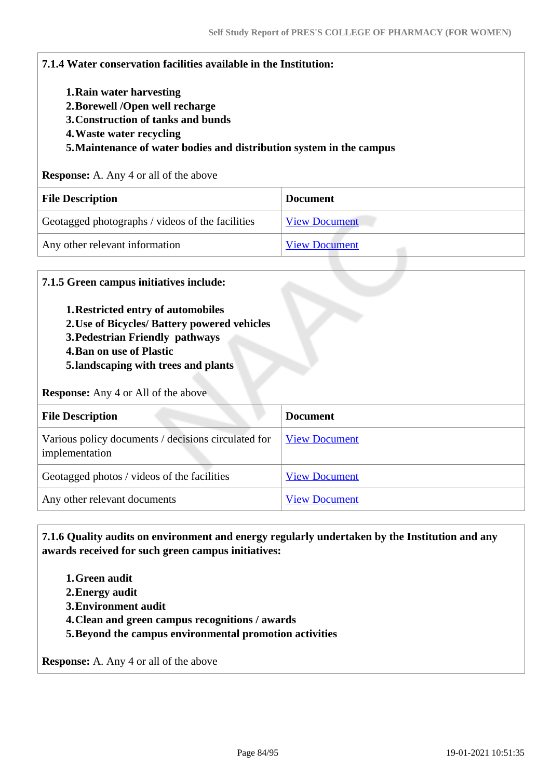| 7.1.4 Water conservation facilities available in the Institution:                                                                                                                                      |                      |  |
|--------------------------------------------------------------------------------------------------------------------------------------------------------------------------------------------------------|----------------------|--|
| 1. Rain water harvesting<br>2. Borewell / Open well recharge<br>3. Construction of tanks and bunds<br>4. Waste water recycling<br>5. Maintenance of water bodies and distribution system in the campus |                      |  |
| <b>Response:</b> A. Any 4 or all of the above                                                                                                                                                          |                      |  |
| <b>File Description</b>                                                                                                                                                                                | <b>Document</b>      |  |
| Geotagged photographs / videos of the facilities                                                                                                                                                       | <b>View Document</b> |  |

#### **7.1.5 Green campus initiatives include:**

- **1.Restricted entry of automobiles**
- **2.Use of Bicycles/ Battery powered vehicles**
- **3.Pedestrian Friendly pathways**
- **4.Ban on use of Plastic**
- **5.landscaping with trees and plants**

**Response:** Any 4 or All of the above

| <b>File Description</b>                                               | <b>Document</b>      |
|-----------------------------------------------------------------------|----------------------|
| Various policy documents / decisions circulated for<br>implementation | <b>View Document</b> |
| Geotagged photos / videos of the facilities                           | <b>View Document</b> |
| Any other relevant documents                                          | <b>View Document</b> |

 **7.1.6 Quality audits on environment and energy regularly undertaken by the Institution and any awards received for such green campus initiatives:**

- **1.Green audit**
- **2.Energy audit**
- **3.Environment audit**
- **4.Clean and green campus recognitions / awards**
- **5.Beyond the campus environmental promotion activities**

**Response:** A. Any 4 or all of the above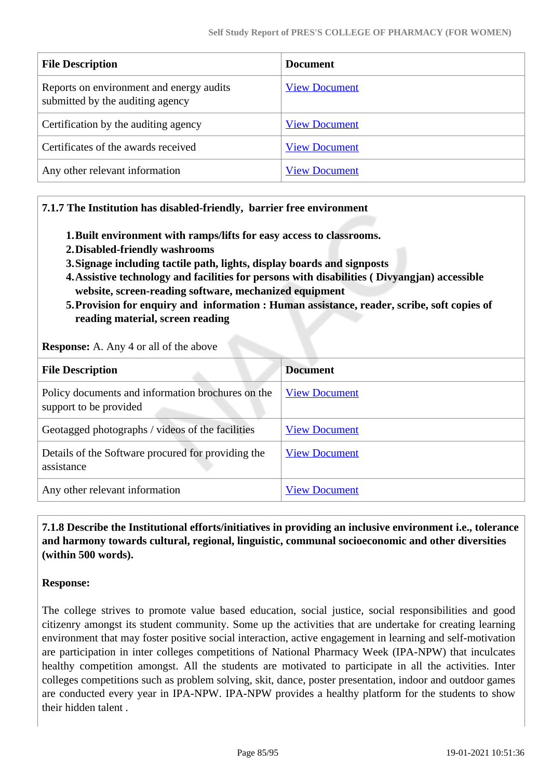| <b>File Description</b>                                                      | <b>Document</b>      |
|------------------------------------------------------------------------------|----------------------|
| Reports on environment and energy audits<br>submitted by the auditing agency | <b>View Document</b> |
| Certification by the auditing agency                                         | <b>View Document</b> |
| Certificates of the awards received                                          | <b>View Document</b> |
| Any other relevant information                                               | <b>View Document</b> |

#### **7.1.7 The Institution has disabled-friendly, barrier free environment**

- **1.Built environment with ramps/lifts for easy access to classrooms.**
- **2.Disabled-friendly washrooms**
- **3.Signage including tactile path, lights, display boards and signposts**
- **4.Assistive technology and facilities for persons with disabilities ( Divyangjan) accessible website, screen-reading software, mechanized equipment**
- **5.Provision for enquiry and information : Human assistance, reader, scribe, soft copies of reading material, screen reading**

**Response:** A. Any 4 or all of the above

| <b>File Description</b>                                                     | <b>Document</b>      |
|-----------------------------------------------------------------------------|----------------------|
| Policy documents and information brochures on the<br>support to be provided | <b>View Document</b> |
| Geotagged photographs / videos of the facilities                            | <b>View Document</b> |
| Details of the Software procured for providing the<br>assistance            | <b>View Document</b> |
| Any other relevant information                                              | <b>View Document</b> |

 **7.1.8 Describe the Institutional efforts/initiatives in providing an inclusive environment i.e., tolerance and harmony towards cultural, regional, linguistic, communal socioeconomic and other diversities (within 500 words).**

#### **Response:**

The college strives to promote value based education, social justice, social responsibilities and good citizenry amongst its student community. Some up the activities that are undertake for creating learning environment that may foster positive social interaction, active engagement in learning and self-motivation are participation in inter colleges competitions of National Pharmacy Week (IPA-NPW) that inculcates healthy competition amongst. All the students are motivated to participate in all the activities. Inter colleges competitions such as problem solving, skit, dance, poster presentation, indoor and outdoor games are conducted every year in IPA-NPW. IPA-NPW provides a healthy platform for the students to show their hidden talent .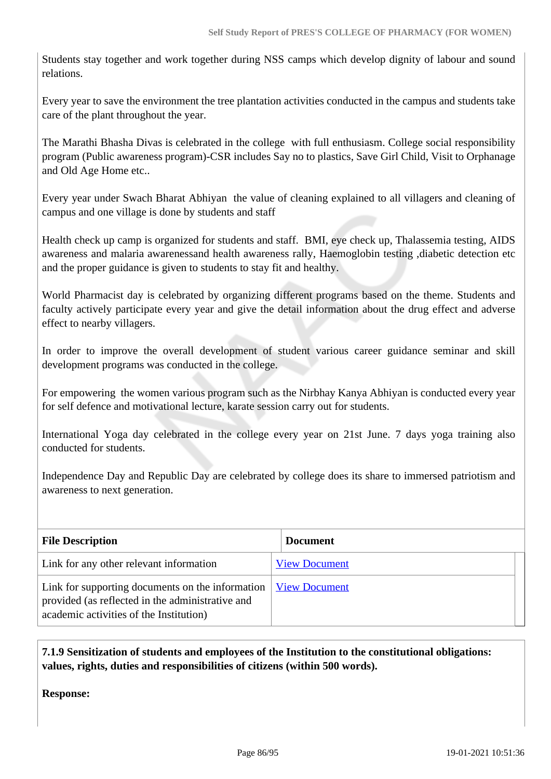Students stay together and work together during NSS camps which develop dignity of labour and sound relations.

Every year to save the environment the tree plantation activities conducted in the campus and students take care of the plant throughout the year.

The Marathi Bhasha Divas is celebrated in the college with full enthusiasm. College social responsibility program (Public awareness program)-CSR includes Say no to plastics, Save Girl Child, Visit to Orphanage and Old Age Home etc..

Every year under Swach Bharat Abhiyan the value of cleaning explained to all villagers and cleaning of campus and one village is done by students and staff

Health check up camp is organized for students and staff. BMI, eye check up, Thalassemia testing, AIDS awareness and malaria awarenessand health awareness rally, Haemoglobin testing ,diabetic detection etc and the proper guidance is given to students to stay fit and healthy.

World Pharmacist day is celebrated by organizing different programs based on the theme. Students and faculty actively participate every year and give the detail information about the drug effect and adverse effect to nearby villagers.

In order to improve the overall development of student various career guidance seminar and skill development programs was conducted in the college.

For empowering the women various program such as the Nirbhay Kanya Abhiyan is conducted every year for self defence and motivational lecture, karate session carry out for students.

International Yoga day celebrated in the college every year on 21st June. 7 days yoga training also conducted for students.

Independence Day and Republic Day are celebrated by college does its share to immersed patriotism and awareness to next generation.

| <b>File Description</b>                                                                                                                                     | Document             |
|-------------------------------------------------------------------------------------------------------------------------------------------------------------|----------------------|
| Link for any other relevant information                                                                                                                     | <b>View Document</b> |
| Link for supporting documents on the information $\parallel$<br>provided (as reflected in the administrative and<br>academic activities of the Institution) | <b>View Document</b> |

 **7.1.9 Sensitization of students and employees of the Institution to the constitutional obligations: values, rights, duties and responsibilities of citizens (within 500 words).**

**Response:**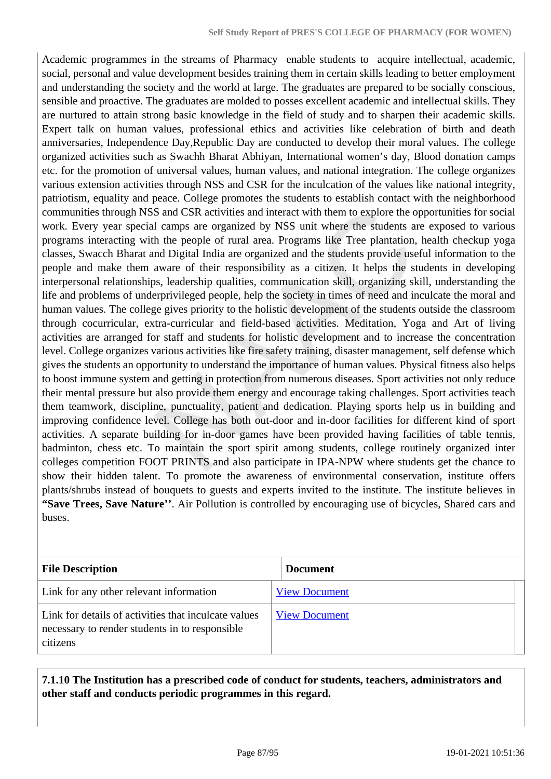Academic programmes in the streams of Pharmacy enable students to acquire intellectual, academic, social, personal and value development besides training them in certain skills leading to better employment and understanding the society and the world at large. The graduates are prepared to be socially conscious, sensible and proactive. The graduates are molded to posses excellent academic and intellectual skills. They are nurtured to attain strong basic knowledge in the field of study and to sharpen their academic skills. Expert talk on human values, professional ethics and activities like celebration of birth and death anniversaries, Independence Day,Republic Day are conducted to develop their moral values. The college organized activities such as Swachh Bharat Abhiyan, International women's day, Blood donation camps etc. for the promotion of universal values, human values, and national integration. The college organizes various extension activities through NSS and CSR for the inculcation of the values like national integrity, patriotism, equality and peace. College promotes the students to establish contact with the neighborhood communities through NSS and CSR activities and interact with them to explore the opportunities for social work. Every year special camps are organized by NSS unit where the students are exposed to various programs interacting with the people of rural area. Programs like Tree plantation, health checkup yoga classes, Swacch Bharat and Digital India are organized and the students provide useful information to the people and make them aware of their responsibility as a citizen. It helps the students in developing interpersonal relationships, leadership qualities, communication skill, organizing skill, understanding the life and problems of underprivileged people, help the society in times of need and inculcate the moral and human values. The college gives priority to the holistic development of the students outside the classroom through cocurricular, extra-curricular and field-based activities. Meditation, Yoga and Art of living activities are arranged for staff and students for holistic development and to increase the concentration level. College organizes various activities like fire safety training, disaster management, self defense which gives the students an opportunity to understand the importance of human values. Physical fitness also helps to boost immune system and getting in protection from numerous diseases. Sport activities not only reduce their mental pressure but also provide them energy and encourage taking challenges. Sport activities teach them teamwork, discipline, punctuality, patient and dedication. Playing sports help us in building and improving confidence level. College has both out-door and in-door facilities for different kind of sport activities. A separate building for in-door games have been provided having facilities of table tennis, badminton, chess etc. To maintain the sport spirit among students, college routinely organized inter colleges competition FOOT PRINTS and also participate in IPA-NPW where students get the chance to show their hidden talent. To promote the awareness of environmental conservation, institute offers plants/shrubs instead of bouquets to guests and experts invited to the institute. The institute believes in **"Save Trees, Save Nature''**. Air Pollution is controlled by encouraging use of bicycles, Shared cars and buses.

| <b>File Description</b>                                                                                            | <b>Document</b>      |
|--------------------------------------------------------------------------------------------------------------------|----------------------|
| Link for any other relevant information                                                                            | <b>View Document</b> |
| Link for details of activities that inculcate values<br>necessary to render students in to responsible<br>citizens | <b>View Document</b> |

 **7.1.10 The Institution has a prescribed code of conduct for students, teachers, administrators and other staff and conducts periodic programmes in this regard.**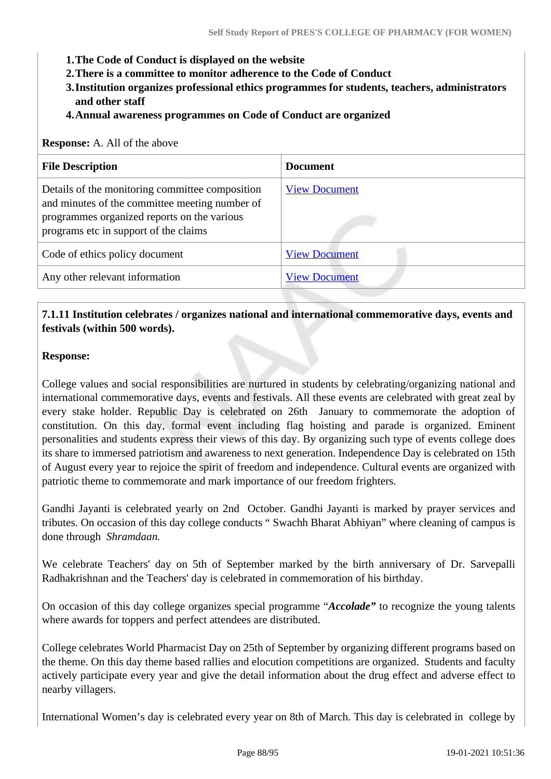- **1.The Code of Conduct is displayed on the website**
- **2.There is a committee to monitor adherence to the Code of Conduct**
- **3.Institution organizes professional ethics programmes for students, teachers, administrators and other staff**
- **4.Annual awareness programmes on Code of Conduct are organized**

| <b>Response:</b> A. All of the above |  |  |  |  |  |
|--------------------------------------|--|--|--|--|--|
|--------------------------------------|--|--|--|--|--|

| <b>File Description</b>                                                                                                                                                                   | <b>Document</b>      |
|-------------------------------------------------------------------------------------------------------------------------------------------------------------------------------------------|----------------------|
| Details of the monitoring committee composition<br>and minutes of the committee meeting number of<br>programmes organized reports on the various<br>programs etc in support of the claims | <b>View Document</b> |
| Code of ethics policy document                                                                                                                                                            | <b>View Document</b> |
| Any other relevant information                                                                                                                                                            | <b>View Document</b> |

#### **7.1.11 Institution celebrates / organizes national and international commemorative days, events and festivals (within 500 words).**

#### **Response:**

College values and social responsibilities are nurtured in students by celebrating/organizing national and international commemorative days, events and festivals. All these events are celebrated with great zeal by every stake holder. Republic Day is celebrated on 26th January to commemorate the adoption of constitution. On this day, formal event including flag hoisting and parade is organized. Eminent personalities and students express their views of this day. By organizing such type of events college does its share to immersed patriotism and awareness to next generation. Independence Day is celebrated on 15th of August every year to rejoice the spirit of freedom and independence. Cultural events are organized with patriotic theme to commemorate and mark importance of our freedom frighters.

Gandhi Jayanti is celebrated yearly on 2nd October. Gandhi Jayanti is marked by prayer services and tributes. On occasion of this day college conducts " Swachh Bharat Abhiyan" where cleaning of campus is done through *Shramdaan.*

We celebrate Teachers' day on 5th of September marked by the birth anniversary of Dr. Sarvepalli Radhakrishnan and the Teachers' day is celebrated in commemoration of his birthday.

On occasion of this day college organizes special programme "*Accolade"* to recognize the young talents where awards for toppers and perfect attendees are distributed.

College celebrates World Pharmacist Day on 25th of September by organizing different programs based on the theme. On this day theme based rallies and elocution competitions are organized. Students and faculty actively participate every year and give the detail information about the drug effect and adverse effect to nearby villagers.

International Women's day is celebrated every year on 8th of March. This day is celebrated in college by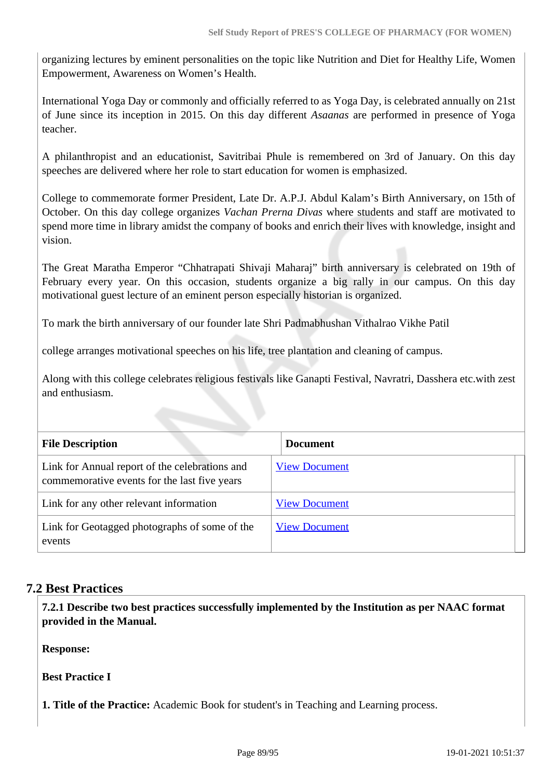organizing lectures by eminent personalities on the topic like Nutrition and Diet for Healthy Life, Women Empowerment, Awareness on Women's Health.

International Yoga Day or commonly and officially referred to as Yoga Day, is celebrated annually on 21st of June since its inception in 2015. On this day different *Asaanas* are performed in presence of Yoga teacher.

A philanthropist and an educationist, Savitribai Phule is remembered on 3rd of January. On this day speeches are delivered where her role to start education for women is emphasized.

College to commemorate former President, Late Dr. A.P.J. Abdul Kalam's Birth Anniversary, on 15th of October. On this day college organizes *Vachan Prerna Divas* where students and staff are motivated to spend more time in library amidst the company of books and enrich their lives with knowledge, insight and vision.

The Great Maratha Emperor "Chhatrapati Shivaji Maharaj" birth anniversary is celebrated on 19th of February every year. On this occasion, students organize a big rally in our campus. On this day motivational guest lecture of an eminent person especially historian is organized.

To mark the birth anniversary of our founder late Shri Padmabhushan Vithalrao Vikhe Patil

college arranges motivational speeches on his life, tree plantation and cleaning of campus.

Along with this college celebrates religious festivals like Ganapti Festival, Navratri, Dasshera etc.with zest and enthusiasm.

| <b>File Description</b>                                                                        | <b>Document</b>      |
|------------------------------------------------------------------------------------------------|----------------------|
| Link for Annual report of the celebrations and<br>commemorative events for the last five years | <b>View Document</b> |
| Link for any other relevant information                                                        | <b>View Document</b> |
| Link for Geotagged photographs of some of the<br>events                                        | <b>View Document</b> |

# **7.2 Best Practices**

 **7.2.1 Describe two best practices successfully implemented by the Institution as per NAAC format provided in the Manual.**

**Response:** 

**Best Practice I**

**1. Title of the Practice:** Academic Book for student's in Teaching and Learning process.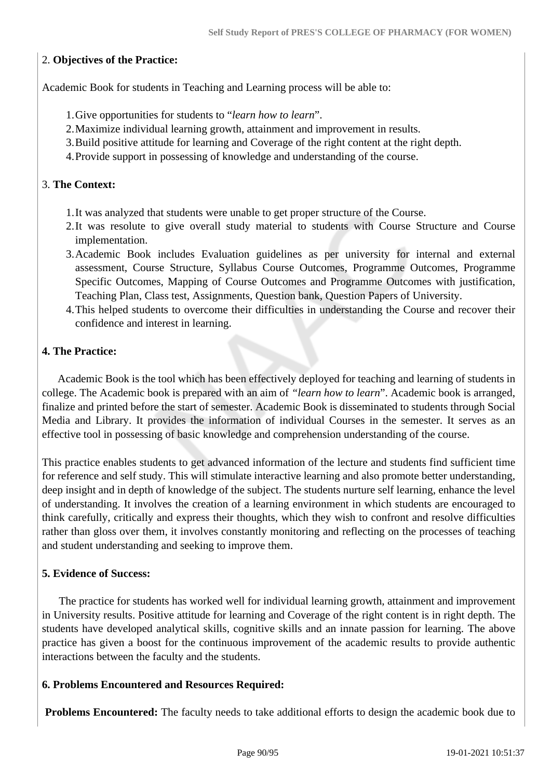# 2. **Objectives of the Practice:**

Academic Book for students in Teaching and Learning process will be able to:

- 1.Give opportunities for students to "*learn how to learn*".
- 2.Maximize individual learning growth, attainment and improvement in results.
- 3.Build positive attitude for learning and Coverage of the right content at the right depth.
- 4.Provide support in possessing of knowledge and understanding of the course.

#### 3. **The Context:**

- 1.It was analyzed that students were unable to get proper structure of the Course.
- 2.It was resolute to give overall study material to students with Course Structure and Course implementation.
- 3.Academic Book includes Evaluation guidelines as per university for internal and external assessment, Course Structure, Syllabus Course Outcomes, Programme Outcomes, Programme Specific Outcomes, Mapping of Course Outcomes and Programme Outcomes with justification, Teaching Plan, Class test, Assignments, Question bank, Question Papers of University.
- 4.This helped students to overcome their difficulties in understanding the Course and recover their confidence and interest in learning.

# **4. The Practice:**

 Academic Book is the tool which has been effectively deployed for teaching and learning of students in college. The Academic book is prepared with an aim of *"learn how to learn*". Academic book is arranged, finalize and printed before the start of semester. Academic Book is disseminated to students through Social Media and Library. It provides the information of individual Courses in the semester. It serves as an effective tool in possessing of basic knowledge and comprehension understanding of the course.

This practice enables students to get advanced information of the lecture and students find sufficient time for reference and self study. This will stimulate interactive learning and also promote better understanding, deep insight and in depth of knowledge of the subject. The students nurture self learning, enhance the level of understanding. It involves the creation of a learning environment in which students are encouraged to think carefully, critically and express their thoughts, which they wish to confront and resolve difficulties rather than gloss over them, it involves constantly monitoring and reflecting on the processes of teaching and student understanding and seeking to improve them.

#### **5. Evidence of Success:**

 The practice for students has worked well for individual learning growth, attainment and improvement in University results. Positive attitude for learning and Coverage of the right content is in right depth. The students have developed analytical skills, cognitive skills and an innate passion for learning. The above practice has given a boost for the continuous improvement of the academic results to provide authentic interactions between the faculty and the students.

#### **6. Problems Encountered and Resources Required:**

 **Problems Encountered:** The faculty needs to take additional efforts to design the academic book due to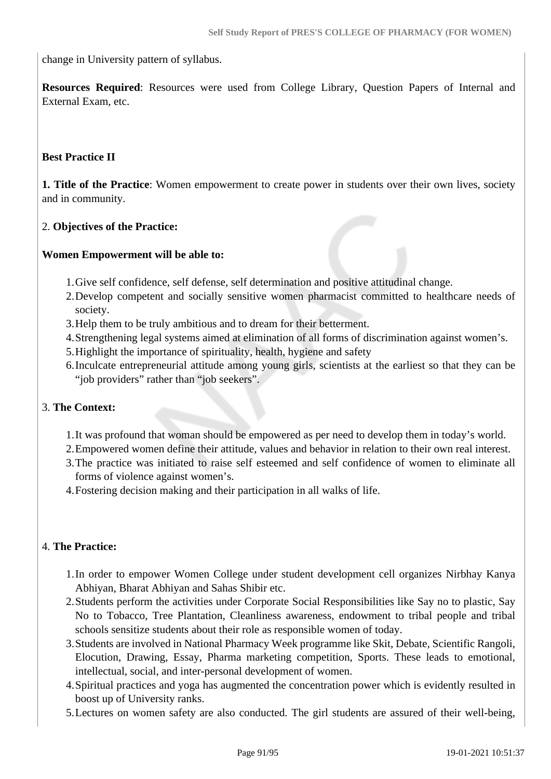change in University pattern of syllabus.

**Resources Required**: Resources were used from College Library, Question Papers of Internal and External Exam, etc.

#### **Best Practice II**

**1. Title of the Practice**: Women empowerment to create power in students over their own lives, society and in community.

#### 2. **Objectives of the Practice:**

#### **Women Empowerment will be able to:**

- 1.Give self confidence, self defense, self determination and positive attitudinal change.
- 2.Develop competent and socially sensitive women pharmacist committed to healthcare needs of society.
- 3.Help them to be truly ambitious and to dream for their betterment.
- 4.Strengthening legal systems aimed at elimination of all forms of discrimination against women's.
- 5.Highlight the importance of spirituality, health, hygiene and safety
- 6.Inculcate entrepreneurial attitude among young girls, scientists at the earliest so that they can be "job providers" rather than "job seekers".

#### 3. **The Context:**

- 1.It was profound that woman should be empowered as per need to develop them in today's world.
- 2.Empowered women define their attitude, values and behavior in relation to their own real interest.
- 3.The practice was initiated to raise self esteemed and self confidence of women to eliminate all forms of violence against women's.
- 4.Fostering decision making and their participation in all walks of life.

#### 4. **The Practice:**

- 1.In order to empower Women College under student development cell organizes Nirbhay Kanya Abhiyan, Bharat Abhiyan and Sahas Shibir etc.
- 2.Students perform the activities under Corporate Social Responsibilities like Say no to plastic, Say No to Tobacco, Tree Plantation, Cleanliness awareness, endowment to tribal people and tribal schools sensitize students about their role as responsible women of today.
- 3.Students are involved in National Pharmacy Week programme like Skit, Debate, Scientific Rangoli, Elocution, Drawing, Essay, Pharma marketing competition, Sports. These leads to emotional, intellectual, social, and inter-personal development of women.
- 4.Spiritual practices and yoga has augmented the concentration power which is evidently resulted in boost up of University ranks.
- 5.Lectures on women safety are also conducted. The girl students are assured of their well-being,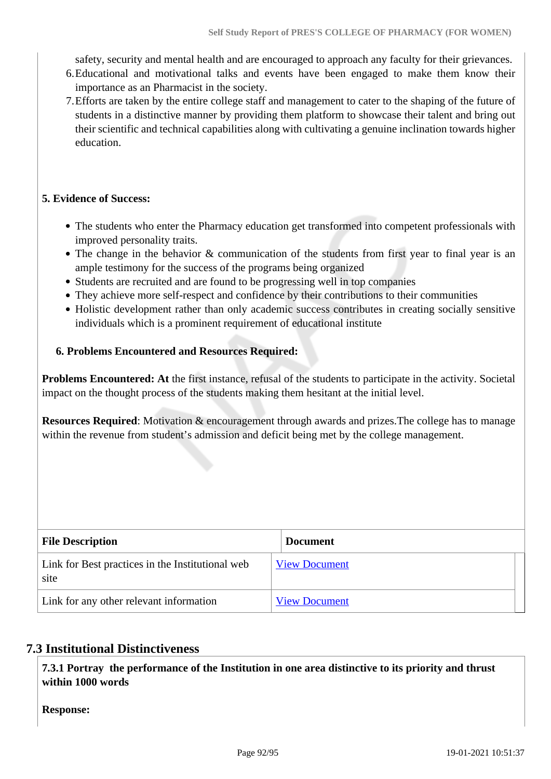safety, security and mental health and are encouraged to approach any faculty for their grievances.

- 6.Educational and motivational talks and events have been engaged to make them know their importance as an Pharmacist in the society.
- 7.Efforts are taken by the entire college staff and management to cater to the shaping of the future of students in a distinctive manner by providing them platform to showcase their talent and bring out their scientific and technical capabilities along with cultivating a genuine inclination towards higher education.

#### **5. Evidence of Success:**

- The students who enter the Pharmacy education get transformed into competent professionals with improved personality traits.
- The change in the behavior & communication of the students from first year to final year is an ample testimony for the success of the programs being organized
- Students are recruited and are found to be progressing well in top companies
- They achieve more self-respect and confidence by their contributions to their communities
- Holistic development rather than only academic success contributes in creating socially sensitive individuals which is a prominent requirement of educational institute

#### **6. Problems Encountered and Resources Required:**

**Problems Encountered: At** the first instance, refusal of the students to participate in the activity. Societal impact on the thought process of the students making them hesitant at the initial level.

**Resources Required**: Motivation & encouragement through awards and prizes.The college has to manage within the revenue from student's admission and deficit being met by the college management.

| <b>File Description</b>                                  | <b>Document</b>      |
|----------------------------------------------------------|----------------------|
| Link for Best practices in the Institutional web<br>site | <b>View Document</b> |
| Link for any other relevant information                  | <b>View Document</b> |

#### **7.3 Institutional Distinctiveness**

 **7.3.1 Portray the performance of the Institution in one area distinctive to its priority and thrust within 1000 words**

**Response:**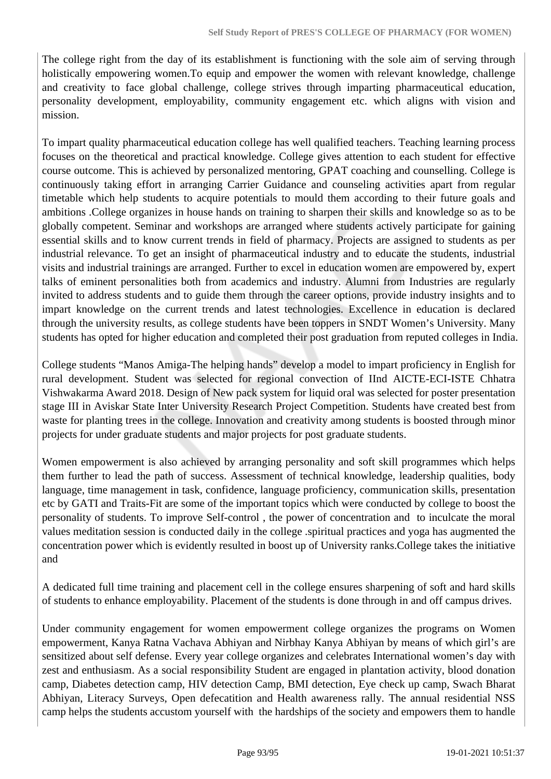The college right from the day of its establishment is functioning with the sole aim of serving through holistically empowering women.To equip and empower the women with relevant knowledge, challenge and creativity to face global challenge, college strives through imparting pharmaceutical education, personality development, employability, community engagement etc. which aligns with vision and mission.

To impart quality pharmaceutical education college has well qualified teachers. Teaching learning process focuses on the theoretical and practical knowledge. College gives attention to each student for effective course outcome. This is achieved by personalized mentoring, GPAT coaching and counselling. College is continuously taking effort in arranging Carrier Guidance and counseling activities apart from regular timetable which help students to acquire potentials to mould them according to their future goals and ambitions .College organizes in house hands on training to sharpen their skills and knowledge so as to be globally competent. Seminar and workshops are arranged where students actively participate for gaining essential skills and to know current trends in field of pharmacy. Projects are assigned to students as per industrial relevance. To get an insight of pharmaceutical industry and to educate the students, industrial visits and industrial trainings are arranged. Further to excel in education women are empowered by, expert talks of eminent personalities both from academics and industry. Alumni from Industries are regularly invited to address students and to guide them through the career options, provide industry insights and to impart knowledge on the current trends and latest technologies. Excellence in education is declared through the university results, as college students have been toppers in SNDT Women's University. Many students has opted for higher education and completed their post graduation from reputed colleges in India.

College students "Manos Amiga-The helping hands" develop a model to impart proficiency in English for rural development. Student was selected for regional convection of IInd AICTE-ECI-ISTE Chhatra Vishwakarma Award 2018. Design of New pack system for liquid oral was selected for poster presentation stage III in Aviskar State Inter University Research Project Competition. Students have created best from waste for planting trees in the college. Innovation and creativity among students is boosted through minor projects for under graduate students and major projects for post graduate students.

Women empowerment is also achieved by arranging personality and soft skill programmes which helps them further to lead the path of success. Assessment of technical knowledge, leadership qualities, body language, time management in task, confidence, language proficiency, communication skills, presentation etc by GATI and Traits-Fit are some of the important topics which were conducted by college to boost the personality of students. To improve Self-control , the power of concentration and to inculcate the moral values meditation session is conducted daily in the college .spiritual practices and yoga has augmented the concentration power which is evidently resulted in boost up of University ranks.College takes the initiative and

A dedicated full time training and placement cell in the college ensures sharpening of soft and hard skills of students to enhance employability. Placement of the students is done through in and off campus drives.

Under community engagement for women empowerment college organizes the programs on Women empowerment, Kanya Ratna Vachava Abhiyan and Nirbhay Kanya Abhiyan by means of which girl's are sensitized about self defense. Every year college organizes and celebrates International women's day with zest and enthusiasm. As a social responsibility Student are engaged in plantation activity, blood donation camp, Diabetes detection camp, HIV detection Camp, BMI detection, Eye check up camp, Swach Bharat Abhiyan, Literacy Surveys, Open defecatition and Health awareness rally. The annual residential NSS camp helps the students accustom yourself with the hardships of the society and empowers them to handle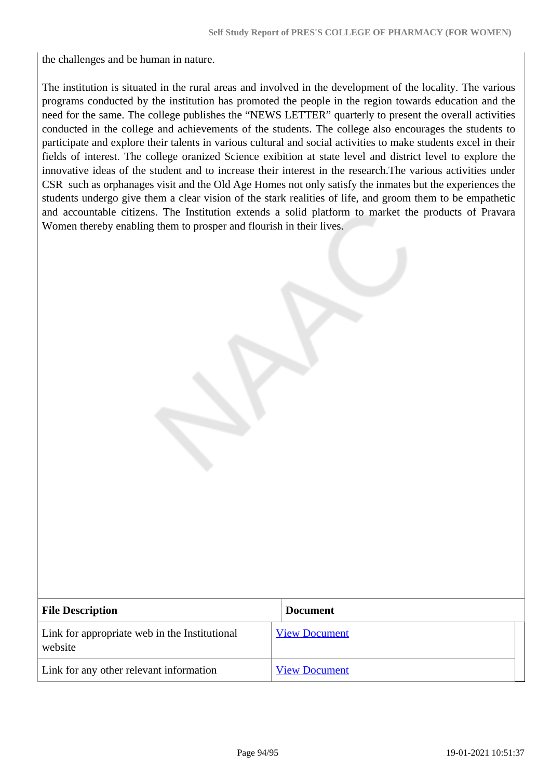the challenges and be human in nature.

The institution is situated in the rural areas and involved in the development of the locality. The various programs conducted by the institution has promoted the people in the region towards education and the need for the same. The college publishes the "NEWS LETTER" quarterly to present the overall activities conducted in the college and achievements of the students. The college also encourages the students to participate and explore their talents in various cultural and social activities to make students excel in their fields of interest. The college oranized Science exibition at state level and district level to explore the innovative ideas of the student and to increase their interest in the research.The various activities under CSR such as orphanages visit and the Old Age Homes not only satisfy the inmates but the experiences the students undergo give them a clear vision of the stark realities of life, and groom them to be empathetic and accountable citizens. The Institution extends a solid platform to market the products of Pravara Women thereby enabling them to prosper and flourish in their lives.

| <b>File Description</b>                                  | <b>Document</b>      |
|----------------------------------------------------------|----------------------|
| Link for appropriate web in the Institutional<br>website | <b>View Document</b> |
| Link for any other relevant information                  | <b>View Document</b> |